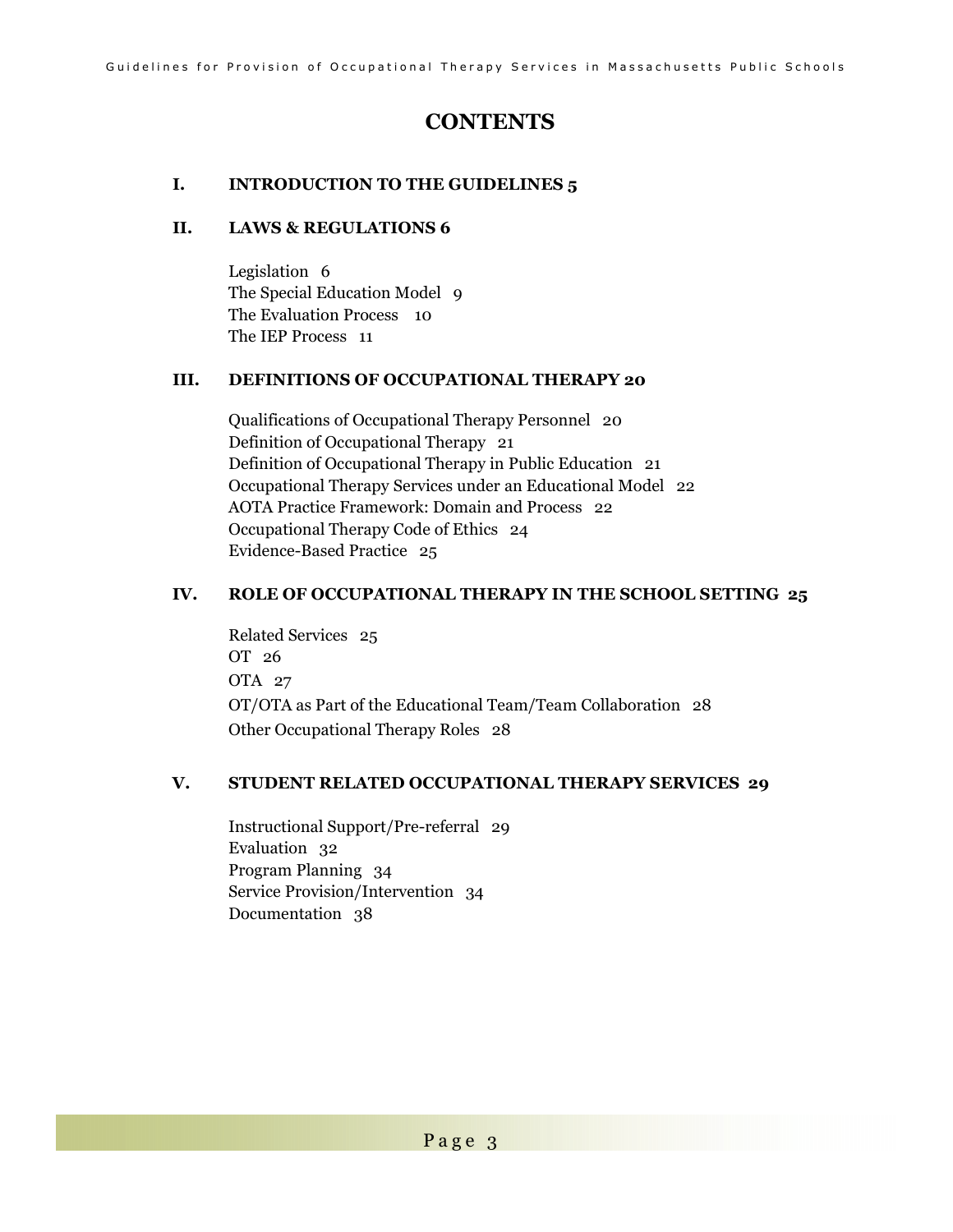# **CONTENTS**

### **I. INTRODUCTION TO THE GUIDELINES 5**

### **II. LAWS & REGULATIONS 6**

Legislation 6 The Special Education Model 9 The Evaluation Process 10 The IEP Process 11

### **III. DEFINITIONS OF OCCUPATIONAL THERAPY 20**

Qualifications of Occupational Therapy Personnel 20 Definition of Occupational Therapy 21 Definition of Occupational Therapy in Public Education 21 Occupational Therapy Services under an Educational Model 22 AOTA Practice Framework: Domain and Process 22 Occupational Therapy Code of Ethics 24 Evidence-Based Practice 25

### **IV. ROLE OF OCCUPATIONAL THERAPY IN THE SCHOOL SETTING 25**

Related Services 25 OT 26 OTA 27 OT/OTA as Part of the Educational Team/Team Collaboration 28 Other Occupational Therapy Roles 28

### **V. STUDENT RELATED OCCUPATIONAL THERAPY SERVICES 29**

Instructional Support/Pre-referral 29 Evaluation 32 Program Planning 34 Service Provision/Intervention 34 Documentation 38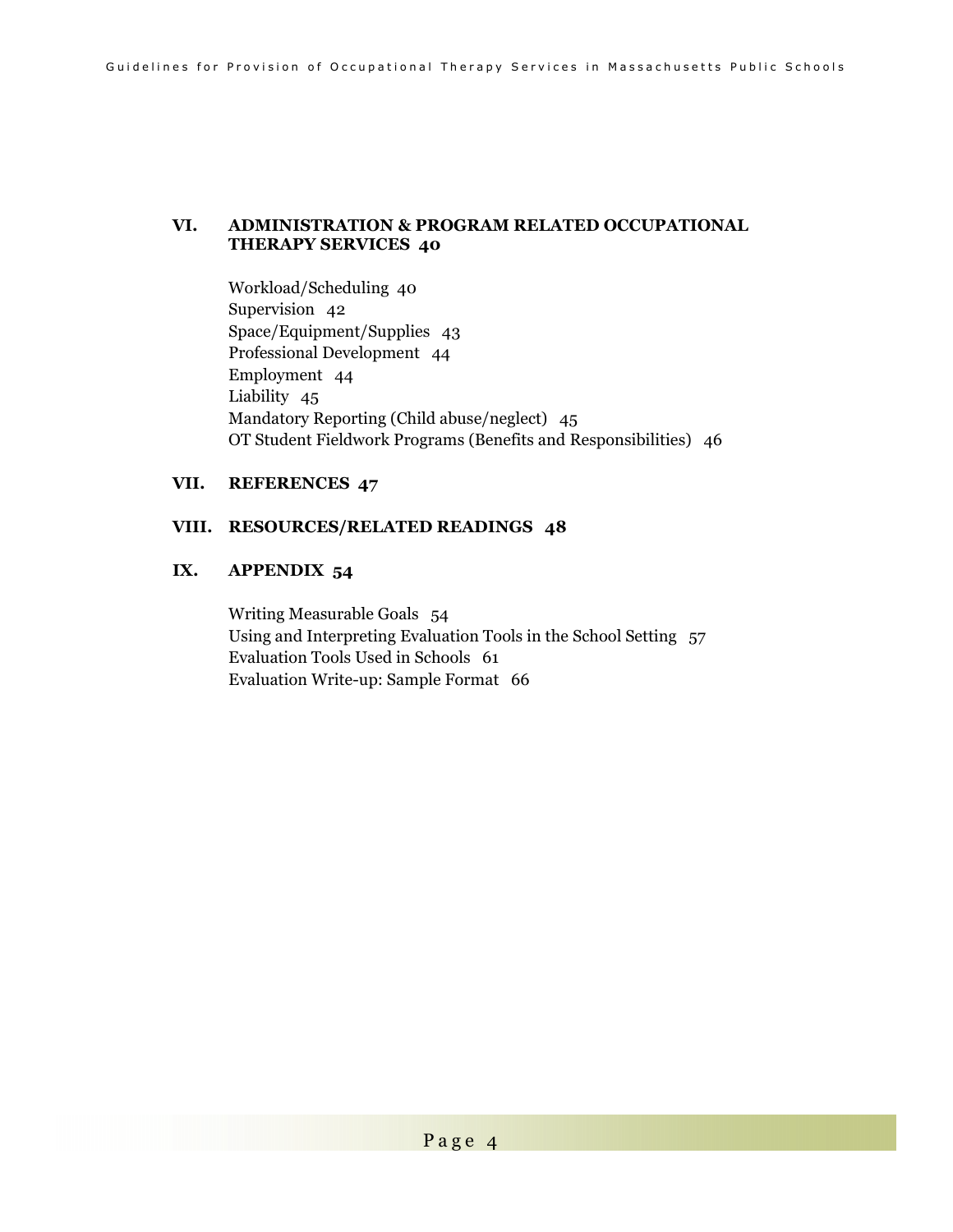#### **VI. ADMINISTRATION & PROGRAM RELATED OCCUPATIONAL THERAPY SERVICES 40**

Workload/Scheduling 40 Supervision 42 Space/Equipment/Supplies 43 Professional Development 44 Employment 44 Liability 45 Mandatory Reporting (Child abuse/neglect) 45 OT Student Fieldwork Programs (Benefits and Responsibilities) 46

### **VII. REFERENCES 47**

#### **VIII. RESOURCES/RELATED READINGS 48**

### **IX. APPENDIX 54**

Writing Measurable Goals 54 Using and Interpreting Evaluation Tools in the School Setting 57 Evaluation Tools Used in Schools 61 Evaluation Write-up: Sample Format 66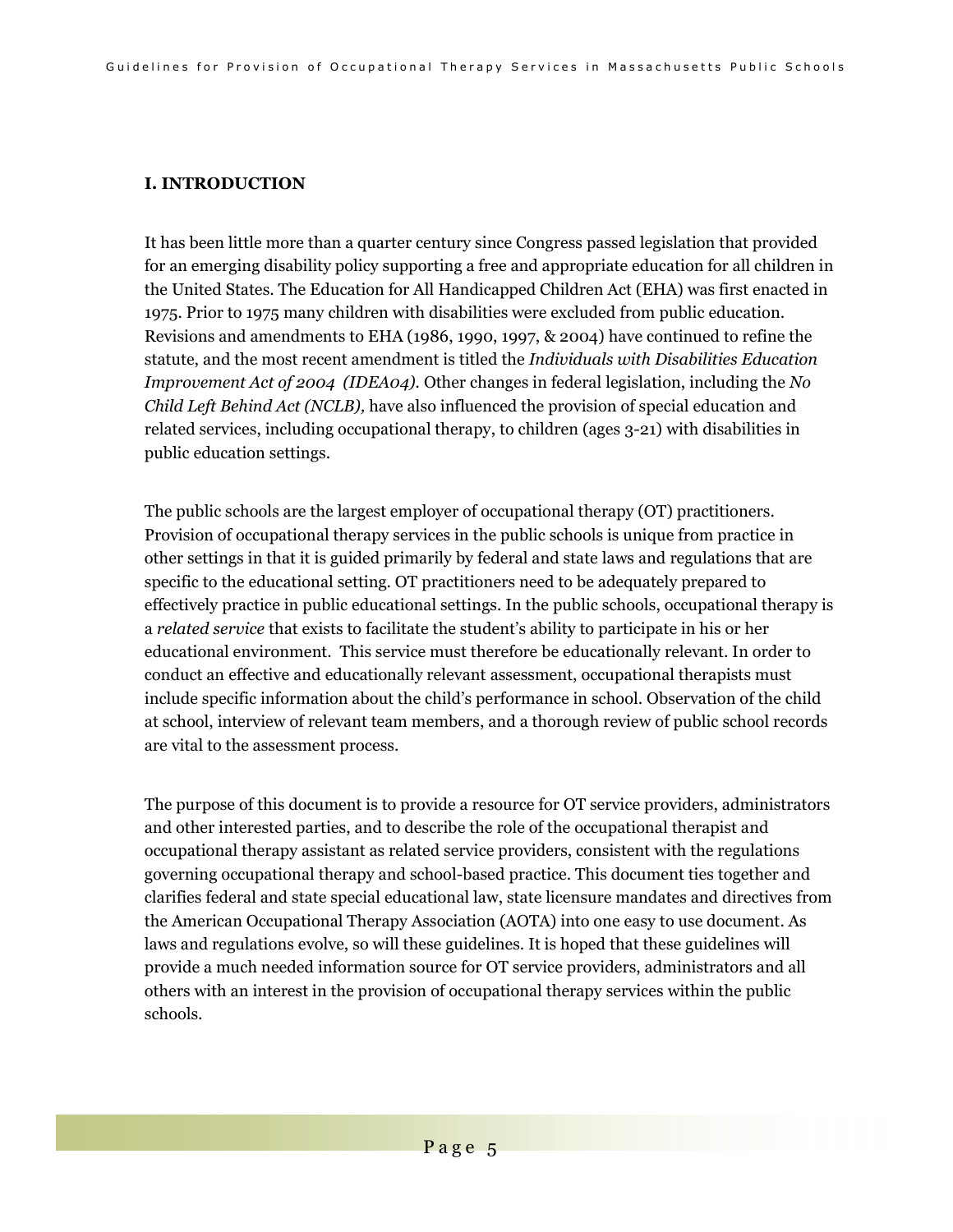### **I. INTRODUCTION**

It has been little more than a quarter century since Congress passed legislation that provided for an emerging disability policy supporting a free and appropriate education for all children in the United States. The Education for All Handicapped Children Act (EHA) was first enacted in 1975. Prior to 1975 many children with disabilities were excluded from public education. Revisions and amendments to EHA (1986, 1990, 1997, & 2004) have continued to refine the statute, and the most recent amendment is titled the *Individuals with Disabilities Education Improvement Act of 2004 (IDEA04).* Other changes in federal legislation, including the *No Child Left Behind Act (NCLB),* have also influenced the provision of special education and related services, including occupational therapy, to children (ages 3-21) with disabilities in public education settings.

The public schools are the largest employer of occupational therapy (OT) practitioners. Provision of occupational therapy services in the public schools is unique from practice in other settings in that it is guided primarily by federal and state laws and regulations that are specific to the educational setting. OT practitioners need to be adequately prepared to effectively practice in public educational settings. In the public schools, occupational therapy is a *related service* that exists to facilitate the student's ability to participate in his or her educational environment. This service must therefore be educationally relevant. In order to conduct an effective and educationally relevant assessment, occupational therapists must include specific information about the child's performance in school. Observation of the child at school, interview of relevant team members, and a thorough review of public school records are vital to the assessment process.

The purpose of this document is to provide a resource for OT service providers, administrators and other interested parties, and to describe the role of the occupational therapist and occupational therapy assistant as related service providers, consistent with the regulations governing occupational therapy and school-based practice. This document ties together and clarifies federal and state special educational law, state licensure mandates and directives from the American Occupational Therapy Association (AOTA) into one easy to use document. As laws and regulations evolve, so will these guidelines. It is hoped that these guidelines will provide a much needed information source for OT service providers, administrators and all others with an interest in the provision of occupational therapy services within the public schools.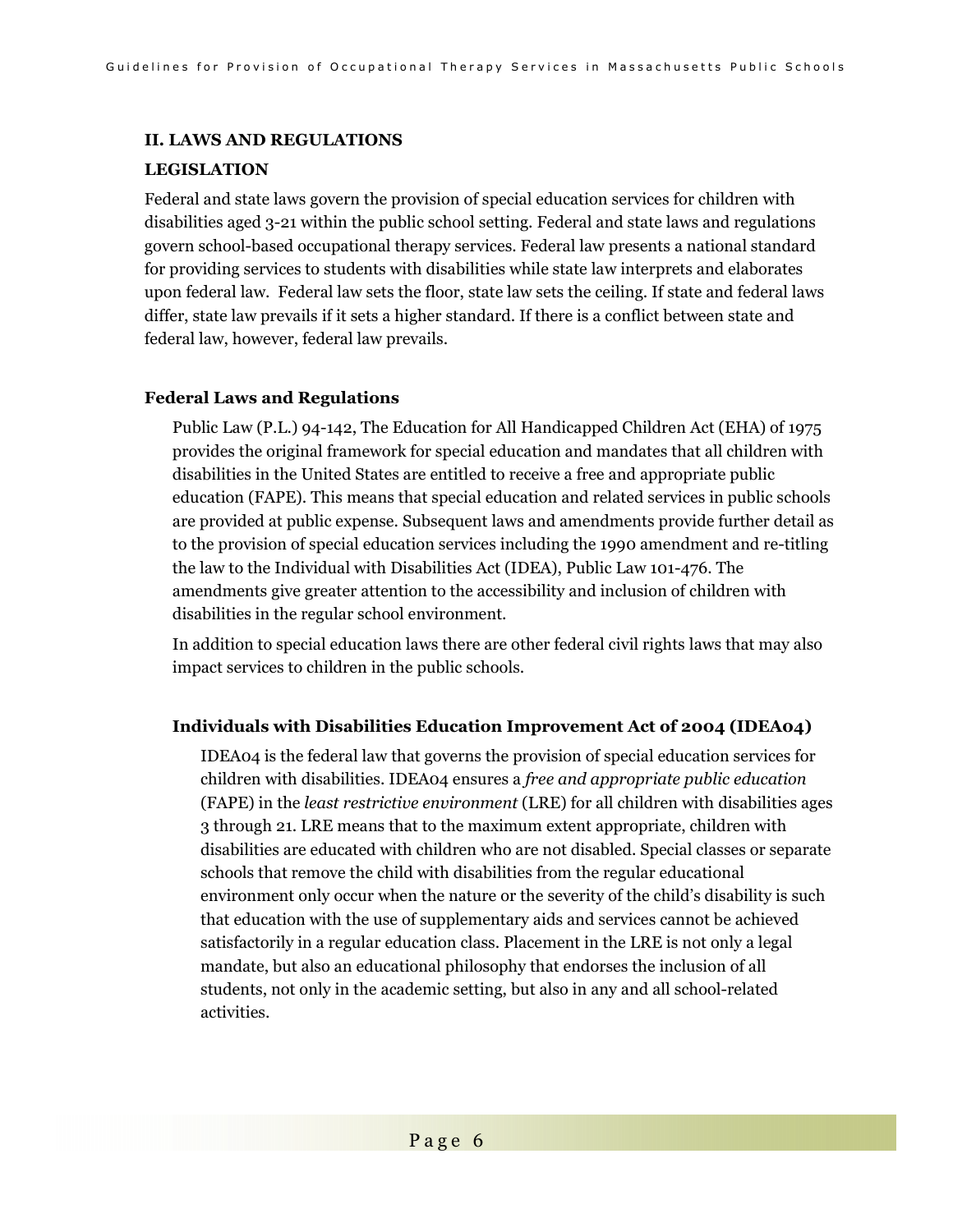#### **II. LAWS AND REGULATIONS**

#### **LEGISLATION**

Federal and state laws govern the provision of special education services for children with disabilities aged 3-21 within the public school setting. Federal and state laws and regulations govern school-based occupational therapy services. Federal law presents a national standard for providing services to students with disabilities while state law interprets and elaborates upon federal law. Federal law sets the floor, state law sets the ceiling. If state and federal laws differ, state law prevails if it sets a higher standard. If there is a conflict between state and federal law, however, federal law prevails.

#### **Federal Laws and Regulations**

Public Law (P.L.) 94-142, The Education for All Handicapped Children Act (EHA) of 1975 provides the original framework for special education and mandates that all children with disabilities in the United States are entitled to receive a free and appropriate public education (FAPE). This means that special education and related services in public schools are provided at public expense. Subsequent laws and amendments provide further detail as to the provision of special education services including the 1990 amendment and re-titling the law to the Individual with Disabilities Act (IDEA), Public Law 101-476. The amendments give greater attention to the accessibility and inclusion of children with disabilities in the regular school environment.

In addition to special education laws there are other federal civil rights laws that may also impact services to children in the public schools.

#### **Individuals with Disabilities Education Improvement Act of 2004 (IDEA04)**

IDEA04 is the federal law that governs the provision of special education services for children with disabilities. IDEA04 ensures a *free and appropriate public education* (FAPE) in the *least restrictive environment* (LRE) for all children with disabilities ages 3 through 21. LRE means that to the maximum extent appropriate, children with disabilities are educated with children who are not disabled. Special classes or separate schools that remove the child with disabilities from the regular educational environment only occur when the nature or the severity of the child's disability is such that education with the use of supplementary aids and services cannot be achieved satisfactorily in a regular education class. Placement in the LRE is not only a legal mandate, but also an educational philosophy that endorses the inclusion of all students, not only in the academic setting, but also in any and all school-related activities.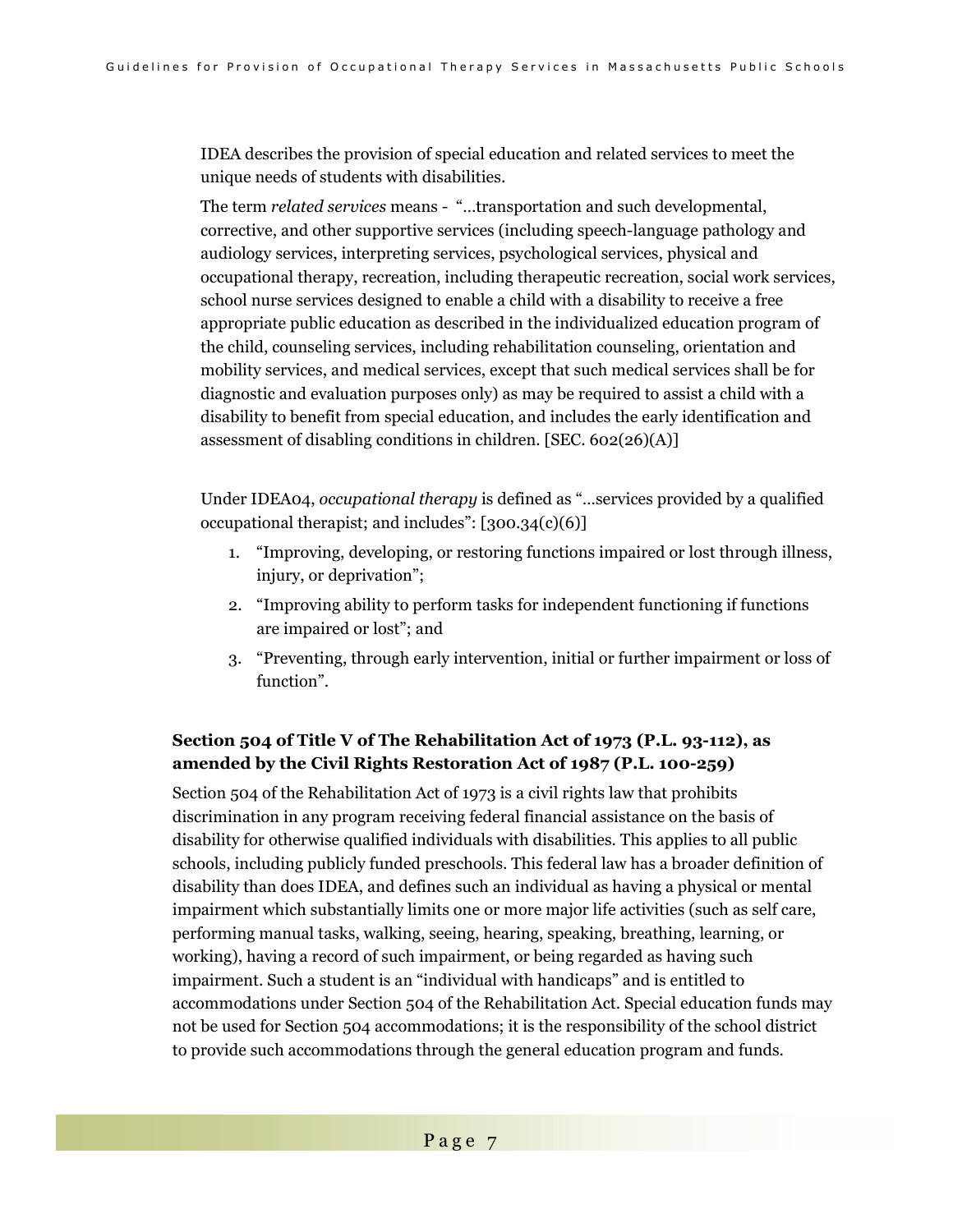IDEA describes the provision of special education and related services to meet the unique needs of students with disabilities.

The term *related services* means *-* "…transportation and such developmental, corrective, and other supportive services (including speech-language pathology and audiology services, interpreting services, psychological services, physical and occupational therapy, recreation, including therapeutic recreation, social work services, school nurse services designed to enable a child with a disability to receive a free appropriate public education as described in the individualized education program of the child, counseling services, including rehabilitation counseling, orientation and mobility services, and medical services, except that such medical services shall be for diagnostic and evaluation purposes only) as may be required to assist a child with a disability to benefit from special education, and includes the early identification and assessment of disabling conditions in children. [SEC. 602(26)(A)]

Under IDEA04, *occupational therapy* is defined as "…services provided by a qualified occupational therapist; and includes": [300.34(c)(6)]

- 1. "Improving, developing, or restoring functions impaired or lost through illness, injury, or deprivation";
- 2. "Improving ability to perform tasks for independent functioning if functions are impaired or lost"; and
- 3. "Preventing, through early intervention, initial or further impairment or loss of function".

### **Section 504 of Title V of The Rehabilitation Act of 1973 (P.L. 93-112), as amended by the Civil Rights Restoration Act of 1987 (P.L. 100-259)**

Section 504 of the Rehabilitation Act of 1973 is a civil rights law that prohibits discrimination in any program receiving federal financial assistance on the basis of disability for otherwise qualified individuals with disabilities. This applies to all public schools, including publicly funded preschools. This federal law has a broader definition of disability than does IDEA, and defines such an individual as having a physical or mental impairment which substantially limits one or more major life activities (such as self care, performing manual tasks, walking, seeing, hearing, speaking, breathing, learning, or working), having a record of such impairment, or being regarded as having such impairment. Such a student is an "individual with handicaps" and is entitled to accommodations under Section 504 of the Rehabilitation Act. Special education funds may not be used for Section 504 accommodations; it is the responsibility of the school district to provide such accommodations through the general education program and funds.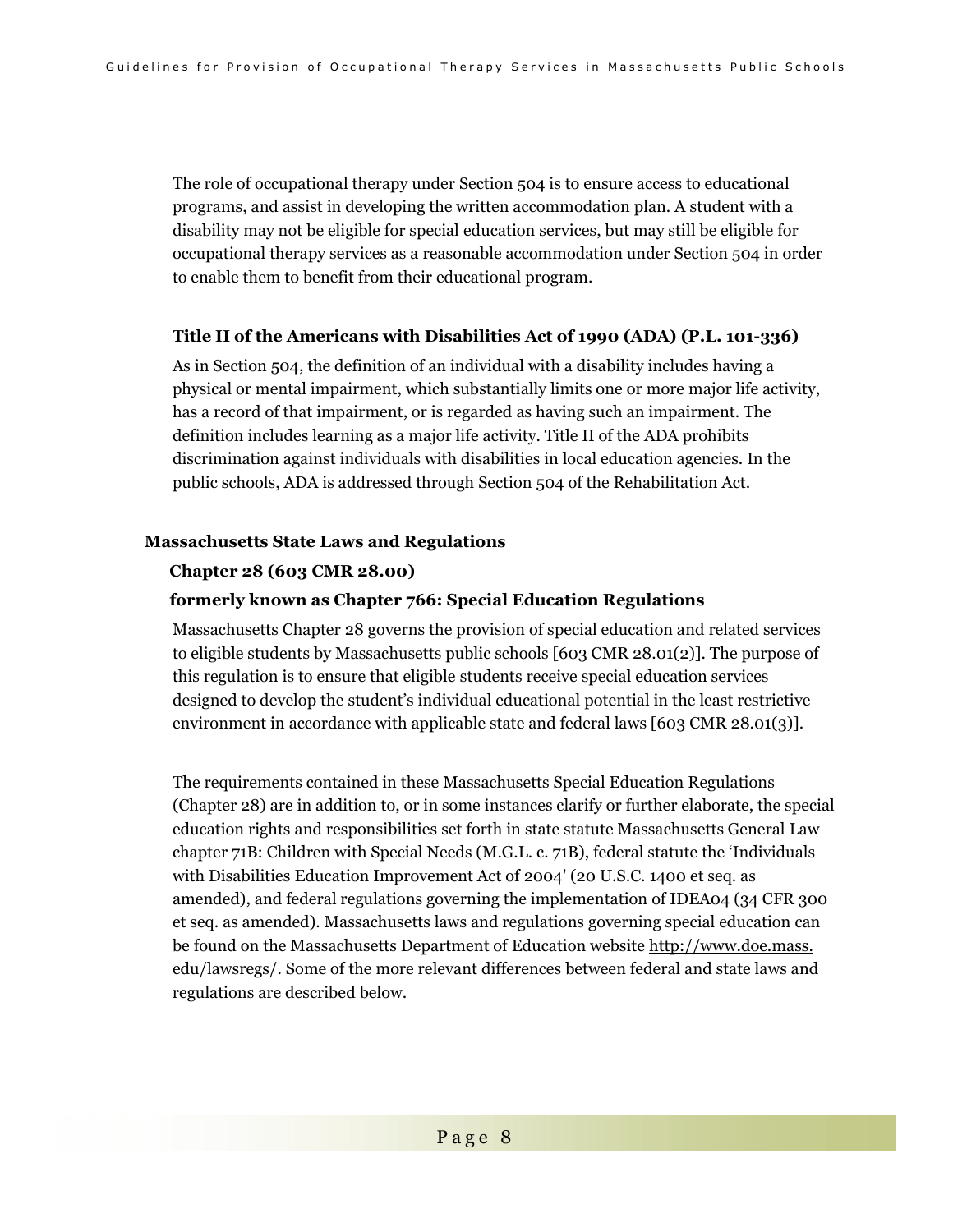The role of occupational therapy under Section 504 is to ensure access to educational programs, and assist in developing the written accommodation plan. A student with a disability may not be eligible for special education services, but may still be eligible for occupational therapy services as a reasonable accommodation under Section 504 in order to enable them to benefit from their educational program.

#### **Title II of the Americans with Disabilities Act of 1990 (ADA) (P.L. 101-336)**

As in Section 504, the definition of an individual with a disability includes having a physical or mental impairment, which substantially limits one or more major life activity, has a record of that impairment, or is regarded as having such an impairment. The definition includes learning as a major life activity. Title II of the ADA prohibits discrimination against individuals with disabilities in local education agencies. In the public schools, ADA is addressed through Section 504 of the Rehabilitation Act.

#### **Massachusetts State Laws and Regulations**

#### **Chapter 28 (603 CMR 28.00)**

#### **formerly known as Chapter 766: Special Education Regulations**

Massachusetts Chapter 28 governs the provision of special education and related services to eligible students by Massachusetts public schools [603 CMR 28.01(2)]. The purpose of this regulation is to ensure that eligible students receive special education services designed to develop the student's individual educational potential in the least restrictive environment in accordance with applicable state and federal laws [603 CMR 28.01(3)].

The requirements contained in these Massachusetts Special Education Regulations (Chapter 28) are in addition to, or in some instances clarify or further elaborate, the special education rights and responsibilities set forth in state statute Massachusetts General Law chapter 71B: Children with Special Needs (M.G.L. c. 71B), federal statute the 'Individuals with Disabilities Education Improvement Act of 2004' (20 U.S.C. 1400 et seq. as amended), and federal regulations governing the implementation of IDEA04 (34 CFR 300 et seq. as amended). Massachusetts laws and regulations governing special education can be found on the Massachusetts Department of Education website http://www.doe.mass. edu/lawsregs/. Some of the more relevant differences between federal and state laws and regulations are described below.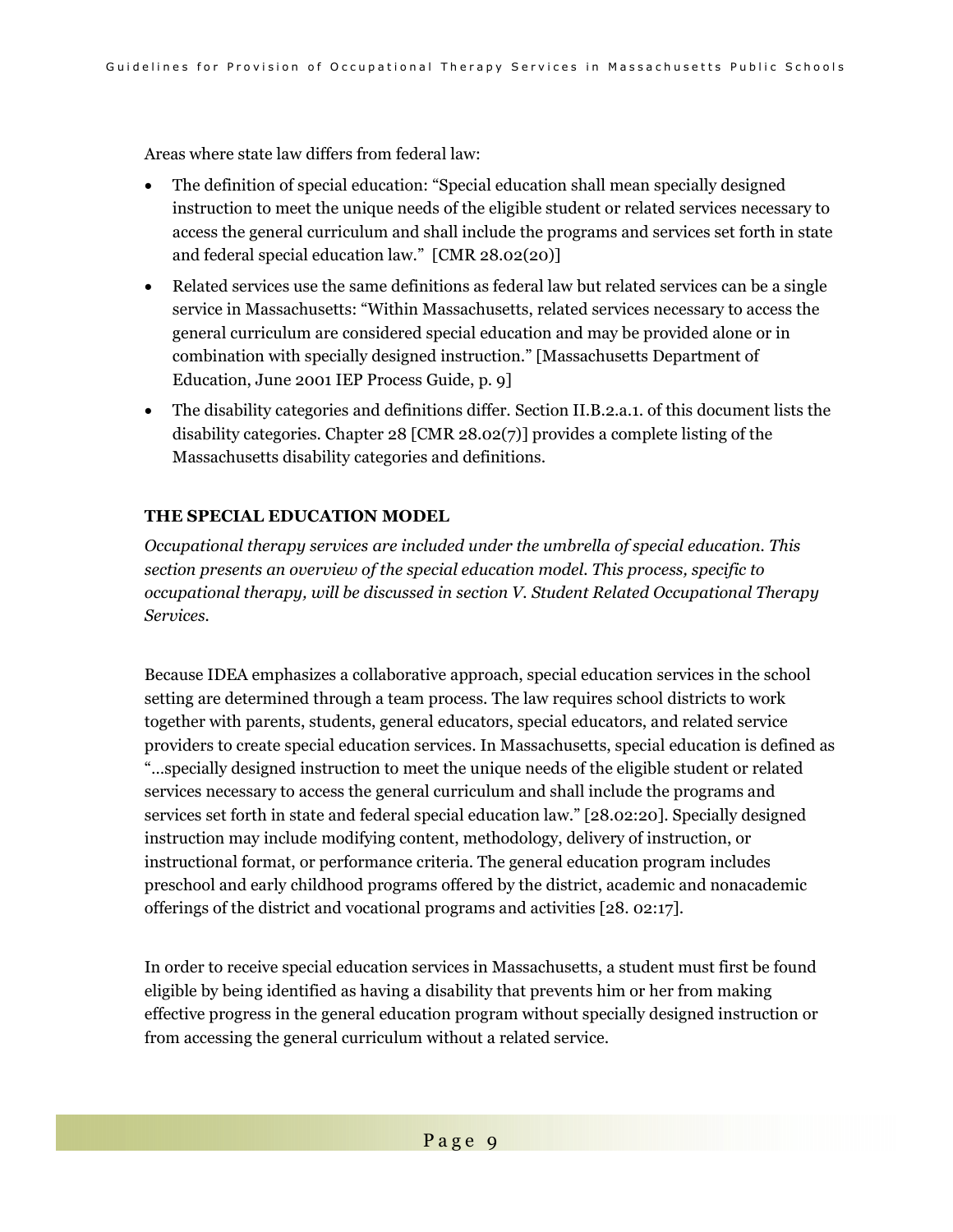Areas where state law differs from federal law:

- The definition of special education: "Special education shall mean specially designed instruction to meet the unique needs of the eligible student or related services necessary to access the general curriculum and shall include the programs and services set forth in state and federal special education law." [CMR 28.02(20)]
- Related services use the same definitions as federal law but related services can be a single service in Massachusetts: "Within Massachusetts, related services necessary to access the general curriculum are considered special education and may be provided alone or in combination with specially designed instruction." [Massachusetts Department of Education, June 2001 IEP Process Guide, p. 9]
- The disability categories and definitions differ. Section II.B.2.a.1. of this document lists the disability categories. Chapter 28 [CMR 28.02(7)] provides a complete listing of the Massachusetts disability categories and definitions.

### **THE SPECIAL EDUCATION MODEL**

*Occupational therapy services are included under the umbrella of special education. This section presents an overview of the special education model. This process, specific to occupational therapy, will be discussed in section V. Student Related Occupational Therapy Services.* 

Because IDEA emphasizes a collaborative approach, special education services in the school setting are determined through a team process. The law requires school districts to work together with parents, students, general educators, special educators, and related service providers to create special education services. In Massachusetts, special education is defined as "…specially designed instruction to meet the unique needs of the eligible student or related services necessary to access the general curriculum and shall include the programs and services set forth in state and federal special education law." [28.02:20]. Specially designed instruction may include modifying content, methodology, delivery of instruction, or instructional format, or performance criteria. The general education program includes preschool and early childhood programs offered by the district, academic and nonacademic offerings of the district and vocational programs and activities [28. 02:17].

In order to receive special education services in Massachusetts, a student must first be found eligible by being identified as having a disability that prevents him or her from making effective progress in the general education program without specially designed instruction or from accessing the general curriculum without a related service.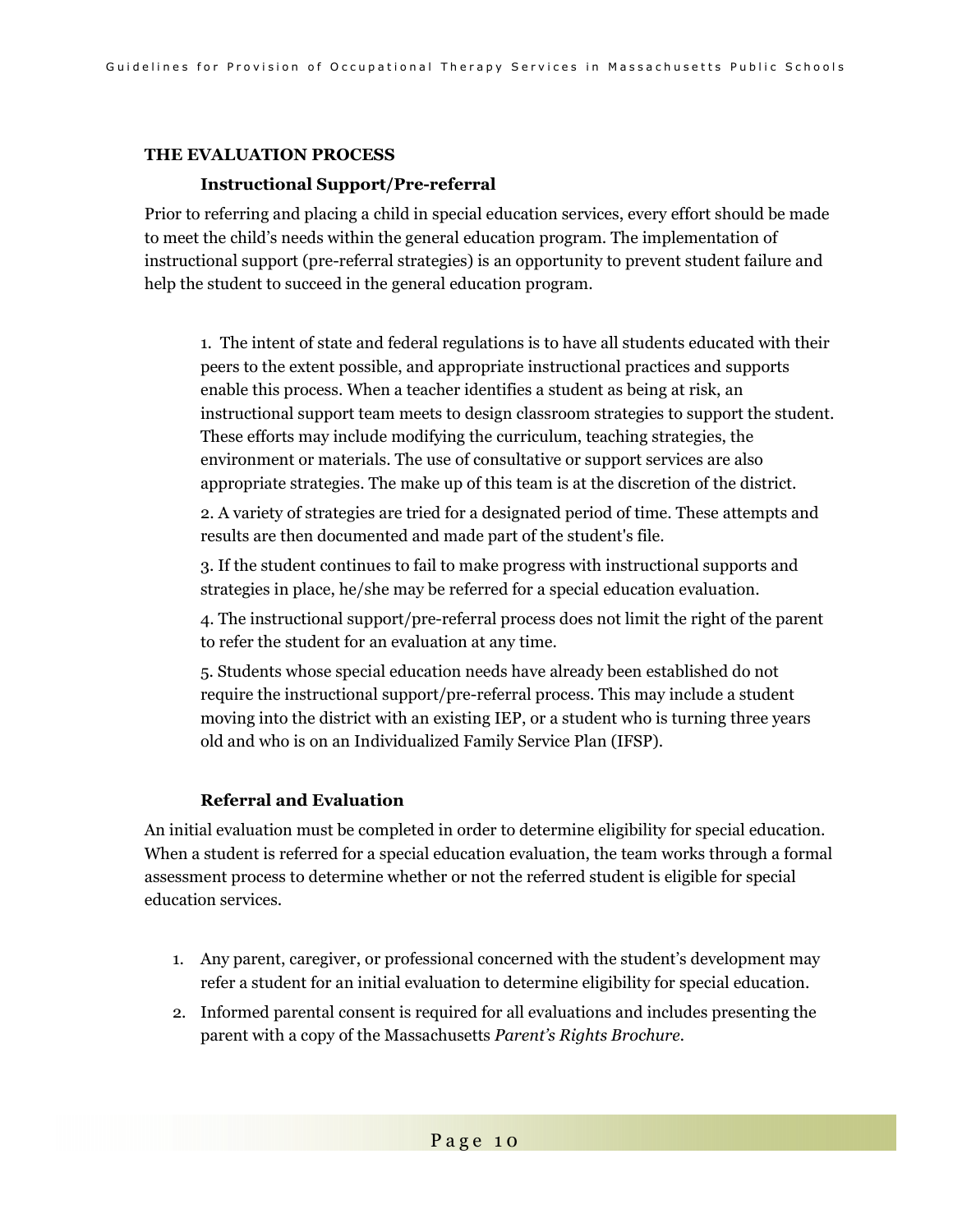#### **THE EVALUATION PROCESS**

#### **Instructional Support/Pre-referral**

Prior to referring and placing a child in special education services, every effort should be made to meet the child's needs within the general education program. The implementation of instructional support (pre-referral strategies) is an opportunity to prevent student failure and help the student to succeed in the general education program.

1. The intent of state and federal regulations is to have all students educated with their peers to the extent possible, and appropriate instructional practices and supports enable this process. When a teacher identifies a student as being at risk, an instructional support team meets to design classroom strategies to support the student. These efforts may include modifying the curriculum, teaching strategies, the environment or materials. The use of consultative or support services are also appropriate strategies. The make up of this team is at the discretion of the district.

2. A variety of strategies are tried for a designated period of time. These attempts and results are then documented and made part of the student's file.

3. If the student continues to fail to make progress with instructional supports and strategies in place, he/she may be referred for a special education evaluation.

4. The instructional support/pre-referral process does not limit the right of the parent to refer the student for an evaluation at any time.

5. Students whose special education needs have already been established do not require the instructional support/pre-referral process. This may include a student moving into the district with an existing IEP, or a student who is turning three years old and who is on an Individualized Family Service Plan (IFSP).

#### **Referral and Evaluation**

An initial evaluation must be completed in order to determine eligibility for special education. When a student is referred for a special education evaluation, the team works through a formal assessment process to determine whether or not the referred student is eligible for special education services.

- 1. Any parent, caregiver, or professional concerned with the student's development may refer a student for an initial evaluation to determine eligibility for special education.
- 2. Informed parental consent is required for all evaluations and includes presenting the parent with a copy of the Massachusetts *Parent's Rights Brochure.*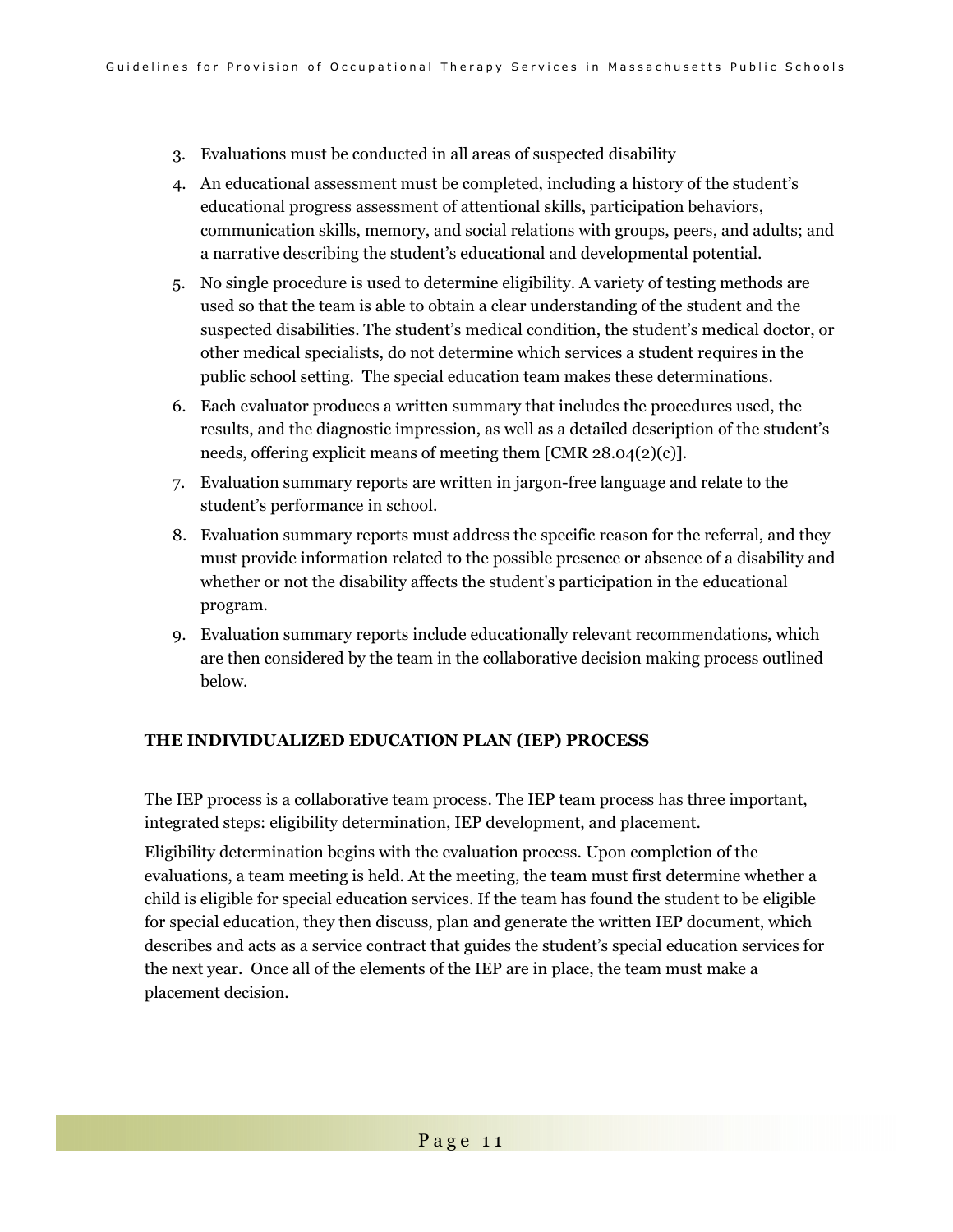- 3. Evaluations must be conducted in all areas of suspected disability
- 4. An educational assessment must be completed, including a history of the student's educational progress assessment of attentional skills, participation behaviors, communication skills, memory, and social relations with groups, peers, and adults; and a narrative describing the student's educational and developmental potential.
- 5. No single procedure is used to determine eligibility. A variety of testing methods are used so that the team is able to obtain a clear understanding of the student and the suspected disabilities. The student's medical condition, the student's medical doctor, or other medical specialists, do not determine which services a student requires in the public school setting. The special education team makes these determinations.
- 6. Each evaluator produces a written summary that includes the procedures used, the results, and the diagnostic impression, as well as a detailed description of the student's needs, offering explicit means of meeting them [CMR 28.04(2)(c)].
- 7. Evaluation summary reports are written in jargon-free language and relate to the student's performance in school.
- 8. Evaluation summary reports must address the specific reason for the referral, and they must provide information related to the possible presence or absence of a disability and whether or not the disability affects the student's participation in the educational program.
- 9. Evaluation summary reports include educationally relevant recommendations, which are then considered by the team in the collaborative decision making process outlined below.

#### **THE INDIVIDUALIZED EDUCATION PLAN (IEP) PROCESS**

The IEP process is a collaborative team process. The IEP team process has three important, integrated steps: eligibility determination, IEP development, and placement.

Eligibility determination begins with the evaluation process. Upon completion of the evaluations, a team meeting is held. At the meeting, the team must first determine whether a child is eligible for special education services. If the team has found the student to be eligible for special education, they then discuss, plan and generate the written IEP document, which describes and acts as a service contract that guides the student's special education services for the next year. Once all of the elements of the IEP are in place, the team must make a placement decision.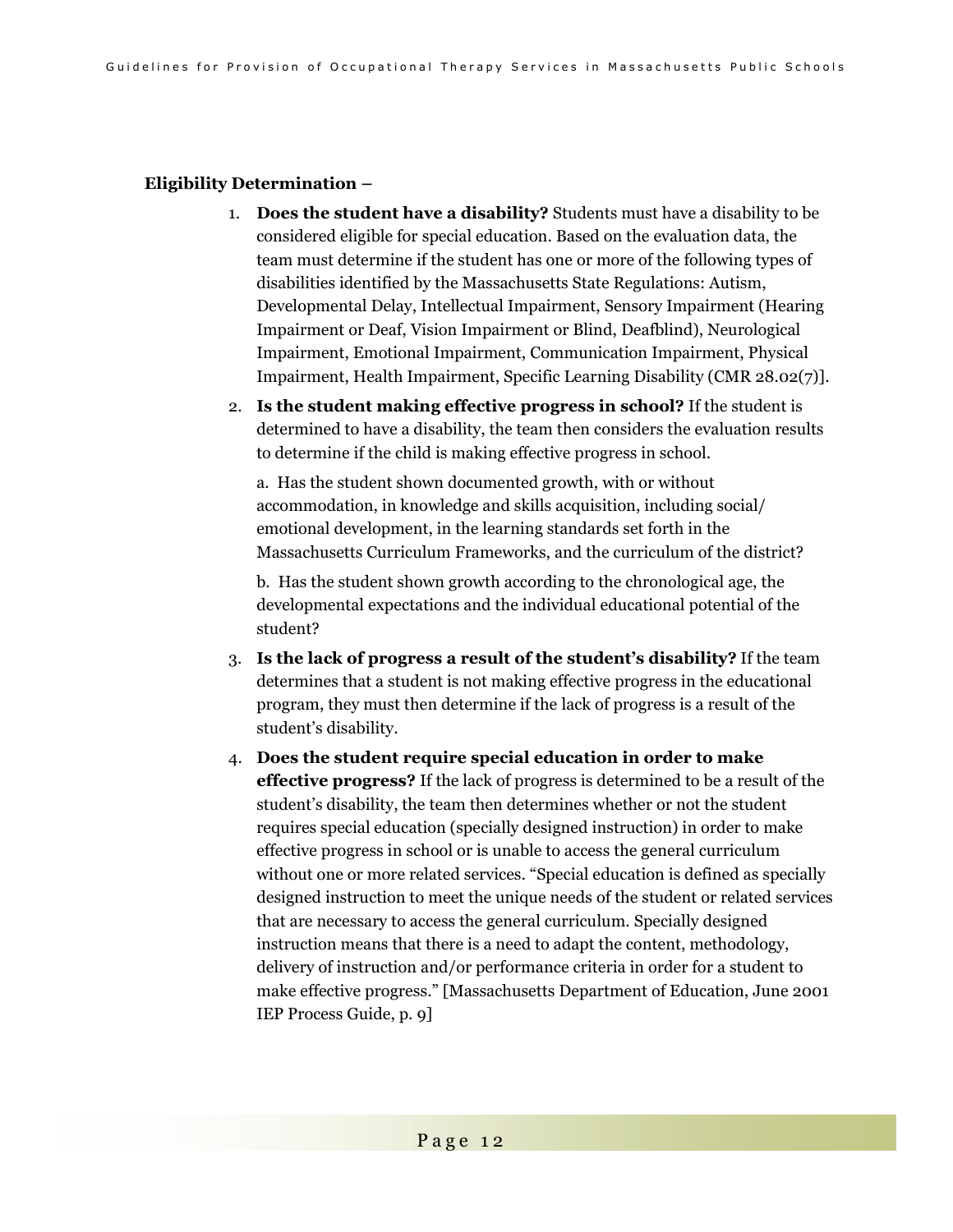#### **Eligibility Determination –**

- 1. **Does the student have a disability?** Students must have a disability to be considered eligible for special education. Based on the evaluation data, the team must determine if the student has one or more of the following types of disabilities identified by the Massachusetts State Regulations: Autism, Developmental Delay, Intellectual Impairment, Sensory Impairment (Hearing Impairment or Deaf, Vision Impairment or Blind, Deafblind), Neurological Impairment, Emotional Impairment, Communication Impairment, Physical Impairment, Health Impairment, Specific Learning Disability (CMR 28.02(7)].
- 2. **Is the student making effective progress in school?** If the student is determined to have a disability, the team then considers the evaluation results to determine if the child is making effective progress in school.

a. Has the student shown documented growth, with or without accommodation, in knowledge and skills acquisition, including social/ emotional development, in the learning standards set forth in the Massachusetts Curriculum Frameworks, and the curriculum of the district?

b. Has the student shown growth according to the chronological age, the developmental expectations and the individual educational potential of the student?

- 3. **Is the lack of progress a result of the student's disability?** If the team determines that a student is not making effective progress in the educational program, they must then determine if the lack of progress is a result of the student's disability.
- 4. **Does the student require special education in order to make effective progress?** If the lack of progress is determined to be a result of the student's disability, the team then determines whether or not the student requires special education (specially designed instruction) in order to make effective progress in school or is unable to access the general curriculum without one or more related services. "Special education is defined as specially designed instruction to meet the unique needs of the student or related services that are necessary to access the general curriculum. Specially designed instruction means that there is a need to adapt the content, methodology, delivery of instruction and/or performance criteria in order for a student to make effective progress." [Massachusetts Department of Education, June 2001 IEP Process Guide, p. 9]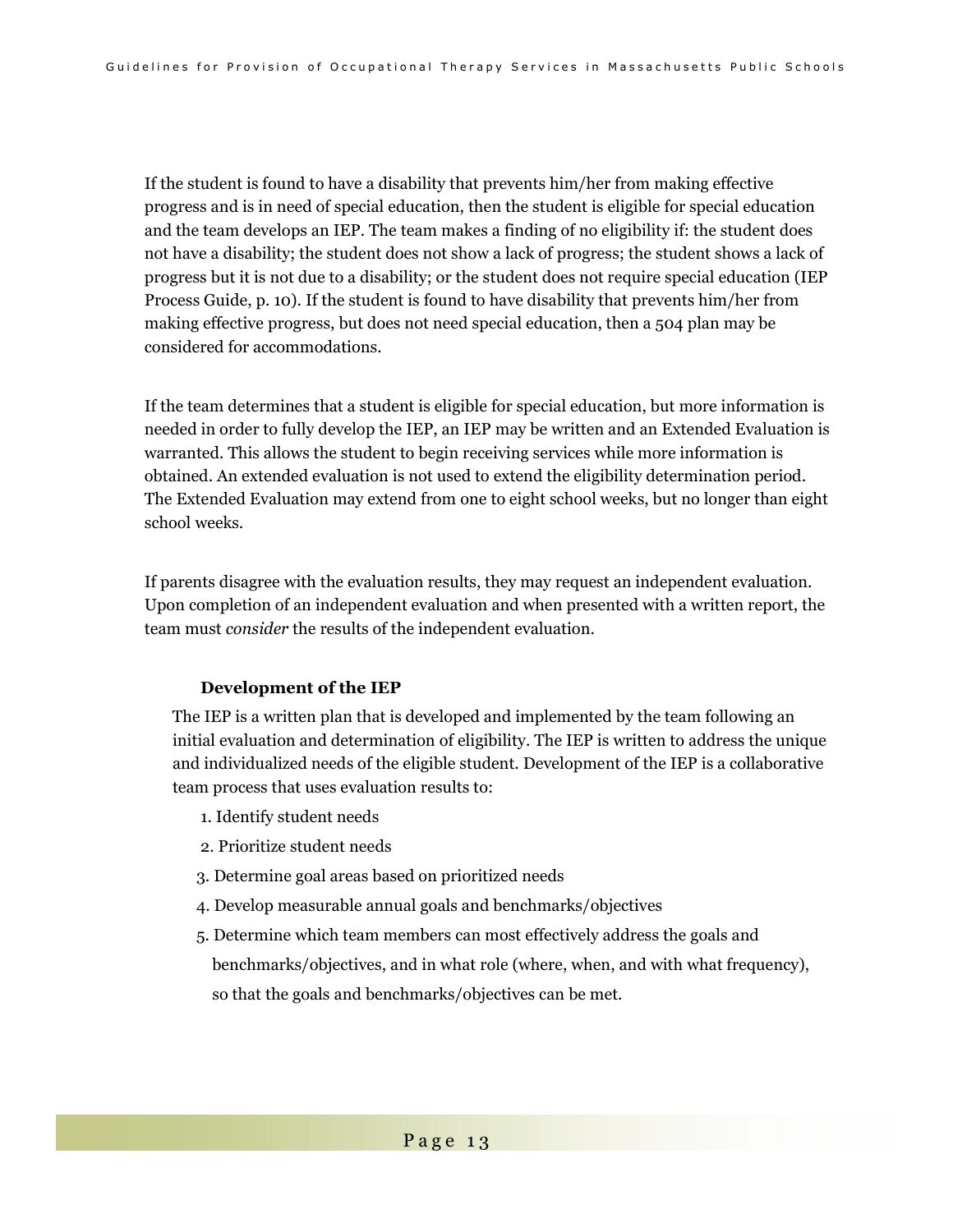If the student is found to have a disability that prevents him/her from making effective progress and is in need of special education, then the student is eligible for special education and the team develops an IEP. The team makes a finding of no eligibility if: the student does not have a disability; the student does not show a lack of progress; the student shows a lack of progress but it is not due to a disability; or the student does not require special education (IEP Process Guide, p. 10). If the student is found to have disability that prevents him/her from making effective progress, but does not need special education, then a 504 plan may be considered for accommodations.

If the team determines that a student is eligible for special education, but more information is needed in order to fully develop the IEP, an IEP may be written and an Extended Evaluation is warranted. This allows the student to begin receiving services while more information is obtained. An extended evaluation is not used to extend the eligibility determination period. The Extended Evaluation may extend from one to eight school weeks, but no longer than eight school weeks.

If parents disagree with the evaluation results, they may request an independent evaluation. Upon completion of an independent evaluation and when presented with a written report, the team must *consider* the results of the independent evaluation.

#### **Development of the IEP**

 The IEP is a written plan that is developed and implemented by the team following an initial evaluation and determination of eligibility. The IEP is written to address the unique and individualized needs of the eligible student. Development of the IEP is a collaborative team process that uses evaluation results to:

- 1. Identify student needs
- 2. Prioritize student needs
- 3. Determine goal areas based on prioritized needs
- 4. Develop measurable annual goals and benchmarks/objectives
- 5. Determine which team members can most effectively address the goals and benchmarks/objectives, and in what role (where, when, and with what frequency), so that the goals and benchmarks/objectives can be met.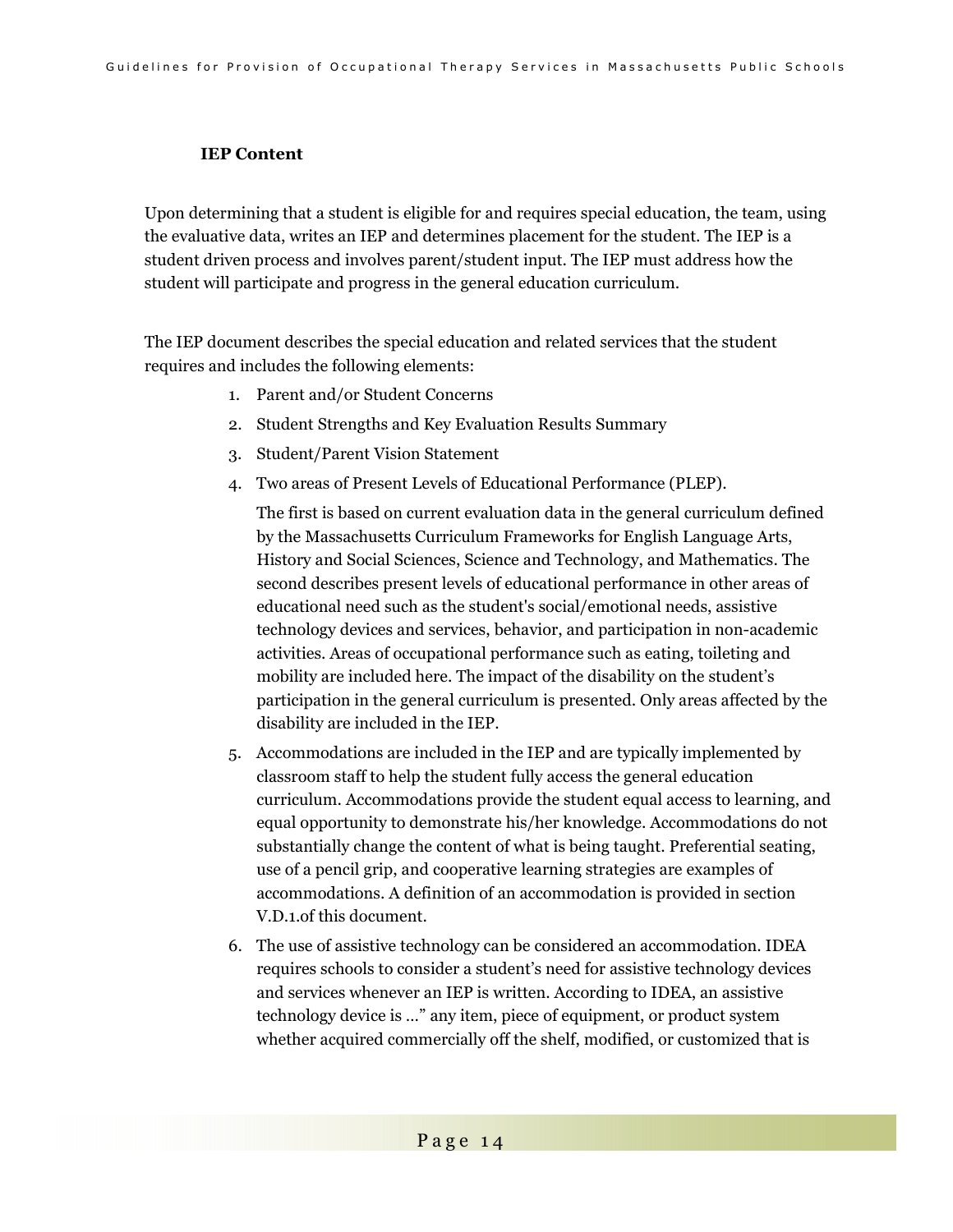### **IEP Content**

Upon determining that a student is eligible for and requires special education, the team, using the evaluative data, writes an IEP and determines placement for the student. The IEP is a student driven process and involves parent/student input. The IEP must address how the student will participate and progress in the general education curriculum.

The IEP document describes the special education and related services that the student requires and includes the following elements:

- 1. Parent and/or Student Concerns
- 2. Student Strengths and Key Evaluation Results Summary
- 3. Student/Parent Vision Statement
- 4. Two areas of Present Levels of Educational Performance (PLEP).

The first is based on current evaluation data in the general curriculum defined by the Massachusetts Curriculum Frameworks for English Language Arts, History and Social Sciences, Science and Technology, and Mathematics. The second describes present levels of educational performance in other areas of educational need such as the student's social/emotional needs, assistive technology devices and services, behavior, and participation in non-academic activities. Areas of occupational performance such as eating, toileting and mobility are included here. The impact of the disability on the student's participation in the general curriculum is presented. Only areas affected by the disability are included in the IEP.

- 5. Accommodations are included in the IEP and are typically implemented by classroom staff to help the student fully access the general education curriculum. Accommodations provide the student equal access to learning, and equal opportunity to demonstrate his/her knowledge. Accommodations do not substantially change the content of what is being taught. Preferential seating, use of a pencil grip, and cooperative learning strategies are examples of accommodations. A definition of an accommodation is provided in section V.D.1.of this document.
- 6. The use of assistive technology can be considered an accommodation. IDEA requires schools to consider a student's need for assistive technology devices and services whenever an IEP is written. According to IDEA, an assistive technology device is …" any item, piece of equipment, or product system whether acquired commercially off the shelf, modified, or customized that is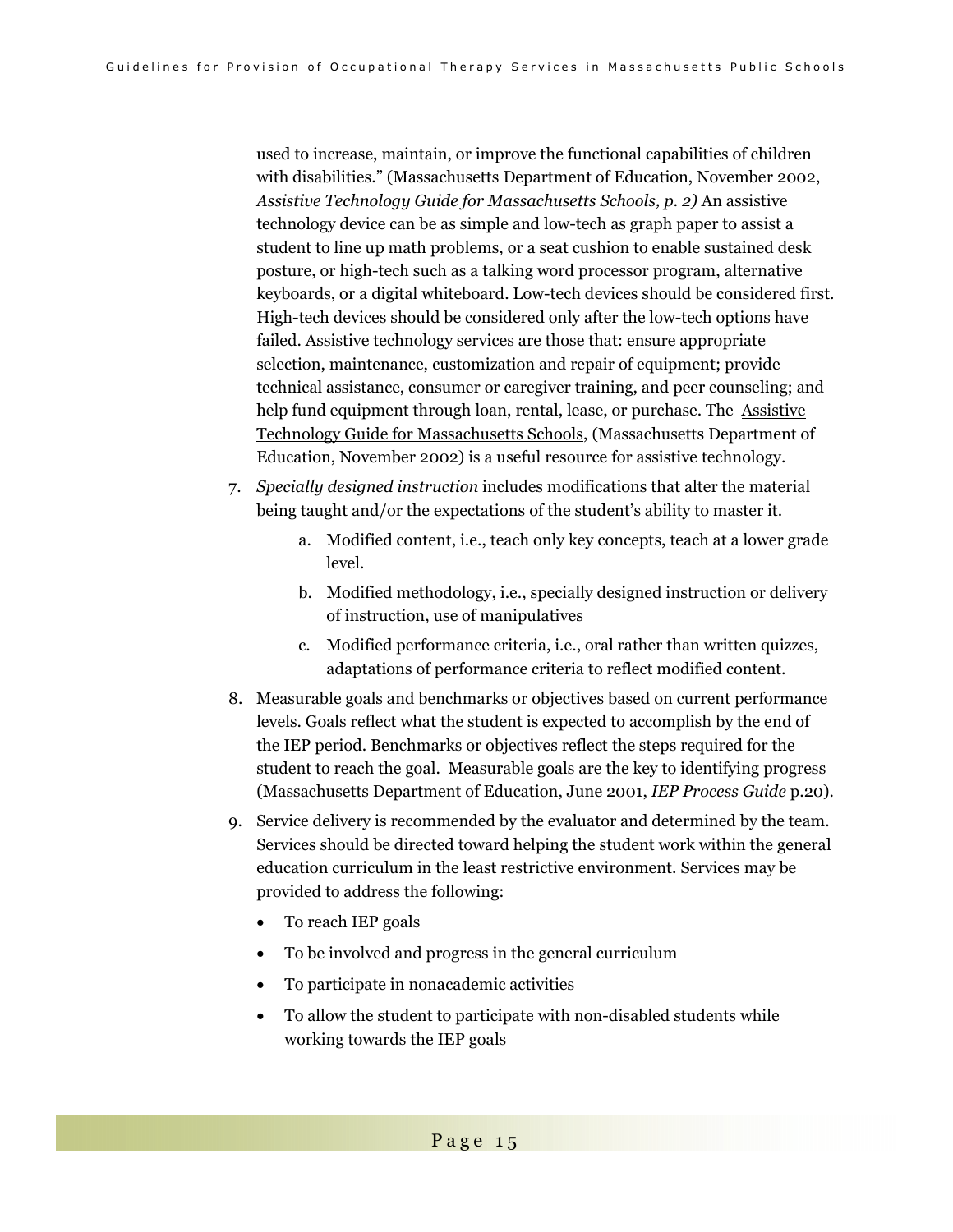used to increase, maintain, or improve the functional capabilities of children with disabilities." (Massachusetts Department of Education, November 2002, *Assistive Technology Guide for Massachusetts Schools, p. 2)* An assistive technology device can be as simple and low-tech as graph paper to assist a student to line up math problems, or a seat cushion to enable sustained desk posture, or high-tech such as a talking word processor program, alternative keyboards, or a digital whiteboard. Low-tech devices should be considered first. High-tech devices should be considered only after the low-tech options have failed. Assistive technology services are those that: ensure appropriate selection, maintenance, customization and repair of equipment; provide technical assistance, consumer or caregiver training, and peer counseling; and help fund equipment through loan, rental, lease, or purchase. The **Assistive** Technology Guide for Massachusetts Schools, (Massachusetts Department of Education, November 2002) is a useful resource for assistive technology.

- 7. *Specially designed instruction* includes modifications that alter the material being taught and/or the expectations of the student's ability to master it.
	- a. Modified content, i.e., teach only key concepts, teach at a lower grade level.
	- b. Modified methodology, i.e., specially designed instruction or delivery of instruction, use of manipulatives
	- c. Modified performance criteria, i.e., oral rather than written quizzes, adaptations of performance criteria to reflect modified content.
- 8. Measurable goals and benchmarks or objectives based on current performance levels. Goals reflect what the student is expected to accomplish by the end of the IEP period. Benchmarks or objectives reflect the steps required for the student to reach the goal. Measurable goals are the key to identifying progress (Massachusetts Department of Education, June 2001, *IEP Process Guide* p.20).
- 9. Service delivery is recommended by the evaluator and determined by the team. Services should be directed toward helping the student work within the general education curriculum in the least restrictive environment. Services may be provided to address the following:
	- To reach IEP goals
	- To be involved and progress in the general curriculum
	- To participate in nonacademic activities
	- To allow the student to participate with non-disabled students while working towards the IEP goals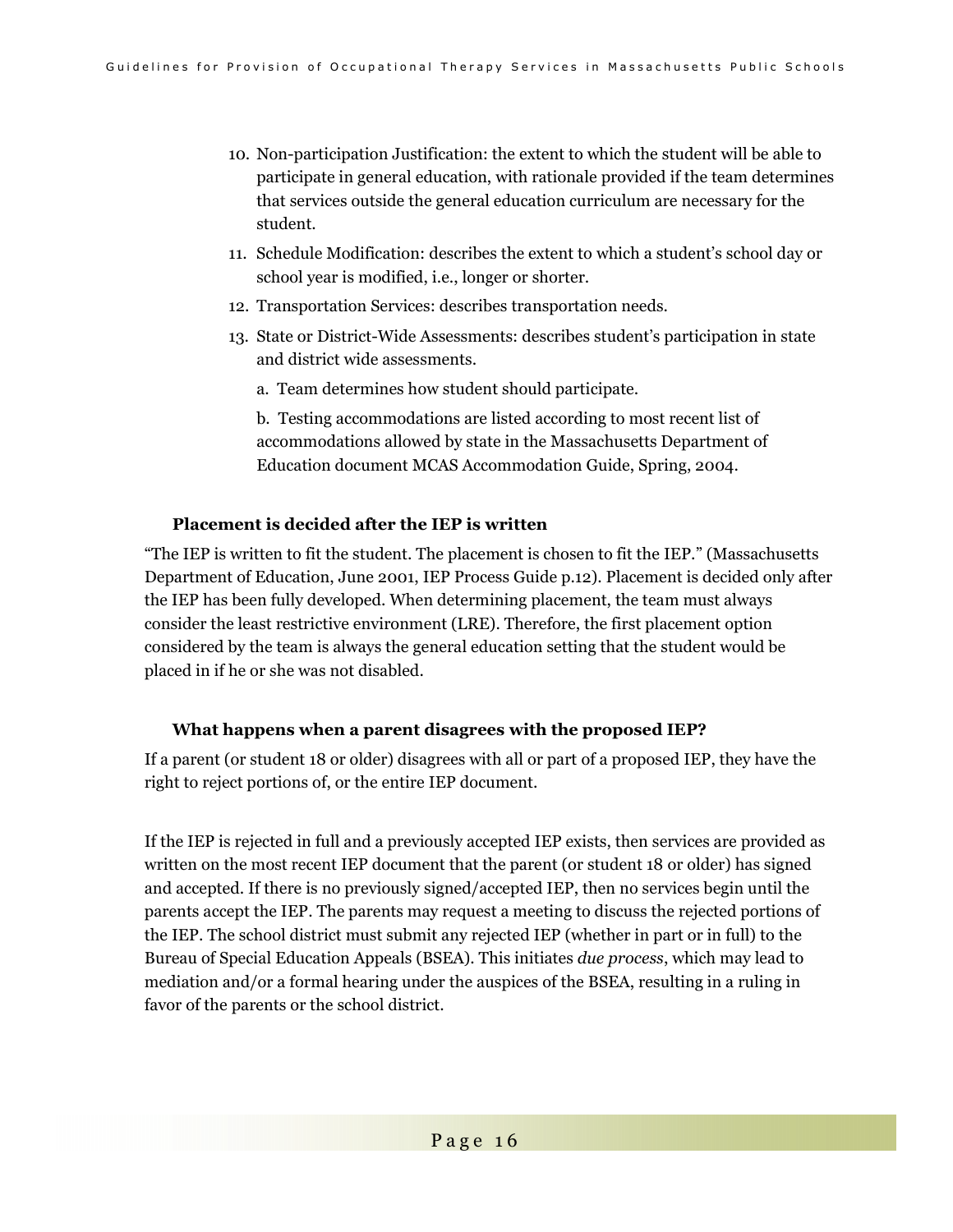- 10. Non-participation Justification: the extent to which the student will be able to participate in general education, with rationale provided if the team determines that services outside the general education curriculum are necessary for the student.
- 11. Schedule Modification: describes the extent to which a student's school day or school year is modified, i.e., longer or shorter.
- 12. Transportation Services: describes transportation needs.
- 13. State or District-Wide Assessments: describes student's participation in state and district wide assessments.
	- a. Team determines how student should participate.

b. Testing accommodations are listed according to most recent list of accommodations allowed by state in the Massachusetts Department of Education document MCAS Accommodation Guide, Spring, 2004.

#### **Placement is decided after the IEP is written**

"The IEP is written to fit the student. The placement is chosen to fit the IEP." (Massachusetts Department of Education, June 2001, IEP Process Guide p.12). Placement is decided only after the IEP has been fully developed. When determining placement, the team must always consider the least restrictive environment (LRE). Therefore, the first placement option considered by the team is always the general education setting that the student would be placed in if he or she was not disabled.

#### **What happens when a parent disagrees with the proposed IEP?**

If a parent (or student 18 or older) disagrees with all or part of a proposed IEP, they have the right to reject portions of, or the entire IEP document.

If the IEP is rejected in full and a previously accepted IEP exists, then services are provided as written on the most recent IEP document that the parent (or student 18 or older) has signed and accepted. If there is no previously signed/accepted IEP, then no services begin until the parents accept the IEP. The parents may request a meeting to discuss the rejected portions of the IEP. The school district must submit any rejected IEP (whether in part or in full) to the Bureau of Special Education Appeals (BSEA). This initiates *due process*, which may lead to mediation and/or a formal hearing under the auspices of the BSEA, resulting in a ruling in favor of the parents or the school district.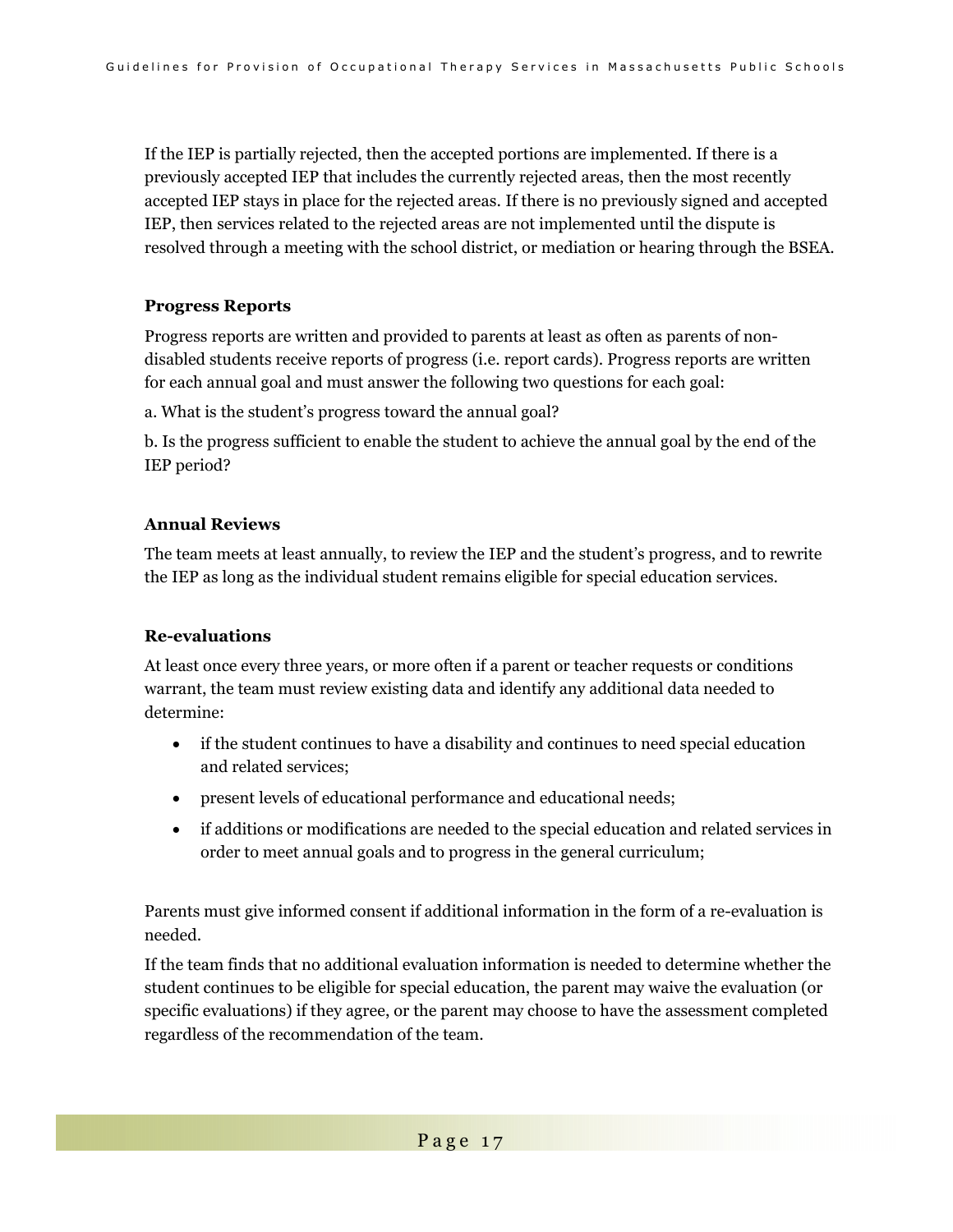If the IEP is partially rejected, then the accepted portions are implemented. If there is a previously accepted IEP that includes the currently rejected areas, then the most recently accepted IEP stays in place for the rejected areas. If there is no previously signed and accepted IEP, then services related to the rejected areas are not implemented until the dispute is resolved through a meeting with the school district, or mediation or hearing through the BSEA.

#### **Progress Reports**

Progress reports are written and provided to parents at least as often as parents of nondisabled students receive reports of progress (i.e. report cards). Progress reports are written for each annual goal and must answer the following two questions for each goal:

a. What is the student's progress toward the annual goal?

b. Is the progress sufficient to enable the student to achieve the annual goal by the end of the IEP period?

#### **Annual Reviews**

The team meets at least annually, to review the IEP and the student's progress, and to rewrite the IEP as long as the individual student remains eligible for special education services.

#### **Re-evaluations**

At least once every three years, or more often if a parent or teacher requests or conditions warrant, the team must review existing data and identify any additional data needed to determine:

- if the student continues to have a disability and continues to need special education and related services;
- present levels of educational performance and educational needs;
- if additions or modifications are needed to the special education and related services in order to meet annual goals and to progress in the general curriculum;

Parents must give informed consent if additional information in the form of a re-evaluation is needed.

If the team finds that no additional evaluation information is needed to determine whether the student continues to be eligible for special education, the parent may waive the evaluation (or specific evaluations) if they agree, or the parent may choose to have the assessment completed regardless of the recommendation of the team.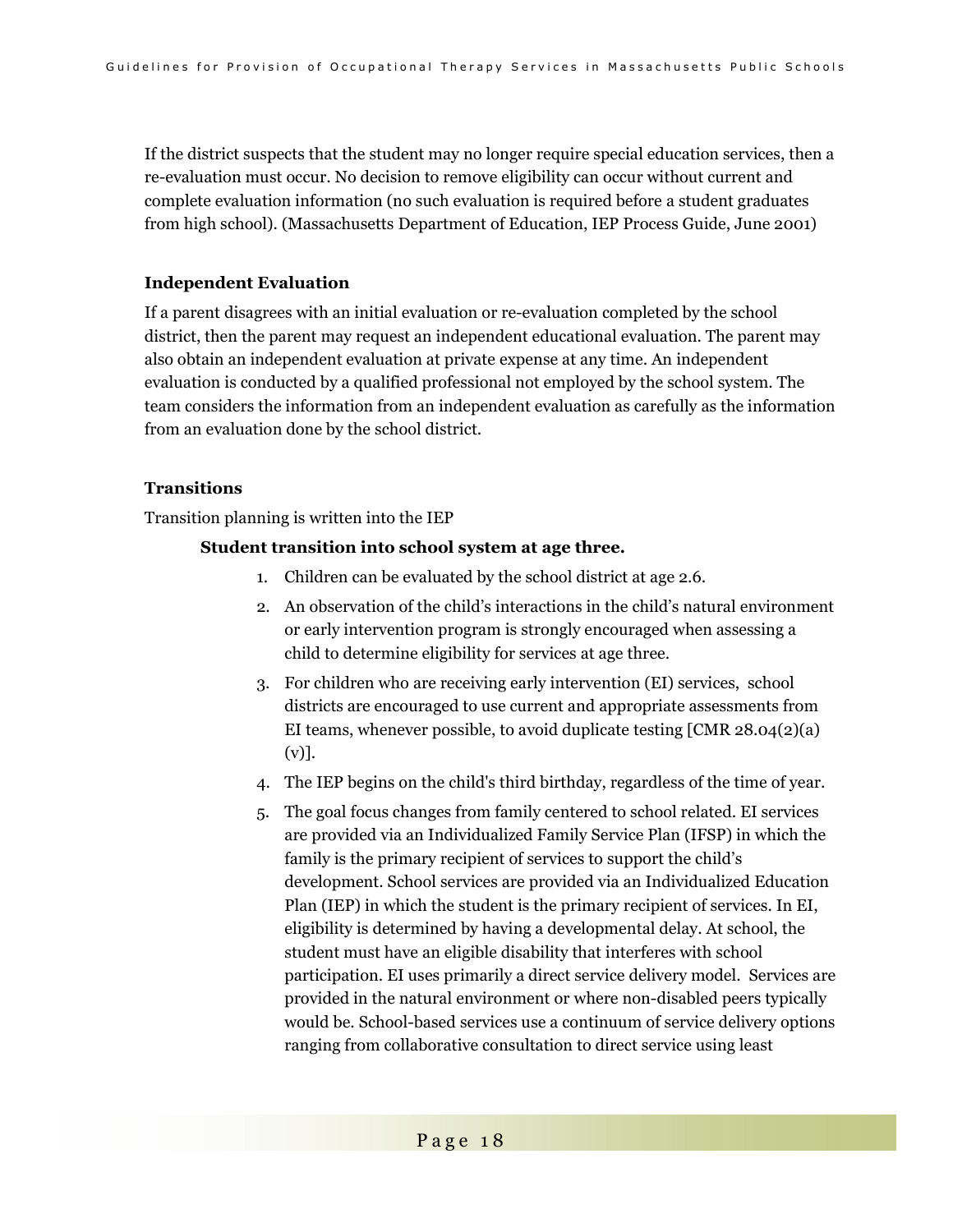If the district suspects that the student may no longer require special education services, then a re-evaluation must occur. No decision to remove eligibility can occur without current and complete evaluation information (no such evaluation is required before a student graduates from high school). (Massachusetts Department of Education, IEP Process Guide, June 2001)

#### **Independent Evaluation**

If a parent disagrees with an initial evaluation or re-evaluation completed by the school district, then the parent may request an independent educational evaluation. The parent may also obtain an independent evaluation at private expense at any time. An independent evaluation is conducted by a qualified professional not employed by the school system. The team considers the information from an independent evaluation as carefully as the information from an evaluation done by the school district.

### **Transitions**

Transition planning is written into the IEP

### **Student transition into school system at age three.**

- 1. Children can be evaluated by the school district at age 2.6.
- 2. An observation of the child's interactions in the child's natural environment or early intervention program is strongly encouraged when assessing a child to determine eligibility for services at age three.
- 3. For children who are receiving early intervention (EI) services, school districts are encouraged to use current and appropriate assessments from EI teams, whenever possible, to avoid duplicate testing  $[CMR 28.04(2)(a)]$ (v)].
- 4. The IEP begins on the child's third birthday, regardless of the time of year.
- 5. The goal focus changes from family centered to school related. EI services are provided via an Individualized Family Service Plan (IFSP) in which the family is the primary recipient of services to support the child's development. School services are provided via an Individualized Education Plan (IEP) in which the student is the primary recipient of services. In EI, eligibility is determined by having a developmental delay. At school, the student must have an eligible disability that interferes with school participation. EI uses primarily a direct service delivery model. Services are provided in the natural environment or where non-disabled peers typically would be. School-based services use a continuum of service delivery options ranging from collaborative consultation to direct service using least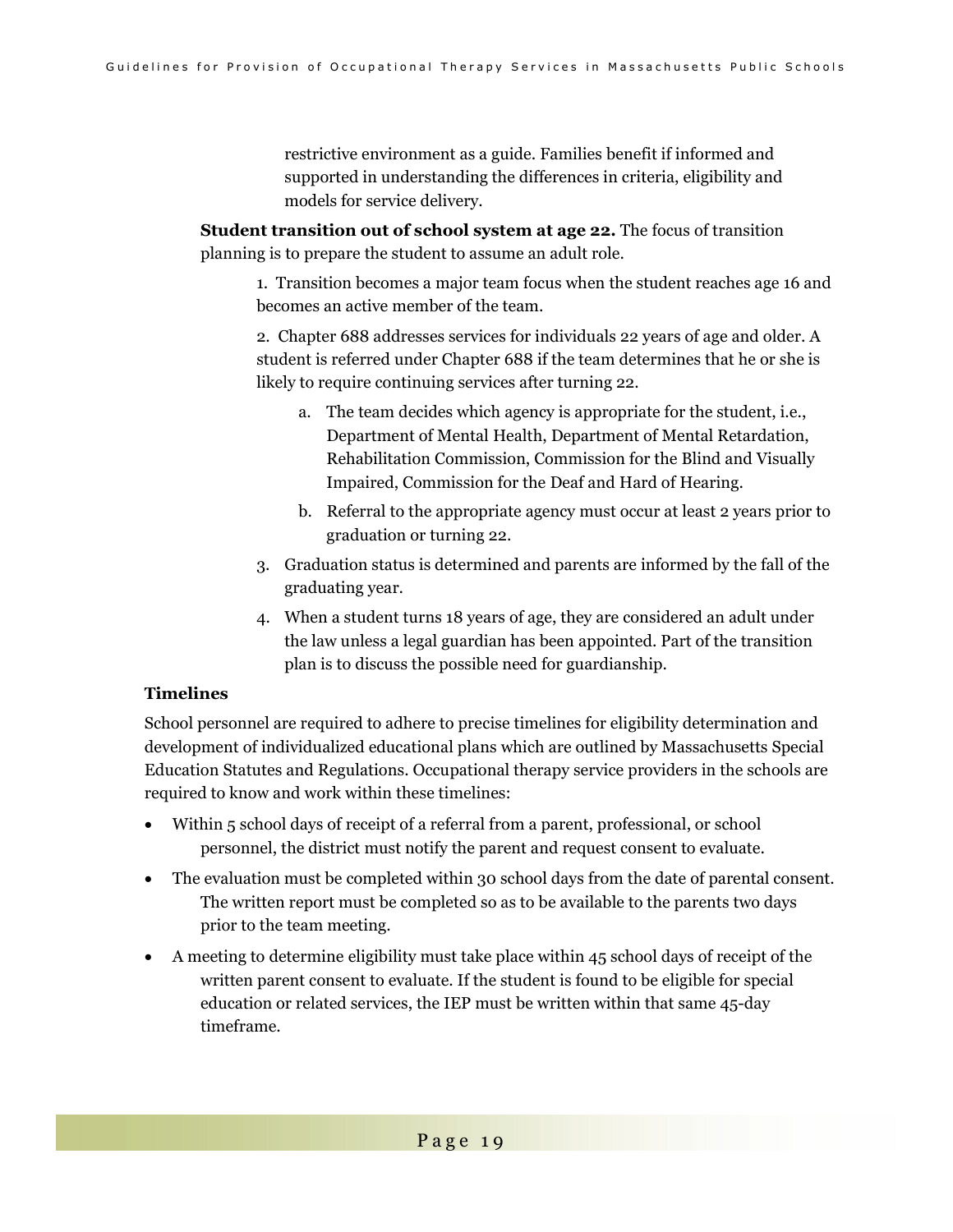restrictive environment as a guide. Families benefit if informed and supported in understanding the differences in criteria, eligibility and models for service delivery.

**Student transition out of school system at age 22.** The focus of transition planning is to prepare the student to assume an adult role.

1. Transition becomes a major team focus when the student reaches age 16 and becomes an active member of the team.

2. Chapter 688 addresses services for individuals 22 years of age and older. A student is referred under Chapter 688 if the team determines that he or she is likely to require continuing services after turning 22.

- a. The team decides which agency is appropriate for the student, i.e., Department of Mental Health, Department of Mental Retardation, Rehabilitation Commission, Commission for the Blind and Visually Impaired, Commission for the Deaf and Hard of Hearing.
- b. Referral to the appropriate agency must occur at least 2 years prior to graduation or turning 22.
- 3. Graduation status is determined and parents are informed by the fall of the graduating year.
- 4. When a student turns 18 years of age, they are considered an adult under the law unless a legal guardian has been appointed. Part of the transition plan is to discuss the possible need for guardianship.

#### **Timelines**

School personnel are required to adhere to precise timelines for eligibility determination and development of individualized educational plans which are outlined by Massachusetts Special Education Statutes and Regulations. Occupational therapy service providers in the schools are required to know and work within these timelines:

- Within 5 school days of receipt of a referral from a parent, professional, or school personnel, the district must notify the parent and request consent to evaluate.
- The evaluation must be completed within 30 school days from the date of parental consent. The written report must be completed so as to be available to the parents two days prior to the team meeting.
- A meeting to determine eligibility must take place within 45 school days of receipt of the written parent consent to evaluate. If the student is found to be eligible for special education or related services, the IEP must be written within that same 45-day timeframe.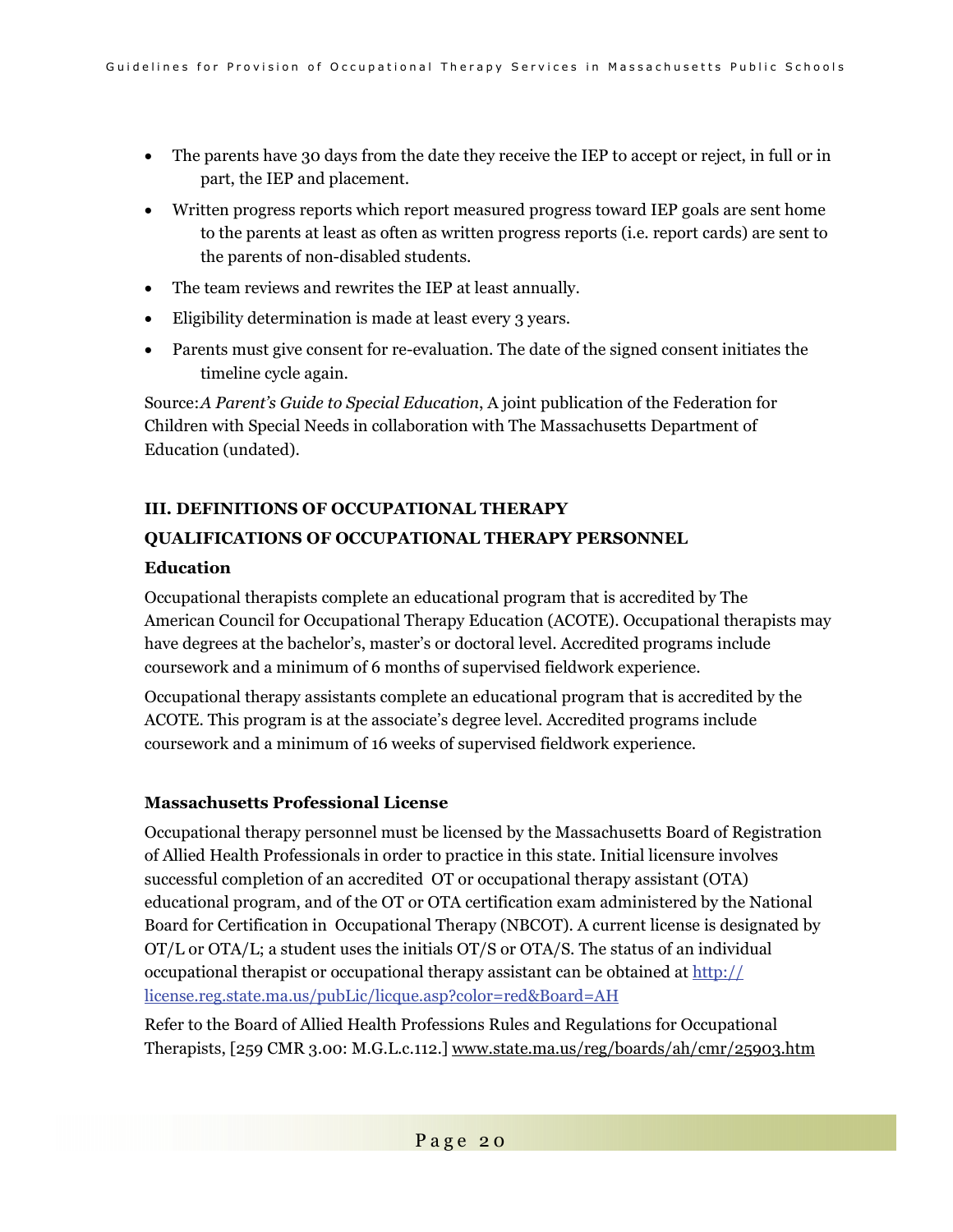- The parents have 30 days from the date they receive the IEP to accept or reject, in full or in part, the IEP and placement.
- Written progress reports which report measured progress toward IEP goals are sent home to the parents at least as often as written progress reports (i.e. report cards) are sent to the parents of non-disabled students.
- The team reviews and rewrites the IEP at least annually.
- Eligibility determination is made at least every 3 years.
- Parents must give consent for re-evaluation. The date of the signed consent initiates the timeline cycle again.

Source: *A Parent's Guide to Special Education*, A joint publication of the Federation for Children with Special Needs in collaboration with The Massachusetts Department of Education (undated).

# **III. DEFINITIONS OF OCCUPATIONAL THERAPY QUALIFICATIONS OF OCCUPATIONAL THERAPY PERSONNEL**

### **Education**

Occupational therapists complete an educational program that is accredited by The American Council for Occupational Therapy Education (ACOTE). Occupational therapists may have degrees at the bachelor's, master's or doctoral level. Accredited programs include coursework and a minimum of 6 months of supervised fieldwork experience.

Occupational therapy assistants complete an educational program that is accredited by the ACOTE. This program is at the associate's degree level. Accredited programs include coursework and a minimum of 16 weeks of supervised fieldwork experience.

### **Massachusetts Professional License**

Occupational therapy personnel must be licensed by the Massachusetts Board of Registration of Allied Health Professionals in order to practice in this state. Initial licensure involves successful completion of an accredited OT or occupational therapy assistant (OTA) educational program, and of the OT or OTA certification exam administered by the National Board for Certification in Occupational Therapy (NBCOT). A current license is designated by OT/L or OTA/L; a student uses the initials OT/S or OTA/S. The status of an individual occupational therapist or occupational therapy assistant can be obtained at http:// license.reg.state.ma.us/pubLic/licque.asp?color=red&Board=AH

Refer to the Board of Allied Health Professions Rules and Regulations for Occupational Therapists, [259 CMR 3.00: M.G.L.c.112.] www.state.ma.us/reg/boards/ah/cmr/25903.htm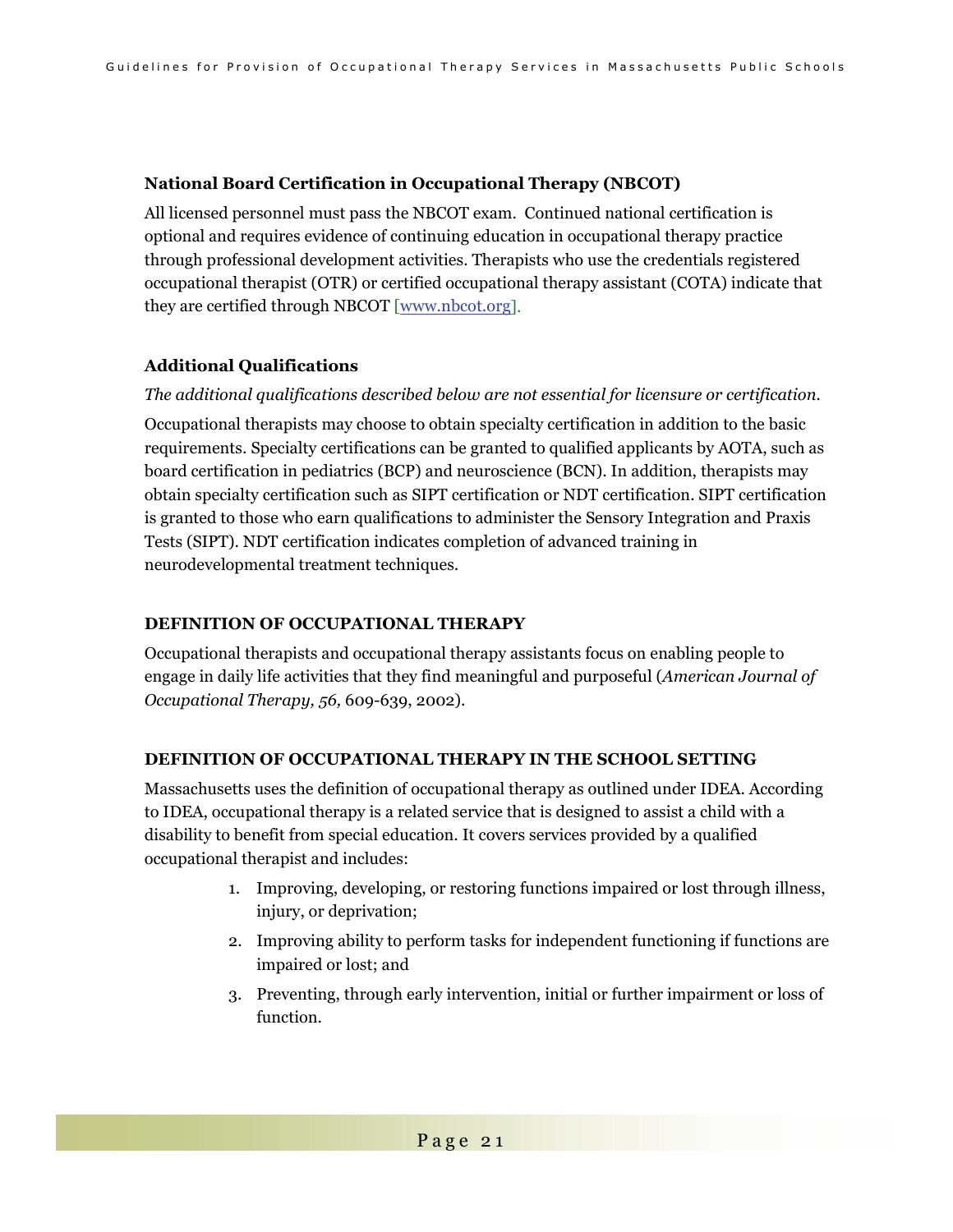#### **National Board Certification in Occupational Therapy (NBCOT)**

All licensed personnel must pass the NBCOT exam. Continued national certification is optional and requires evidence of continuing education in occupational therapy practice through professional development activities. Therapists who use the credentials registered occupational therapist (OTR) or certified occupational therapy assistant (COTA) indicate that they are certified through NBCOT [www.nbcot.org].

#### **Additional Qualifications**

### *The additional qualifications described below are not essential for licensure or certification.*

Occupational therapists may choose to obtain specialty certification in addition to the basic requirements. Specialty certifications can be granted to qualified applicants by AOTA, such as board certification in pediatrics (BCP) and neuroscience (BCN). In addition, therapists may obtain specialty certification such as SIPT certification or NDT certification. SIPT certification is granted to those who earn qualifications to administer the Sensory Integration and Praxis Tests (SIPT). NDT certification indicates completion of advanced training in neurodevelopmental treatment techniques.

#### **DEFINITION OF OCCUPATIONAL THERAPY**

Occupational therapists and occupational therapy assistants focus on enabling people to engage in daily life activities that they find meaningful and purposeful (*American Journal of Occupational Therapy, 56,* 609-639, 2002).

#### **DEFINITION OF OCCUPATIONAL THERAPY IN THE SCHOOL SETTING**

Massachusetts uses the definition of occupational therapy as outlined under IDEA. According to IDEA, occupational therapy is a related service that is designed to assist a child with a disability to benefit from special education. It covers services provided by a qualified occupational therapist and includes:

- 1. Improving, developing, or restoring functions impaired or lost through illness, injury, or deprivation;
- 2. Improving ability to perform tasks for independent functioning if functions are impaired or lost; and
- 3. Preventing, through early intervention, initial or further impairment or loss of function.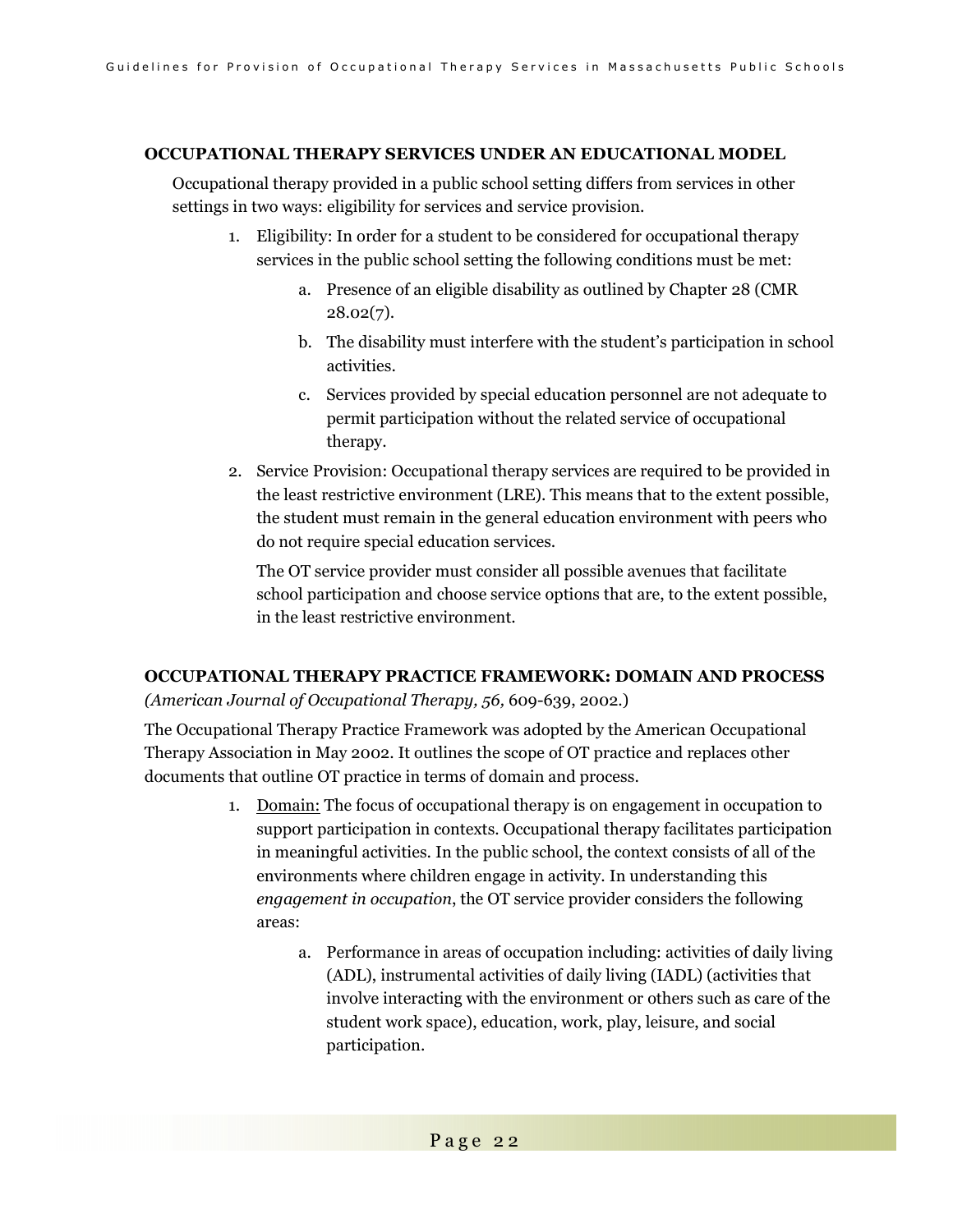#### **OCCUPATIONAL THERAPY SERVICES UNDER AN EDUCATIONAL MODEL**

Occupational therapy provided in a public school setting differs from services in other settings in two ways: eligibility for services and service provision.

- 1. Eligibility: In order for a student to be considered for occupational therapy services in the public school setting the following conditions must be met:
	- a. Presence of an eligible disability as outlined by Chapter 28 (CMR  $28.02(7)$ .
	- b. The disability must interfere with the student's participation in school activities.
	- c. Services provided by special education personnel are not adequate to permit participation without the related service of occupational therapy.
- 2. Service Provision: Occupational therapy services are required to be provided in the least restrictive environment (LRE). This means that to the extent possible, the student must remain in the general education environment with peers who do not require special education services.

The OT service provider must consider all possible avenues that facilitate school participation and choose service options that are, to the extent possible, in the least restrictive environment.

### **OCCUPATIONAL THERAPY PRACTICE FRAMEWORK: DOMAIN AND PROCESS** *(American Journal of Occupational Therapy, 56,* 609-639, 2002.)

The Occupational Therapy Practice Framework was adopted by the American Occupational Therapy Association in May 2002. It outlines the scope of OT practice and replaces other documents that outline OT practice in terms of domain and process.

- 1. Domain: The focus of occupational therapy is on engagement in occupation to support participation in contexts. Occupational therapy facilitates participation in meaningful activities. In the public school, the context consists of all of the environments where children engage in activity. In understanding this *engagement in occupation*, the OT service provider considers the following areas:
	- a. Performance in areas of occupation including: activities of daily living (ADL), instrumental activities of daily living (IADL) (activities that involve interacting with the environment or others such as care of the student work space), education, work, play, leisure, and social participation.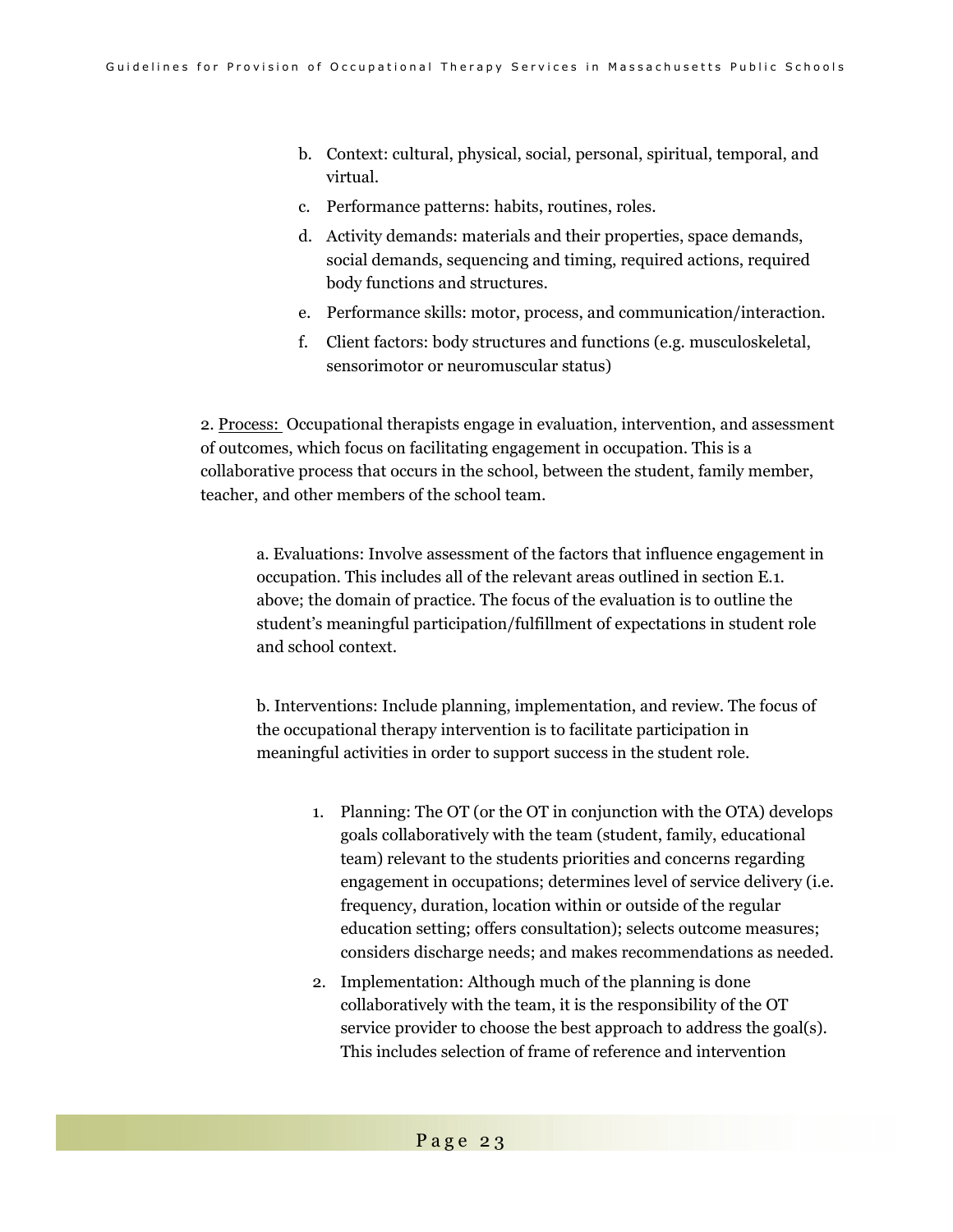- b. Context: cultural, physical, social, personal, spiritual, temporal, and virtual.
- c. Performance patterns: habits, routines, roles.
- d. Activity demands: materials and their properties, space demands, social demands, sequencing and timing, required actions, required body functions and structures.
- e. Performance skills: motor, process, and communication/interaction.
- f. Client factors: body structures and functions (e.g. musculoskeletal, sensorimotor or neuromuscular status)

2. Process: Occupational therapists engage in evaluation, intervention, and assessment of outcomes, which focus on facilitating engagement in occupation. This is a collaborative process that occurs in the school, between the student, family member, teacher, and other members of the school team.

a. Evaluations: Involve assessment of the factors that influence engagement in occupation. This includes all of the relevant areas outlined in section E.1. above; the domain of practice. The focus of the evaluation is to outline the student's meaningful participation/fulfillment of expectations in student role and school context.

b. Interventions: Include planning, implementation, and review. The focus of the occupational therapy intervention is to facilitate participation in meaningful activities in order to support success in the student role.

- 1. Planning: The OT (or the OT in conjunction with the OTA) develops goals collaboratively with the team (student, family, educational team) relevant to the students priorities and concerns regarding engagement in occupations; determines level of service delivery (i.e. frequency, duration, location within or outside of the regular education setting; offers consultation); selects outcome measures; considers discharge needs; and makes recommendations as needed.
- 2. Implementation: Although much of the planning is done collaboratively with the team, it is the responsibility of the OT service provider to choose the best approach to address the goal(s). This includes selection of frame of reference and intervention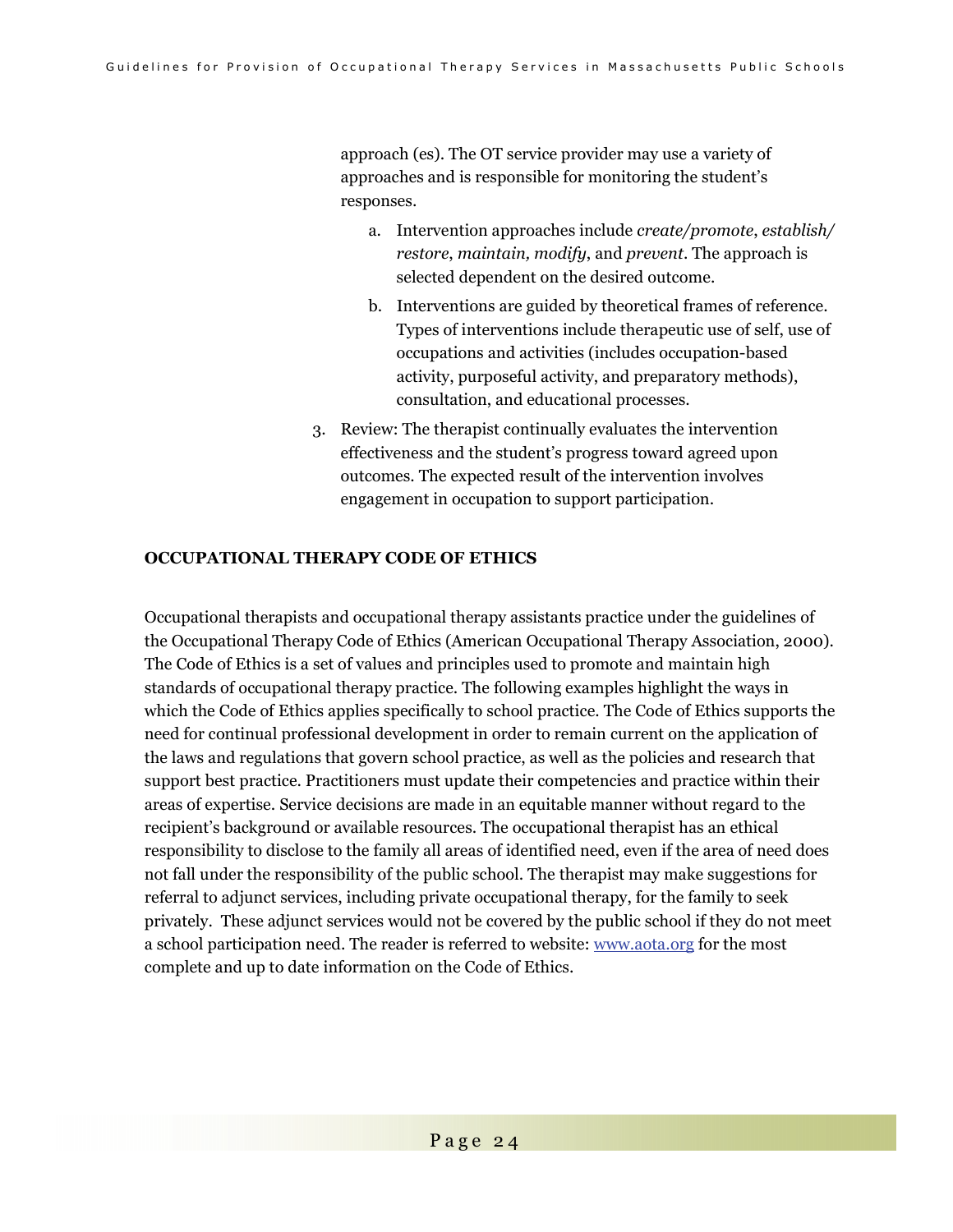approach (es). The OT service provider may use a variety of approaches and is responsible for monitoring the student's responses.

- a. Intervention approaches include *create/promote*, *establish/ restore*, *maintain, modify*, and *prevent*. The approach is selected dependent on the desired outcome.
- b. Interventions are guided by theoretical frames of reference. Types of interventions include therapeutic use of self, use of occupations and activities (includes occupation-based activity, purposeful activity, and preparatory methods), consultation, and educational processes.
- 3. Review: The therapist continually evaluates the intervention effectiveness and the student's progress toward agreed upon outcomes. The expected result of the intervention involves engagement in occupation to support participation.

#### **OCCUPATIONAL THERAPY CODE OF ETHICS**

Occupational therapists and occupational therapy assistants practice under the guidelines of the Occupational Therapy Code of Ethics (American Occupational Therapy Association, 2000). The Code of Ethics is a set of values and principles used to promote and maintain high standards of occupational therapy practice. The following examples highlight the ways in which the Code of Ethics applies specifically to school practice. The Code of Ethics supports the need for continual professional development in order to remain current on the application of the laws and regulations that govern school practice, as well as the policies and research that support best practice. Practitioners must update their competencies and practice within their areas of expertise. Service decisions are made in an equitable manner without regard to the recipient's background or available resources. The occupational therapist has an ethical responsibility to disclose to the family all areas of identified need, even if the area of need does not fall under the responsibility of the public school. The therapist may make suggestions for referral to adjunct services, including private occupational therapy, for the family to seek privately. These adjunct services would not be covered by the public school if they do not meet a school participation need. The reader is referred to website: www.aota.org for the most complete and up to date information on the Code of Ethics.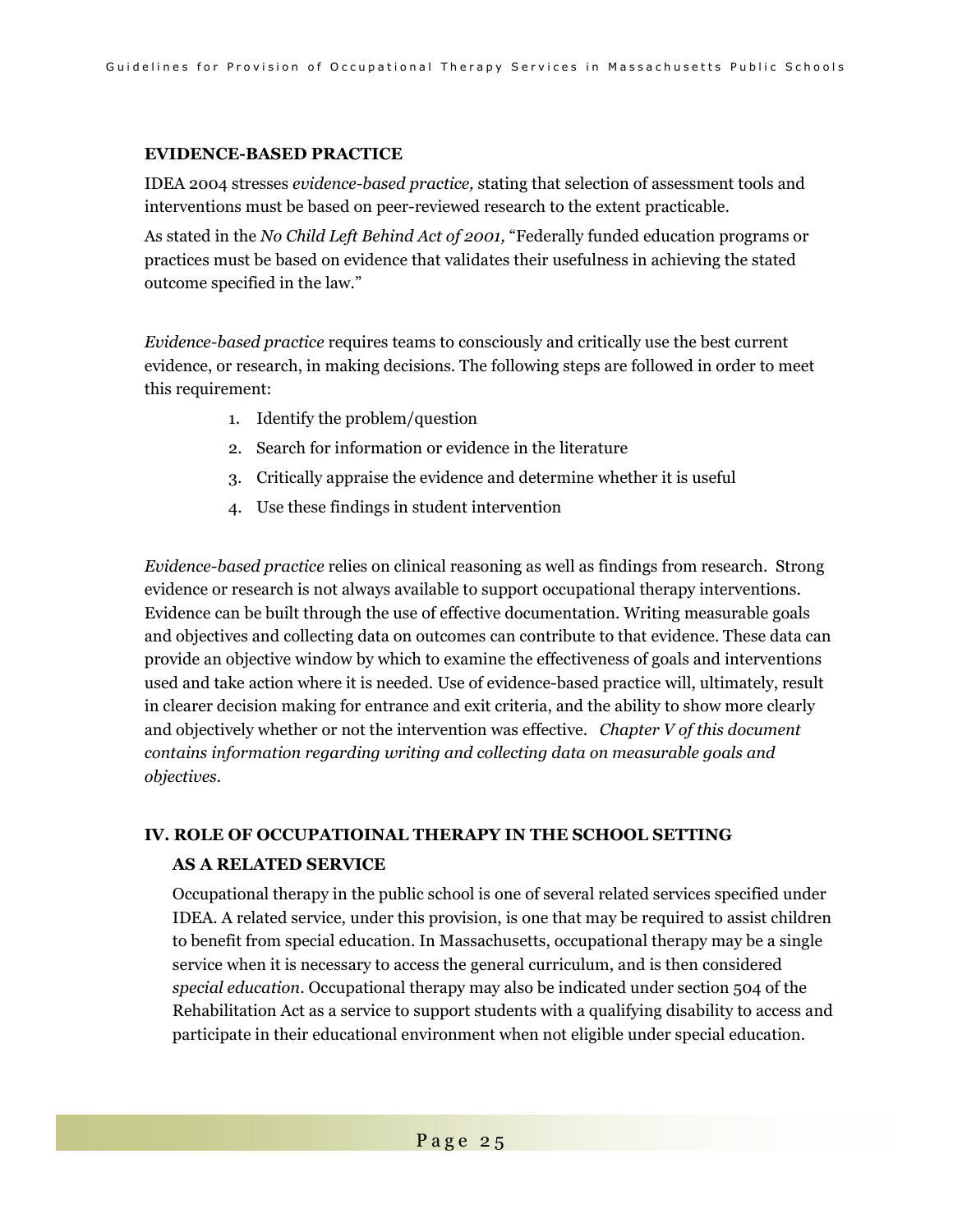#### **EVIDENCE-BASED PRACTICE**

IDEA 2004 stresses *evidence-based practice,* stating that selection of assessment tools and interventions must be based on peer-reviewed research to the extent practicable.

As stated in the *No Child Left Behind Act of 2001,* "Federally funded education programs or practices must be based on evidence that validates their usefulness in achieving the stated outcome specified in the law."

*Evidence-based practice* requires teams to consciously and critically use the best current evidence, or research, in making decisions. The following steps are followed in order to meet this requirement:

- 1. Identify the problem/question
- 2. Search for information or evidence in the literature
- 3. Critically appraise the evidence and determine whether it is useful
- 4. Use these findings in student intervention

*Evidence-based practice* relies on clinical reasoning as well as findings from research. Strong evidence or research is not always available to support occupational therapy interventions. Evidence can be built through the use of effective documentation. Writing measurable goals and objectives and collecting data on outcomes can contribute to that evidence. These data can provide an objective window by which to examine the effectiveness of goals and interventions used and take action where it is needed. Use of evidence-based practice will, ultimately, result in clearer decision making for entrance and exit criteria, and the ability to show more clearly and objectively whether or not the intervention was effective. *Chapter V of this document contains information regarding writing and collecting data on measurable goals and objectives.* 

# **IV. ROLE OF OCCUPATIOINAL THERAPY IN THE SCHOOL SETTING AS A RELATED SERVICE**

Occupational therapy in the public school is one of several related services specified under IDEA. A related service, under this provision, is one that may be required to assist children to benefit from special education. In Massachusetts, occupational therapy may be a single service when it is necessary to access the general curriculum, and is then considered *special education*. Occupational therapy may also be indicated under section 504 of the Rehabilitation Act as a service to support students with a qualifying disability to access and participate in their educational environment when not eligible under special education.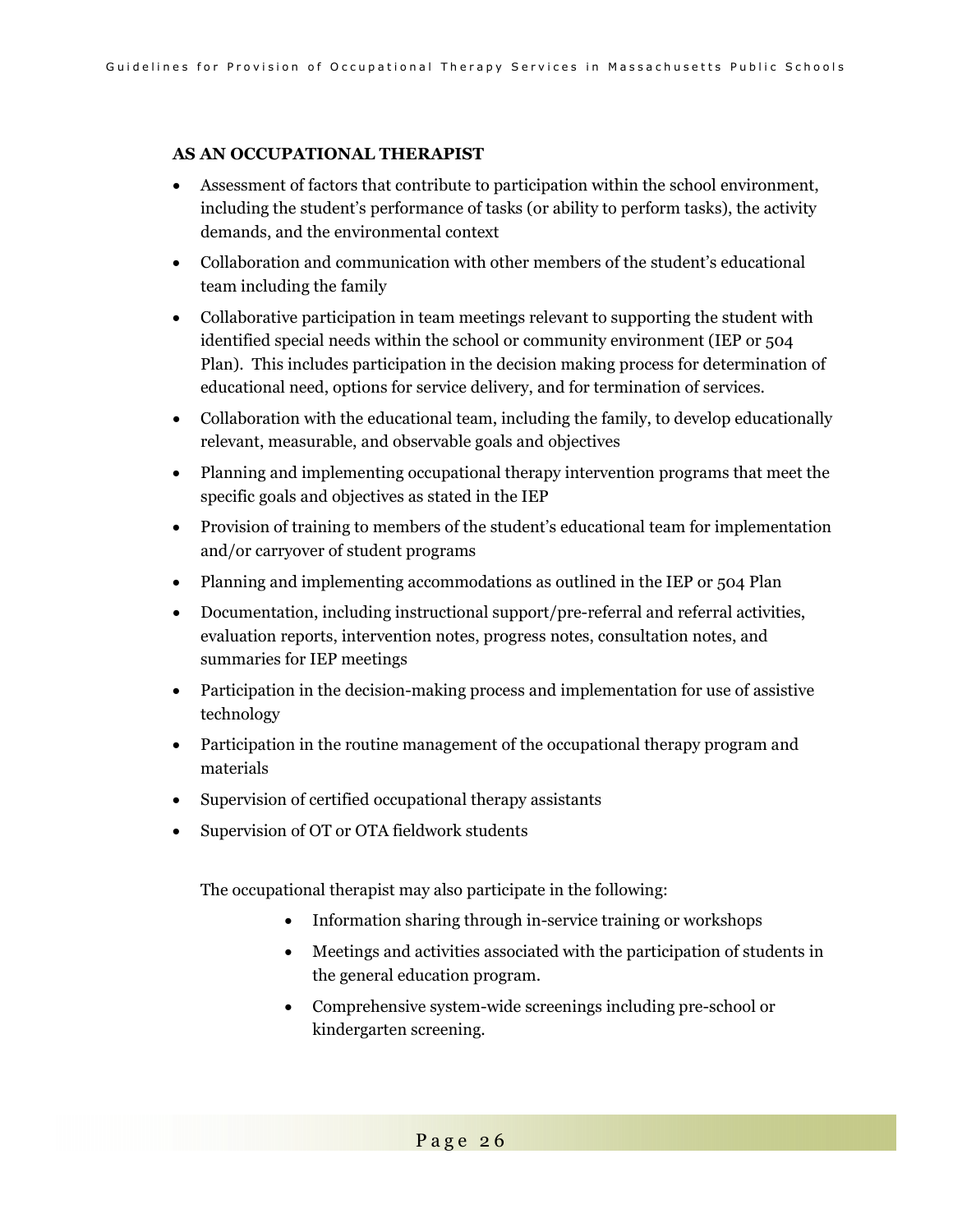### **AS AN OCCUPATIONAL THERAPIST**

- Assessment of factors that contribute to participation within the school environment, including the student's performance of tasks (or ability to perform tasks), the activity demands, and the environmental context
- Collaboration and communication with other members of the student's educational team including the family
- Collaborative participation in team meetings relevant to supporting the student with identified special needs within the school or community environment (IEP or 504 Plan). This includes participation in the decision making process for determination of educational need, options for service delivery, and for termination of services.
- Collaboration with the educational team, including the family, to develop educationally relevant, measurable, and observable goals and objectives
- Planning and implementing occupational therapy intervention programs that meet the specific goals and objectives as stated in the IEP
- Provision of training to members of the student's educational team for implementation and/or carryover of student programs
- Planning and implementing accommodations as outlined in the IEP or 504 Plan
- Documentation, including instructional support/pre-referral and referral activities, evaluation reports, intervention notes, progress notes, consultation notes, and summaries for IEP meetings
- Participation in the decision-making process and implementation for use of assistive technology
- Participation in the routine management of the occupational therapy program and materials
- Supervision of certified occupational therapy assistants
- Supervision of OT or OTA fieldwork students

The occupational therapist may also participate in the following:

- Information sharing through in-service training or workshops
- Meetings and activities associated with the participation of students in the general education program.
- Comprehensive system-wide screenings including pre-school or kindergarten screening.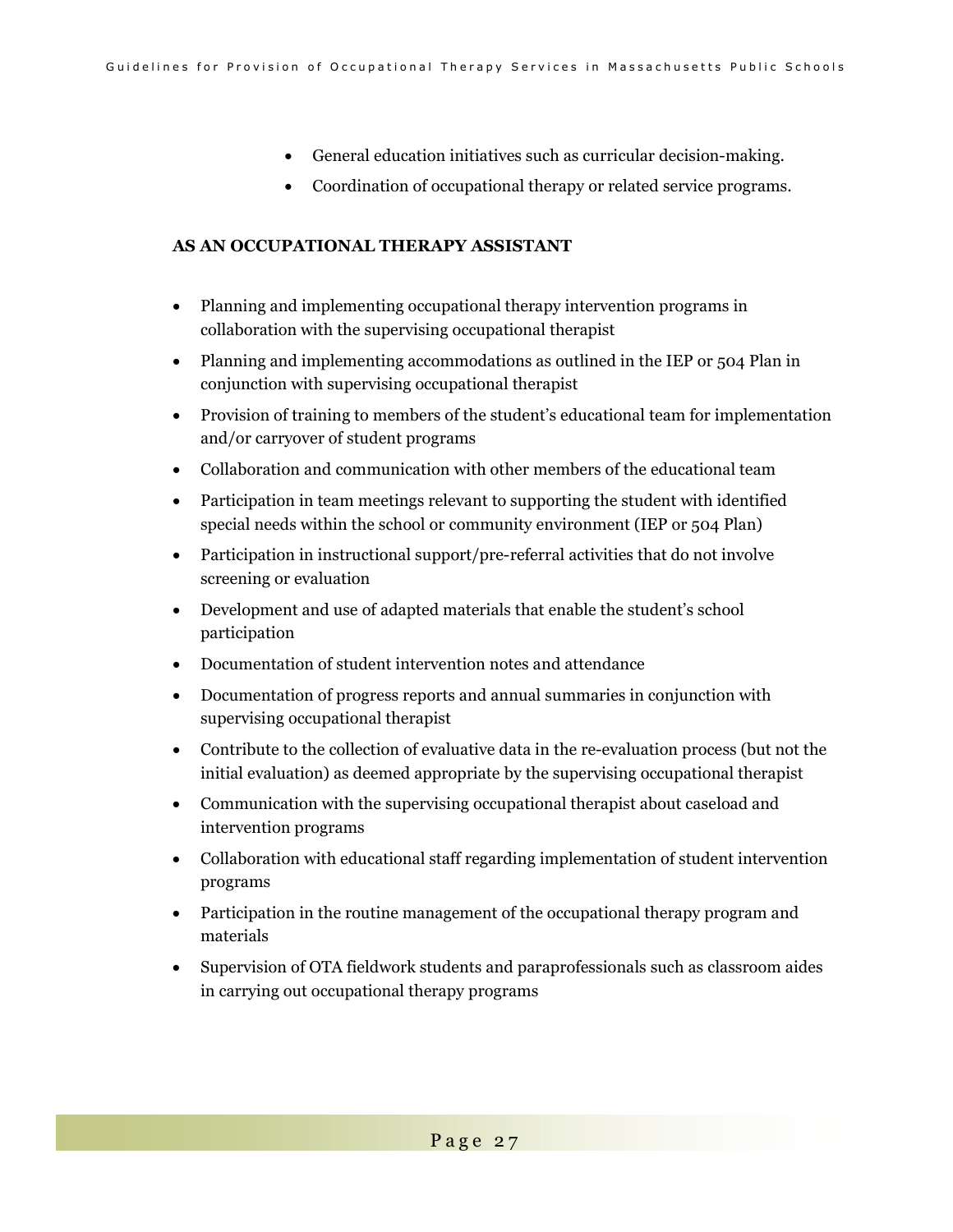- General education initiatives such as curricular decision-making.
- Coordination of occupational therapy or related service programs.

### **AS AN OCCUPATIONAL THERAPY ASSISTANT**

- Planning and implementing occupational therapy intervention programs in collaboration with the supervising occupational therapist
- Planning and implementing accommodations as outlined in the IEP or 504 Plan in conjunction with supervising occupational therapist
- Provision of training to members of the student's educational team for implementation and/or carryover of student programs
- Collaboration and communication with other members of the educational team
- Participation in team meetings relevant to supporting the student with identified special needs within the school or community environment (IEP or 504 Plan)
- Participation in instructional support/pre-referral activities that do not involve screening or evaluation
- Development and use of adapted materials that enable the student's school participation
- Documentation of student intervention notes and attendance
- Documentation of progress reports and annual summaries in conjunction with supervising occupational therapist
- Contribute to the collection of evaluative data in the re-evaluation process (but not the initial evaluation) as deemed appropriate by the supervising occupational therapist
- Communication with the supervising occupational therapist about caseload and intervention programs
- Collaboration with educational staff regarding implementation of student intervention programs
- Participation in the routine management of the occupational therapy program and materials
- Supervision of OTA fieldwork students and paraprofessionals such as classroom aides in carrying out occupational therapy programs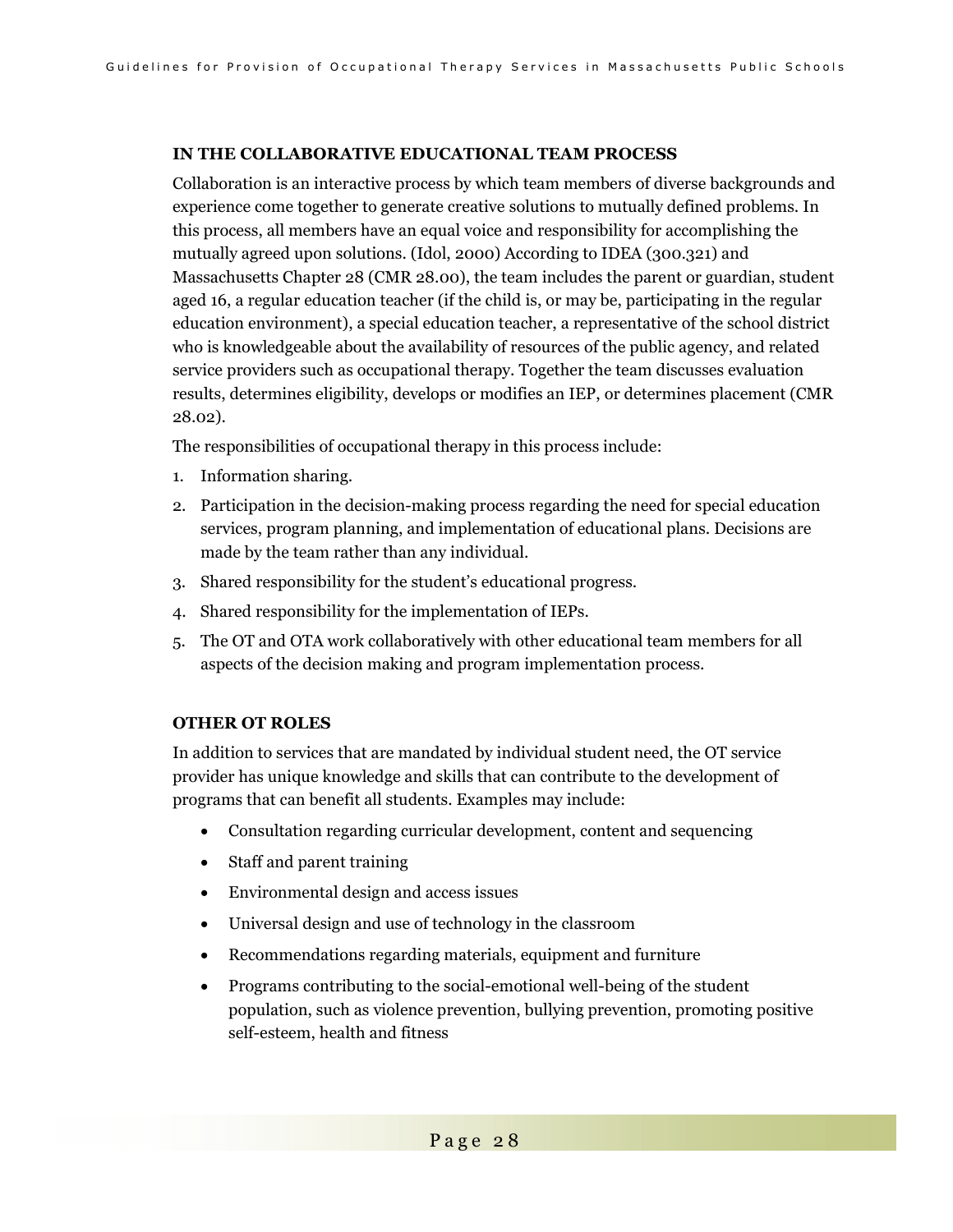### **IN THE COLLABORATIVE EDUCATIONAL TEAM PROCESS**

Collaboration is an interactive process by which team members of diverse backgrounds and experience come together to generate creative solutions to mutually defined problems. In this process, all members have an equal voice and responsibility for accomplishing the mutually agreed upon solutions. (Idol, 2000) According to IDEA (300.321) and Massachusetts Chapter 28 (CMR 28.00), the team includes the parent or guardian, student aged 16, a regular education teacher (if the child is, or may be, participating in the regular education environment), a special education teacher, a representative of the school district who is knowledgeable about the availability of resources of the public agency, and related service providers such as occupational therapy. Together the team discusses evaluation results, determines eligibility, develops or modifies an IEP, or determines placement (CMR 28.02).

The responsibilities of occupational therapy in this process include:

- 1. Information sharing.
- 2. Participation in the decision-making process regarding the need for special education services, program planning, and implementation of educational plans. Decisions are made by the team rather than any individual.
- 3. Shared responsibility for the student's educational progress.
- 4. Shared responsibility for the implementation of IEPs.
- 5. The OT and OTA work collaboratively with other educational team members for all aspects of the decision making and program implementation process.

#### **OTHER OT ROLES**

In addition to services that are mandated by individual student need, the OT service provider has unique knowledge and skills that can contribute to the development of programs that can benefit all students. Examples may include:

- Consultation regarding curricular development, content and sequencing
- Staff and parent training
- Environmental design and access issues
- Universal design and use of technology in the classroom
- Recommendations regarding materials, equipment and furniture
- Programs contributing to the social-emotional well-being of the student population, such as violence prevention, bullying prevention, promoting positive self-esteem, health and fitness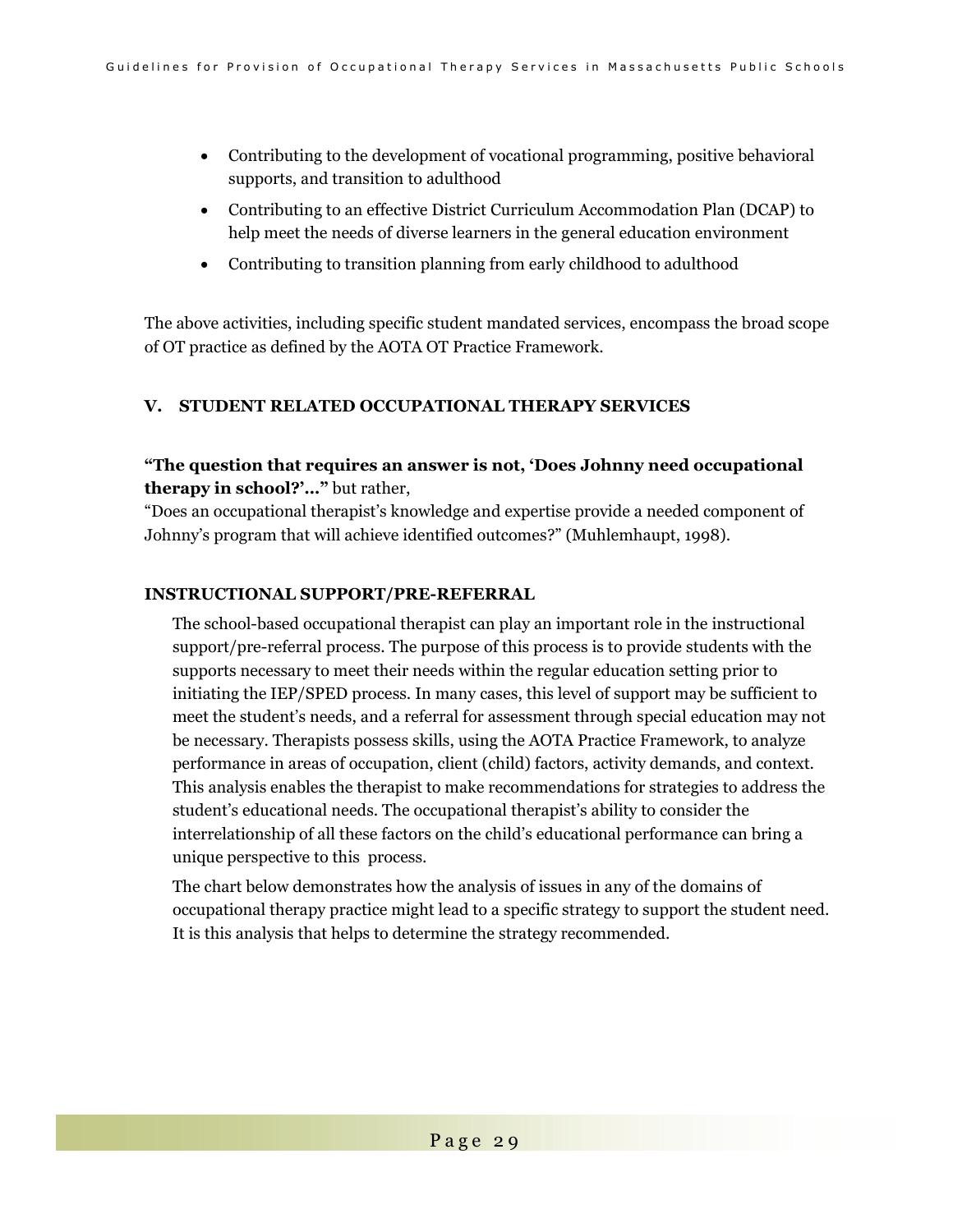- Contributing to the development of vocational programming, positive behavioral supports, and transition to adulthood
- Contributing to an effective District Curriculum Accommodation Plan (DCAP) to help meet the needs of diverse learners in the general education environment
- Contributing to transition planning from early childhood to adulthood

The above activities, including specific student mandated services, encompass the broad scope of OT practice as defined by the AOTA OT Practice Framework.

### **V. STUDENT RELATED OCCUPATIONAL THERAPY SERVICES**

### **"The question that requires an answer is not, 'Does Johnny need occupational therapy in school?'…"** but rather,

"Does an occupational therapist's knowledge and expertise provide a needed component of Johnny's program that will achieve identified outcomes?" (Muhlemhaupt, 1998).

#### **INSTRUCTIONAL SUPPORT/PRE-REFERRAL**

The school-based occupational therapist can play an important role in the instructional support/pre-referral process. The purpose of this process is to provide students with the supports necessary to meet their needs within the regular education setting prior to initiating the IEP/SPED process. In many cases, this level of support may be sufficient to meet the student's needs, and a referral for assessment through special education may not be necessary. Therapists possess skills, using the AOTA Practice Framework, to analyze performance in areas of occupation, client (child) factors, activity demands, and context. This analysis enables the therapist to make recommendations for strategies to address the student's educational needs. The occupational therapist's ability to consider the interrelationship of all these factors on the child's educational performance can bring a unique perspective to this process.

The chart below demonstrates how the analysis of issues in any of the domains of occupational therapy practice might lead to a specific strategy to support the student need. It is this analysis that helps to determine the strategy recommended.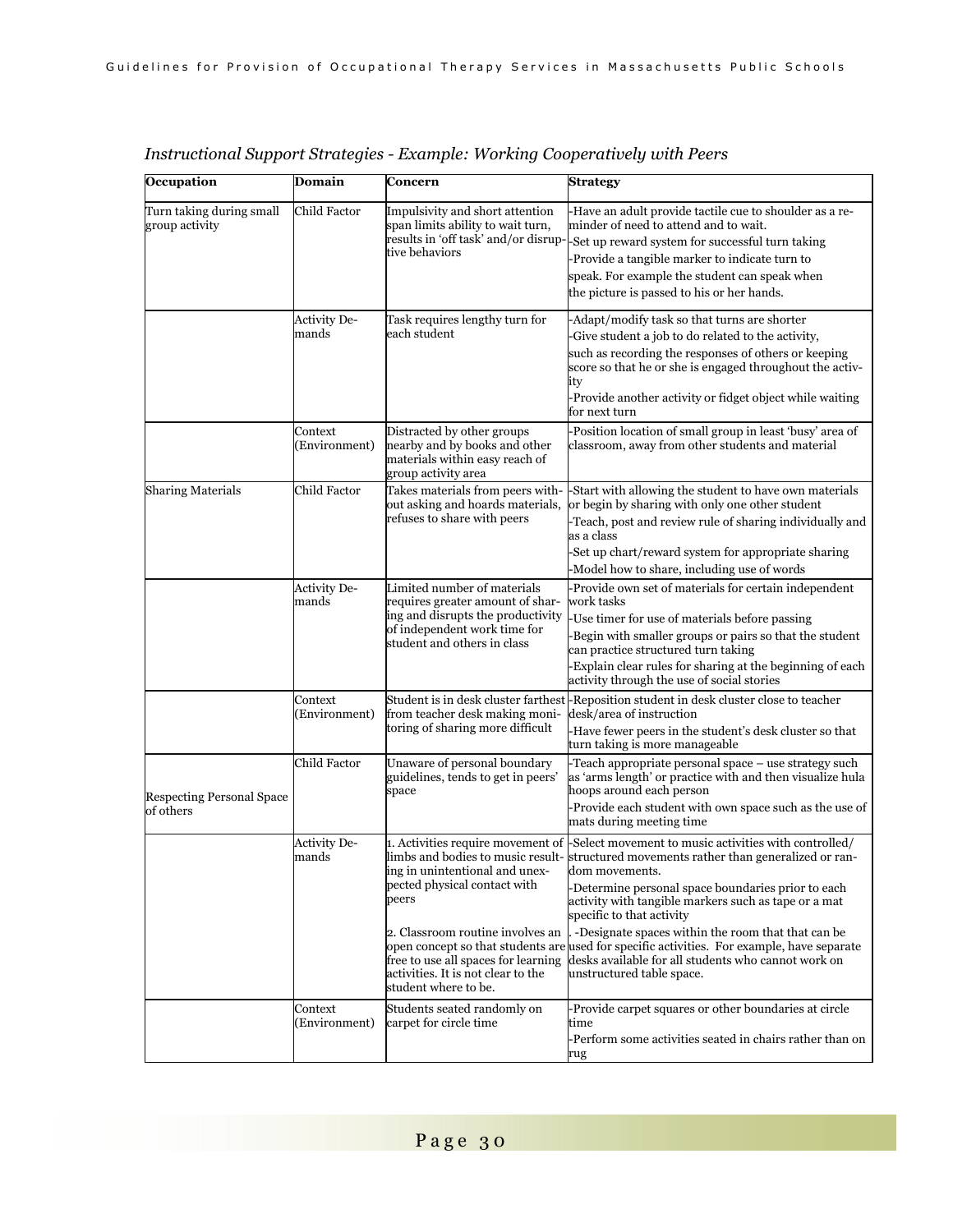| Occupation                                    | Domain                       | Concern                                                                                                                                                                                                          | Strategy                                                                                                                                                                                                                                                                                                                                                                                                                                                                                                                                                                             |
|-----------------------------------------------|------------------------------|------------------------------------------------------------------------------------------------------------------------------------------------------------------------------------------------------------------|--------------------------------------------------------------------------------------------------------------------------------------------------------------------------------------------------------------------------------------------------------------------------------------------------------------------------------------------------------------------------------------------------------------------------------------------------------------------------------------------------------------------------------------------------------------------------------------|
| Turn taking during small<br>group activity    | Child Factor                 | Impulsivity and short attention<br>span limits ability to wait turn,<br>tive behaviors                                                                                                                           | -Have an adult provide tactile cue to shoulder as a re-<br>minder of need to attend and to wait.<br>results in 'off task' and/or disrup-Set up reward system for successful turn taking<br>-Provide a tangible marker to indicate turn to<br>speak. For example the student can speak when<br>the picture is passed to his or her hands.                                                                                                                                                                                                                                             |
|                                               | <b>Activity De-</b><br>mands | Task requires lengthy turn for<br>each student                                                                                                                                                                   | -Adapt/modify task so that turns are shorter<br>-Give student a job to do related to the activity,<br>such as recording the responses of others or keeping<br>score so that he or she is engaged throughout the activ-<br>ıty<br>-Provide another activity or fidget object while waiting<br>for next turn                                                                                                                                                                                                                                                                           |
|                                               | Context<br>Environment)      | Distracted by other groups<br>nearby and by books and other<br>materials within easy reach of<br>group activity area                                                                                             | -Position location of small group in least 'busy' area of<br>classroom, away from other students and material                                                                                                                                                                                                                                                                                                                                                                                                                                                                        |
| <b>Sharing Materials</b>                      | Child Factor                 | Takes materials from peers with-<br>out asking and hoards materials,<br>refuses to share with peers                                                                                                              | -Start with allowing the student to have own materials<br>or begin by sharing with only one other student<br>-Teach, post and review rule of sharing individually and<br>as a class<br>-Set up chart/reward system for appropriate sharing<br>-Model how to share, including use of words                                                                                                                                                                                                                                                                                            |
|                                               | <b>Activity De-</b><br>mands | Limited number of materials<br>requires greater amount of shar-<br>ing and disrupts the productivity<br>of independent work time for<br>student and others in class                                              | -Provide own set of materials for certain independent<br>work tasks<br>-Use timer for use of materials before passing<br>-Begin with smaller groups or pairs so that the student<br>can practice structured turn taking<br>-Explain clear rules for sharing at the beginning of each<br>activity through the use of social stories                                                                                                                                                                                                                                                   |
|                                               | Context<br>Environment)      | from teacher desk making moni-<br>toring of sharing more difficult                                                                                                                                               | Student is in desk cluster farthest-Reposition student in desk cluster close to teacher<br>desk/area of instruction<br>-Have fewer peers in the student's desk cluster so that<br>turn taking is more manageable                                                                                                                                                                                                                                                                                                                                                                     |
| <b>Respecting Personal Space</b><br>of others | Child Factor                 | Unaware of personal boundary<br>guidelines, tends to get in peers'<br>space                                                                                                                                      | -Teach appropriate personal space - use strategy such<br>as 'arms length' or practice with and then visualize hula<br>hoops around each person<br>-Provide each student with own space such as the use of<br>mats during meeting time                                                                                                                                                                                                                                                                                                                                                |
|                                               | Activity De-<br>mands        | ing in unintentional and unex-<br>pected physical contact with<br>peers<br>2. Classroom routine involves an<br>free to use all spaces for learning<br>activities. It is not clear to the<br>student where to be. | 1. Activities require movement of Select movement to music activities with controlled/<br>limbs and bodies to music result-structured movements rather than generalized or ran-<br>dom movements.<br>-Determine personal space boundaries prior to each<br>activity with tangible markers such as tape or a mat<br>specific to that activity<br>-Designate spaces within the room that that can be<br>open concept so that students are used for specific activities. For example, have separate<br>desks available for all students who cannot work on<br>unstructured table space. |
|                                               | Context<br>Environment)      | Students seated randomly on<br>carpet for circle time                                                                                                                                                            | -Provide carpet squares or other boundaries at circle<br>time<br>-Perform some activities seated in chairs rather than on<br>rug                                                                                                                                                                                                                                                                                                                                                                                                                                                     |

### *Instructional Support Strategies - Example: Working Cooperatively with Peers*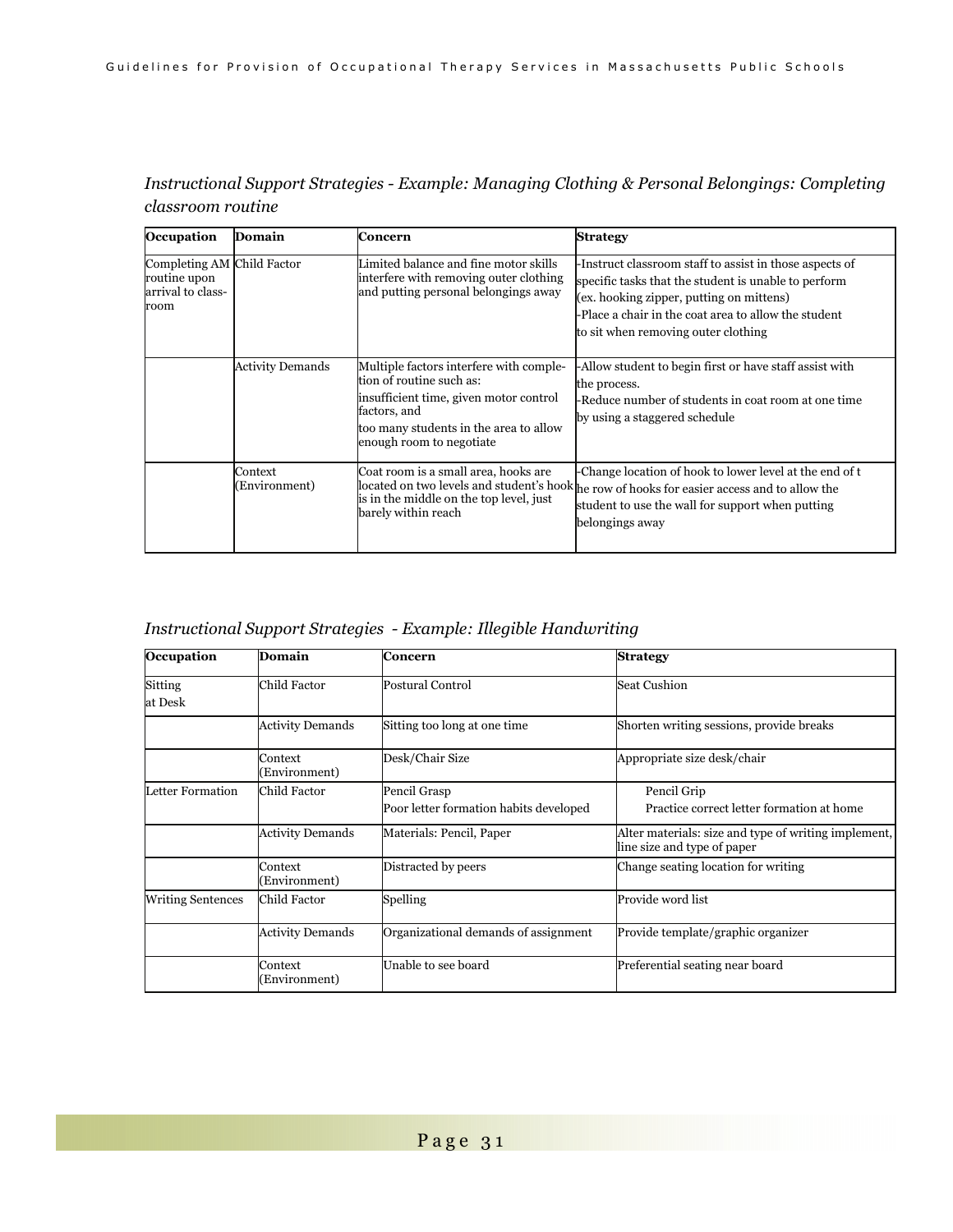| Occupation                                                              | Domain                   | Concern                                                                                                                                                                                             | <b>Strategy</b>                                                                                                                                                                                                                                            |
|-------------------------------------------------------------------------|--------------------------|-----------------------------------------------------------------------------------------------------------------------------------------------------------------------------------------------------|------------------------------------------------------------------------------------------------------------------------------------------------------------------------------------------------------------------------------------------------------------|
| Completing AM Child Factor<br>routine upon<br>arrival to class-<br>room |                          | Limited balance and fine motor skills<br>interfere with removing outer clothing<br>and putting personal belongings away                                                                             | -Instruct classroom staff to assist in those aspects of<br>specific tasks that the student is unable to perform<br>(ex. hooking zipper, putting on mittens)<br>-Place a chair in the coat area to allow the student<br>to sit when removing outer clothing |
|                                                                         | <b>Activity Demands</b>  | Multiple factors interfere with comple-<br>tion of routine such as:<br>insufficient time, given motor control<br>factors, and<br>too many students in the area to allow<br>enough room to negotiate | -Allow student to begin first or have staff assist with<br>the process.<br>-Reduce number of students in coat room at one time<br>by using a staggered schedule                                                                                            |
|                                                                         | Context<br>(Environment) | Coat room is a small area, hooks are<br>is in the middle on the top level, just<br>barely within reach                                                                                              | -Change location of hook to lower level at the end of t<br>located on two levels and student's hook he row of hooks for easier access and to allow the<br>student to use the wall for support when putting<br>belongings away                              |

### *Instructional Support Strategies - Example: Managing Clothing & Personal Belongings: Completing classroom routine*

### *Instructional Support Strategies - Example: Illegible Handwriting*

| Occupation               | Domain                   | Concern                                                | <b>Strategy</b>                                                                     |
|--------------------------|--------------------------|--------------------------------------------------------|-------------------------------------------------------------------------------------|
| Sitting<br>at Desk       | Child Factor             | <b>Postural Control</b>                                | <b>Seat Cushion</b>                                                                 |
|                          | <b>Activity Demands</b>  | Sitting too long at one time                           | Shorten writing sessions, provide breaks                                            |
|                          | Context<br>Environment)  | Desk/Chair Size                                        | Appropriate size desk/chair                                                         |
| Letter Formation         | Child Factor             | Pencil Grasp<br>Poor letter formation habits developed | Pencil Grip<br>Practice correct letter formation at home                            |
|                          | <b>Activity Demands</b>  | Materials: Pencil, Paper                               | Alter materials: size and type of writing implement,<br>line size and type of paper |
|                          | Context<br>Environment)  | Distracted by peers                                    | Change seating location for writing                                                 |
| <b>Writing Sentences</b> | Child Factor             | Spelling                                               | Provide word list                                                                   |
|                          | <b>Activity Demands</b>  | Organizational demands of assignment                   | Provide template/graphic organizer                                                  |
|                          | Context<br>(Environment) | Unable to see board                                    | Preferential seating near board                                                     |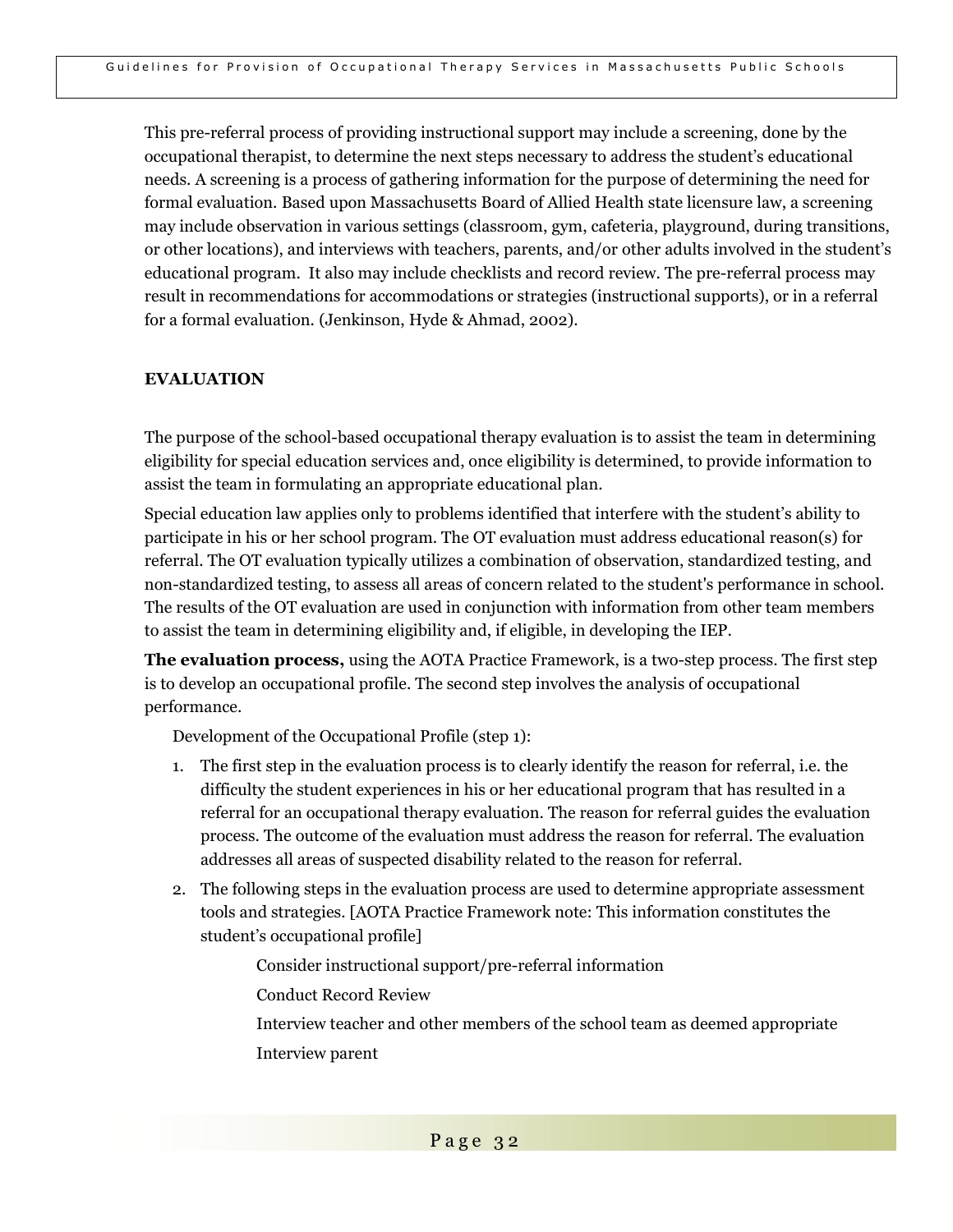This pre-referral process of providing instructional support may include a screening, done by the occupational therapist, to determine the next steps necessary to address the student's educational needs. A screening is a process of gathering information for the purpose of determining the need for formal evaluation. Based upon Massachusetts Board of Allied Health state licensure law, a screening may include observation in various settings (classroom, gym, cafeteria, playground, during transitions, or other locations), and interviews with teachers, parents, and/or other adults involved in the student's educational program. It also may include checklists and record review. The pre-referral process may result in recommendations for accommodations or strategies (instructional supports), or in a referral for a formal evaluation. (Jenkinson, Hyde & Ahmad, 2002).

### **EVALUATION**

The purpose of the school-based occupational therapy evaluation is to assist the team in determining eligibility for special education services and, once eligibility is determined, to provide information to assist the team in formulating an appropriate educational plan.

Special education law applies only to problems identified that interfere with the student's ability to participate in his or her school program. The OT evaluation must address educational reason(s) for referral. The OT evaluation typically utilizes a combination of observation, standardized testing, and non-standardized testing, to assess all areas of concern related to the student's performance in school. The results of the OT evaluation are used in conjunction with information from other team members to assist the team in determining eligibility and, if eligible, in developing the IEP.

**The evaluation process,** using the AOTA Practice Framework, is a two-step process. The first step is to develop an occupational profile. The second step involves the analysis of occupational performance.

Development of the Occupational Profile (step 1):

- 1. The first step in the evaluation process is to clearly identify the reason for referral, i.e. the difficulty the student experiences in his or her educational program that has resulted in a referral for an occupational therapy evaluation. The reason for referral guides the evaluation process. The outcome of the evaluation must address the reason for referral. The evaluation addresses all areas of suspected disability related to the reason for referral.
- 2. The following steps in the evaluation process are used to determine appropriate assessment tools and strategies. [AOTA Practice Framework note: This information constitutes the student's occupational profile]

Consider instructional support/pre-referral information

Conduct Record Review

 Interview teacher and other members of the school team as deemed appropriate Interview parent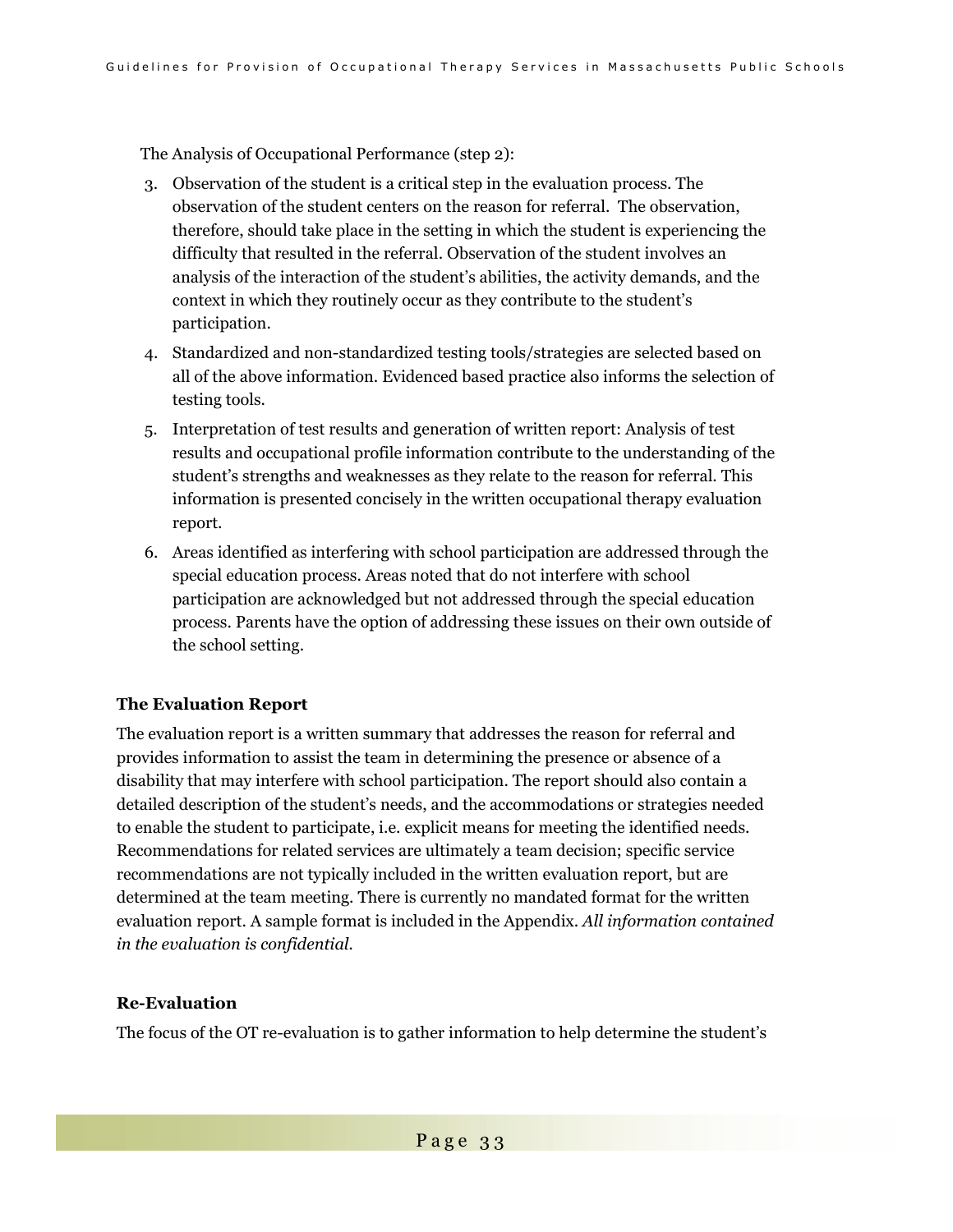The Analysis of Occupational Performance (step 2):

- 3. Observation of the student is a critical step in the evaluation process. The observation of the student centers on the reason for referral. The observation, therefore, should take place in the setting in which the student is experiencing the difficulty that resulted in the referral. Observation of the student involves an analysis of the interaction of the student's abilities, the activity demands, and the context in which they routinely occur as they contribute to the student's participation.
- 4. Standardized and non-standardized testing tools/strategies are selected based on all of the above information. Evidenced based practice also informs the selection of testing tools.
- 5. Interpretation of test results and generation of written report: Analysis of test results and occupational profile information contribute to the understanding of the student's strengths and weaknesses as they relate to the reason for referral. This information is presented concisely in the written occupational therapy evaluation report.
- 6. Areas identified as interfering with school participation are addressed through the special education process. Areas noted that do not interfere with school participation are acknowledged but not addressed through the special education process. Parents have the option of addressing these issues on their own outside of the school setting.

#### **The Evaluation Report**

The evaluation report is a written summary that addresses the reason for referral and provides information to assist the team in determining the presence or absence of a disability that may interfere with school participation. The report should also contain a detailed description of the student's needs, and the accommodations or strategies needed to enable the student to participate, i.e. explicit means for meeting the identified needs. Recommendations for related services are ultimately a team decision; specific service recommendations are not typically included in the written evaluation report, but are determined at the team meeting. There is currently no mandated format for the written evaluation report. A sample format is included in the Appendix. *All information contained in the evaluation is confidential.* 

### **Re-Evaluation**

The focus of the OT re-evaluation is to gather information to help determine the student's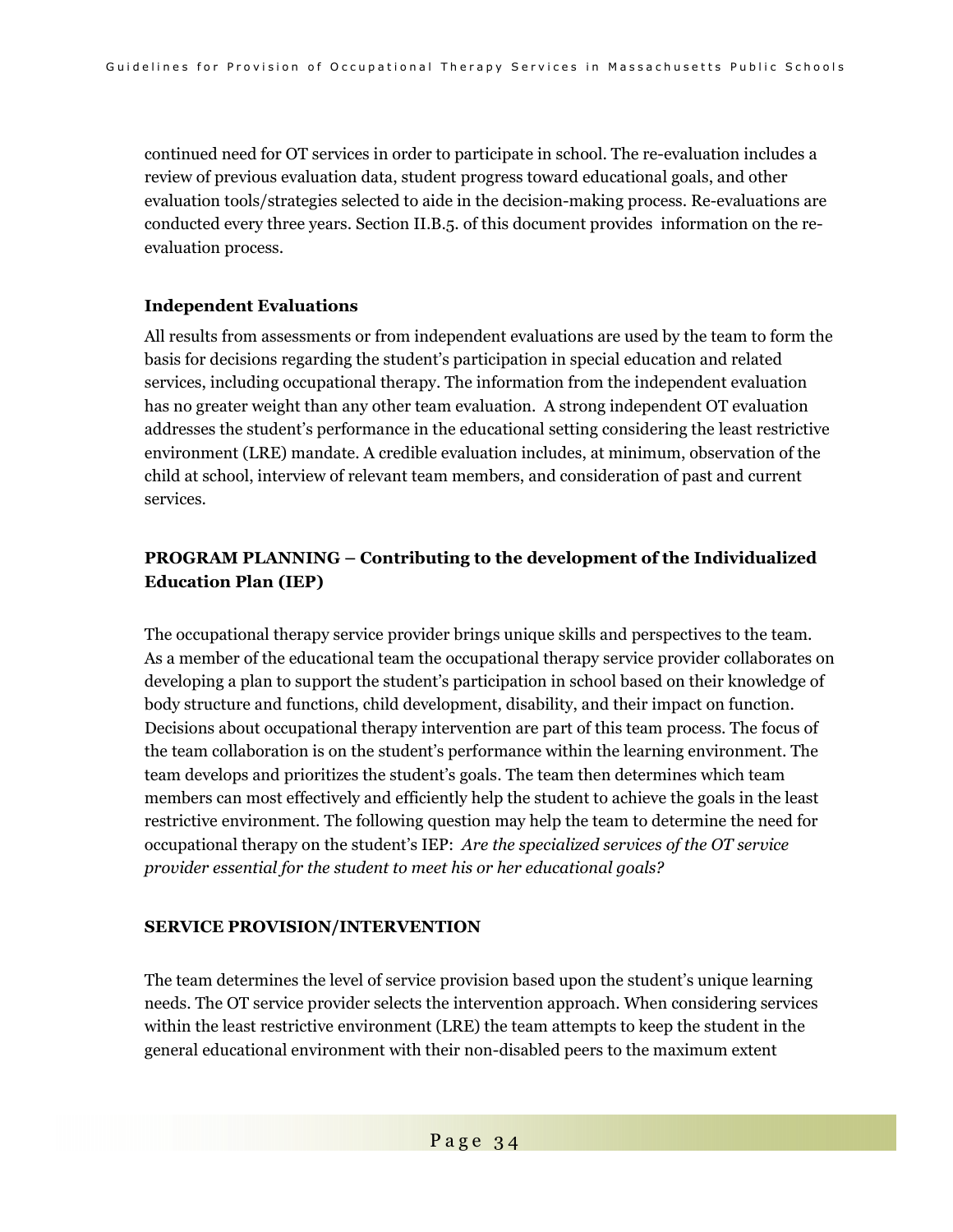continued need for OT services in order to participate in school. The re-evaluation includes a review of previous evaluation data, student progress toward educational goals, and other evaluation tools/strategies selected to aide in the decision-making process. Re-evaluations are conducted every three years. Section II.B.5. of this document provides information on the reevaluation process.

### **Independent Evaluations**

All results from assessments or from independent evaluations are used by the team to form the basis for decisions regarding the student's participation in special education and related services, including occupational therapy. The information from the independent evaluation has no greater weight than any other team evaluation. A strong independent OT evaluation addresses the student's performance in the educational setting considering the least restrictive environment (LRE) mandate. A credible evaluation includes, at minimum, observation of the child at school, interview of relevant team members, and consideration of past and current services.

### **PROGRAM PLANNING – Contributing to the development of the Individualized Education Plan (IEP)**

The occupational therapy service provider brings unique skills and perspectives to the team. As a member of the educational team the occupational therapy service provider collaborates on developing a plan to support the student's participation in school based on their knowledge of body structure and functions, child development, disability, and their impact on function. Decisions about occupational therapy intervention are part of this team process. The focus of the team collaboration is on the student's performance within the learning environment. The team develops and prioritizes the student's goals. The team then determines which team members can most effectively and efficiently help the student to achieve the goals in the least restrictive environment. The following question may help the team to determine the need for occupational therapy on the student's IEP: *Are the specialized services of the OT service provider essential for the student to meet his or her educational goals?* 

### **SERVICE PROVISION/INTERVENTION**

The team determines the level of service provision based upon the student's unique learning needs. The OT service provider selects the intervention approach. When considering services within the least restrictive environment (LRE) the team attempts to keep the student in the general educational environment with their non-disabled peers to the maximum extent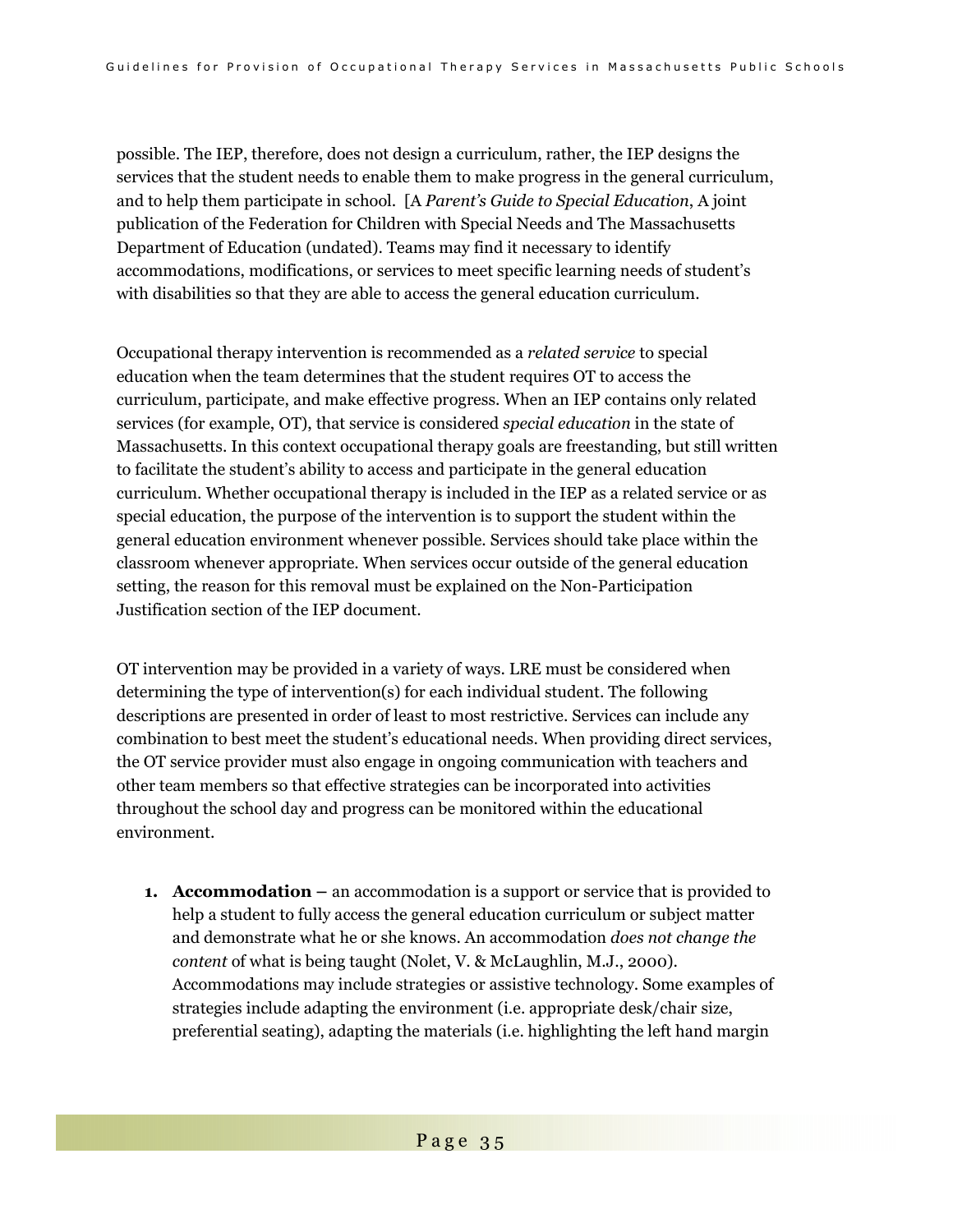possible. The IEP, therefore, does not design a curriculum, rather, the IEP designs the services that the student needs to enable them to make progress in the general curriculum, and to help them participate in school. [A *Parent's Guide to Special Education*, A joint publication of the Federation for Children with Special Needs and The Massachusetts Department of Education (undated). Teams may find it necessary to identify accommodations, modifications, or services to meet specific learning needs of student's with disabilities so that they are able to access the general education curriculum.

Occupational therapy intervention is recommended as a *related service* to special education when the team determines that the student requires OT to access the curriculum, participate, and make effective progress. When an IEP contains only related services (for example, OT), that service is considered *special education* in the state of Massachusetts. In this context occupational therapy goals are freestanding, but still written to facilitate the student's ability to access and participate in the general education curriculum. Whether occupational therapy is included in the IEP as a related service or as special education, the purpose of the intervention is to support the student within the general education environment whenever possible. Services should take place within the classroom whenever appropriate. When services occur outside of the general education setting, the reason for this removal must be explained on the Non-Participation Justification section of the IEP document.

OT intervention may be provided in a variety of ways. LRE must be considered when determining the type of intervention(s) for each individual student. The following descriptions are presented in order of least to most restrictive. Services can include any combination to best meet the student's educational needs. When providing direct services, the OT service provider must also engage in ongoing communication with teachers and other team members so that effective strategies can be incorporated into activities throughout the school day and progress can be monitored within the educational environment.

**1. Accommodation –** an accommodation is a support or service that is provided to help a student to fully access the general education curriculum or subject matter and demonstrate what he or she knows. An accommodation *does not change the content* of what is being taught (Nolet, V. & McLaughlin, M.J., 2000). Accommodations may include strategies or assistive technology. Some examples of strategies include adapting the environment (i.e. appropriate desk/chair size, preferential seating), adapting the materials (i.e. highlighting the left hand margin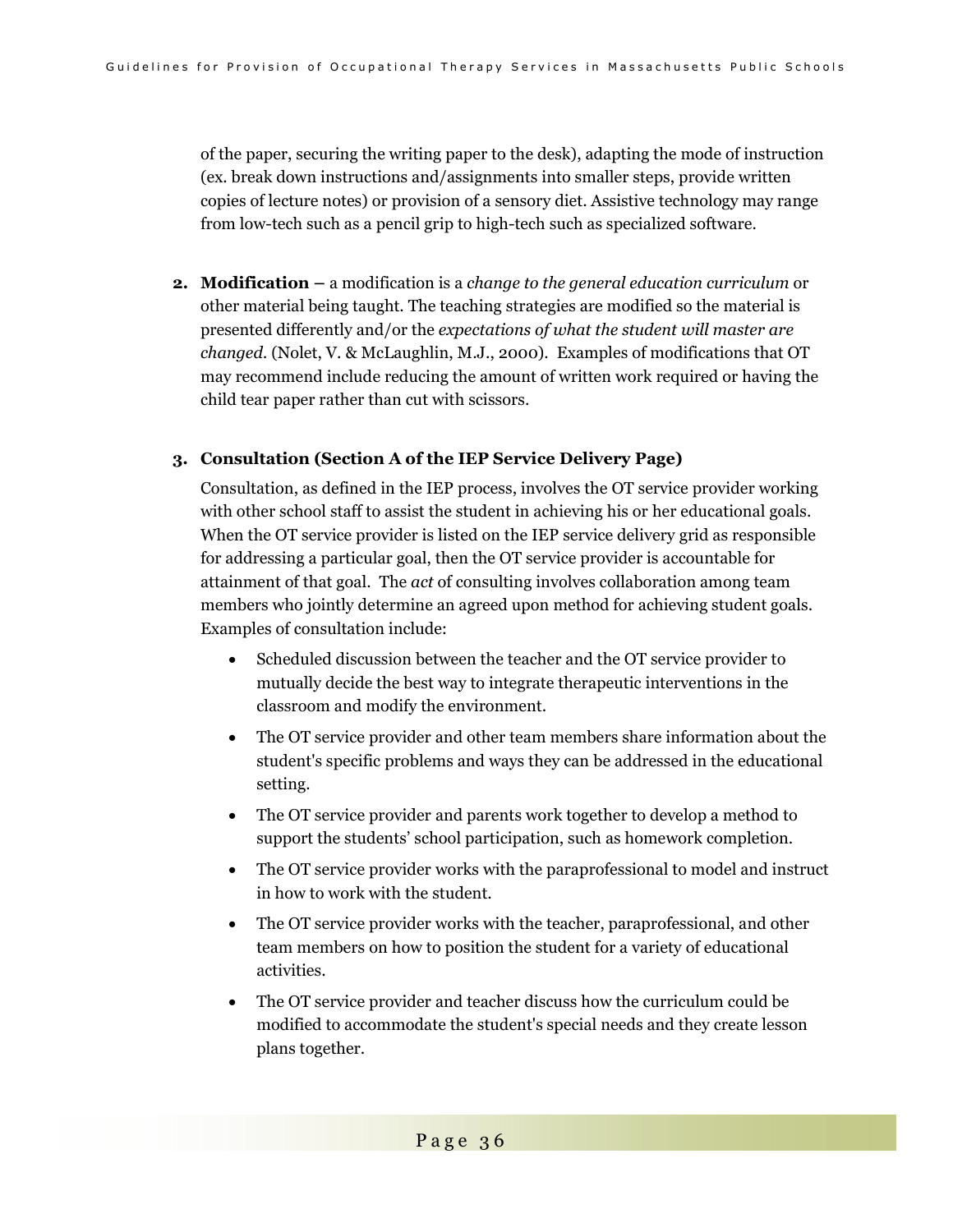of the paper, securing the writing paper to the desk), adapting the mode of instruction (ex. break down instructions and/assignments into smaller steps, provide written copies of lecture notes) or provision of a sensory diet. Assistive technology may range from low-tech such as a pencil grip to high-tech such as specialized software.

**2. Modification –** a modification is a *change to the general education curriculum* or other material being taught. The teaching strategies are modified so the material is presented differently and/or the *expectations of what the student will master are changed.* (Nolet, V. & McLaughlin, M.J., 2000). Examples of modifications that OT may recommend include reducing the amount of written work required or having the child tear paper rather than cut with scissors.

#### **3. Consultation (Section A of the IEP Service Delivery Page)**

Consultation, as defined in the IEP process, involves the OT service provider working with other school staff to assist the student in achieving his or her educational goals. When the OT service provider is listed on the IEP service delivery grid as responsible for addressing a particular goal, then the OT service provider is accountable for attainment of that goal. The *act* of consulting involves collaboration among team members who jointly determine an agreed upon method for achieving student goals. Examples of consultation include:

- Scheduled discussion between the teacher and the OT service provider to mutually decide the best way to integrate therapeutic interventions in the classroom and modify the environment.
- The OT service provider and other team members share information about the student's specific problems and ways they can be addressed in the educational setting.
- The OT service provider and parents work together to develop a method to support the students' school participation, such as homework completion.
- The OT service provider works with the paraprofessional to model and instruct in how to work with the student.
- The OT service provider works with the teacher, paraprofessional, and other team members on how to position the student for a variety of educational activities.
- The OT service provider and teacher discuss how the curriculum could be modified to accommodate the student's special needs and they create lesson plans together.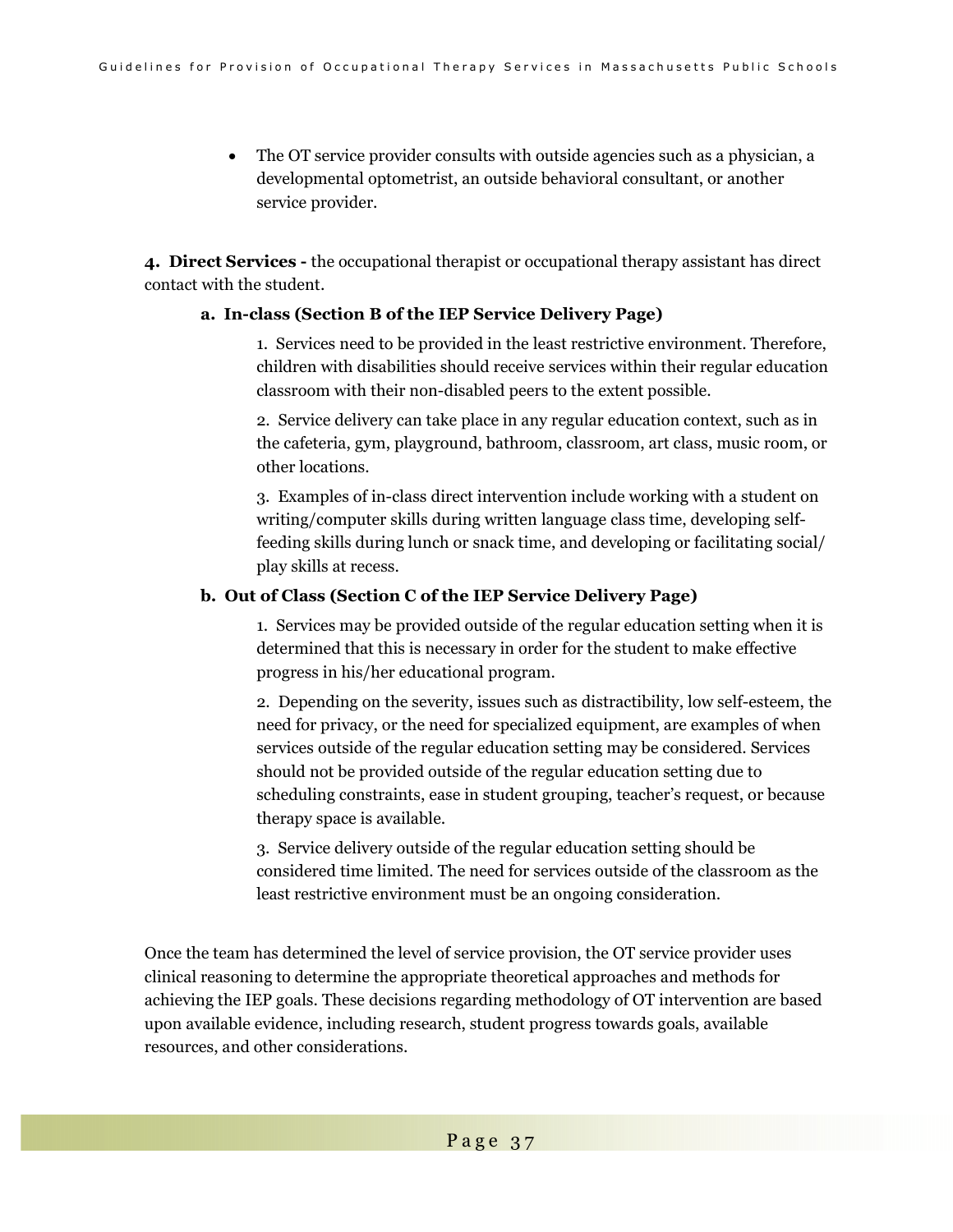• The OT service provider consults with outside agencies such as a physician, a developmental optometrist, an outside behavioral consultant, or another service provider.

**4. Direct Services -** the occupational therapist or occupational therapy assistant has direct contact with the student.

#### **a. In-class (Section B of the IEP Service Delivery Page)**

1. Services need to be provided in the least restrictive environment. Therefore, children with disabilities should receive services within their regular education classroom with their non-disabled peers to the extent possible.

2. Service delivery can take place in any regular education context, such as in the cafeteria, gym, playground, bathroom, classroom, art class, music room, or other locations.

3. Examples of in-class direct intervention include working with a student on writing/computer skills during written language class time, developing selffeeding skills during lunch or snack time, and developing or facilitating social/ play skills at recess.

### **b. Out of Class (Section C of the IEP Service Delivery Page)**

1. Services may be provided outside of the regular education setting when it is determined that this is necessary in order for the student to make effective progress in his/her educational program.

2. Depending on the severity, issues such as distractibility, low self-esteem, the need for privacy, or the need for specialized equipment, are examples of when services outside of the regular education setting may be considered. Services should not be provided outside of the regular education setting due to scheduling constraints, ease in student grouping, teacher's request, or because therapy space is available.

3. Service delivery outside of the regular education setting should be considered time limited. The need for services outside of the classroom as the least restrictive environment must be an ongoing consideration.

Once the team has determined the level of service provision, the OT service provider uses clinical reasoning to determine the appropriate theoretical approaches and methods for achieving the IEP goals. These decisions regarding methodology of OT intervention are based upon available evidence, including research, student progress towards goals, available resources, and other considerations.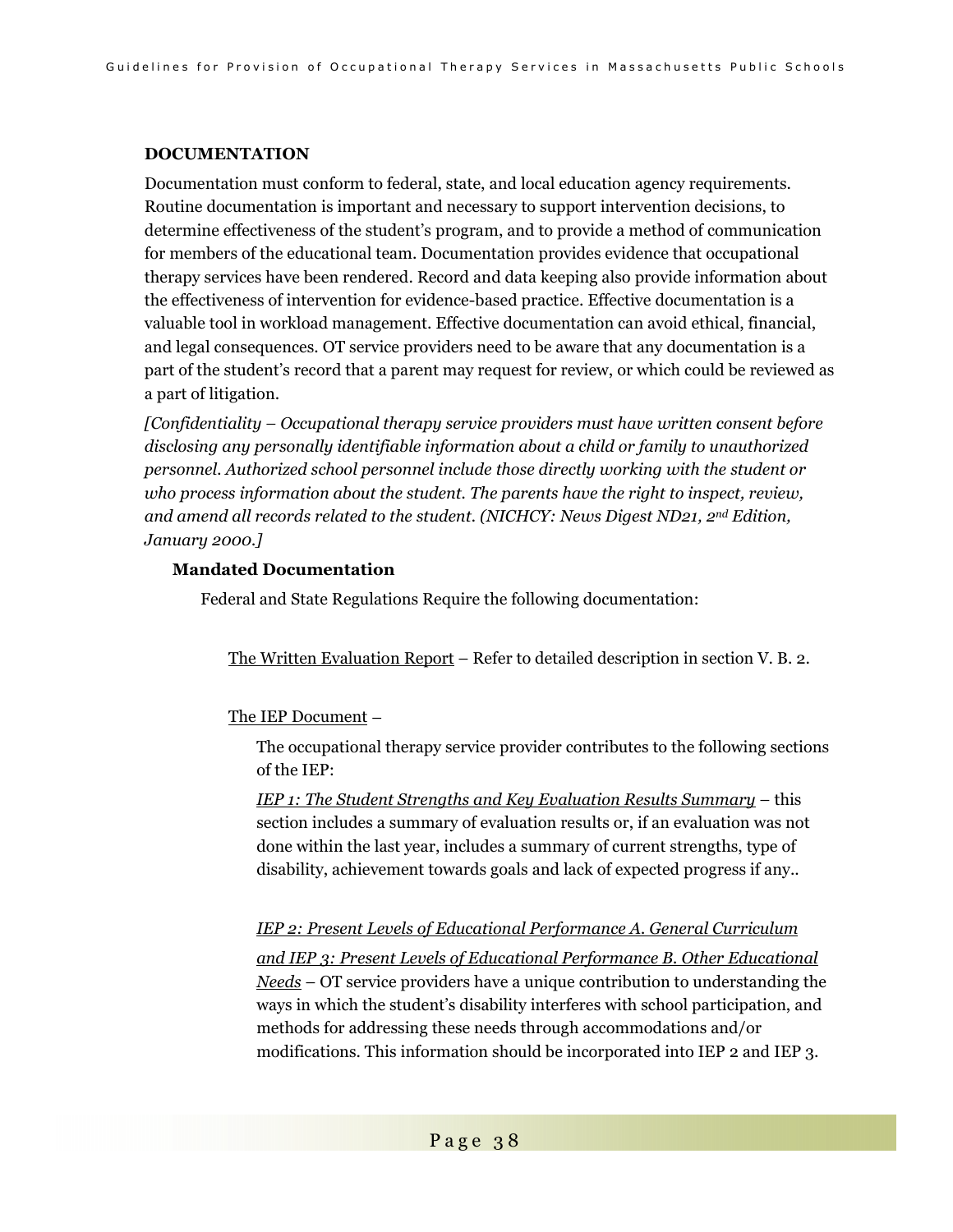### **DOCUMENTATION**

Documentation must conform to federal, state, and local education agency requirements. Routine documentation is important and necessary to support intervention decisions, to determine effectiveness of the student's program, and to provide a method of communication for members of the educational team. Documentation provides evidence that occupational therapy services have been rendered. Record and data keeping also provide information about the effectiveness of intervention for evidence-based practice. Effective documentation is a valuable tool in workload management. Effective documentation can avoid ethical, financial, and legal consequences. OT service providers need to be aware that any documentation is a part of the student's record that a parent may request for review, or which could be reviewed as a part of litigation.

*[Confidentiality – Occupational therapy service providers must have written consent before disclosing any personally identifiable information about a child or family to unauthorized personnel. Authorized school personnel include those directly working with the student or who process information about the student. The parents have the right to inspect, review, and amend all records related to the student. (NICHCY: News Digest ND21, 2nd Edition, January 2000.]* 

### **Mandated Documentation**

Federal and State Regulations Require the following documentation:

The Written Evaluation Report – Refer to detailed description in section V. B. 2.

#### The IEP Document –

The occupational therapy service provider contributes to the following sections of the IEP:

*IEP 1: The Student Strengths and Key Evaluation Results Summary* – this section includes a summary of evaluation results or, if an evaluation was not done within the last year, includes a summary of current strengths, type of disability, achievement towards goals and lack of expected progress if any..

#### *IEP 2: Present Levels of Educational Performance A. General Curriculum*

*and IEP 3: Present Levels of Educational Performance B. Other Educational Needs* – OT service providers have a unique contribution to understanding the ways in which the student's disability interferes with school participation, and methods for addressing these needs through accommodations and/or modifications. This information should be incorporated into IEP 2 and IEP 3.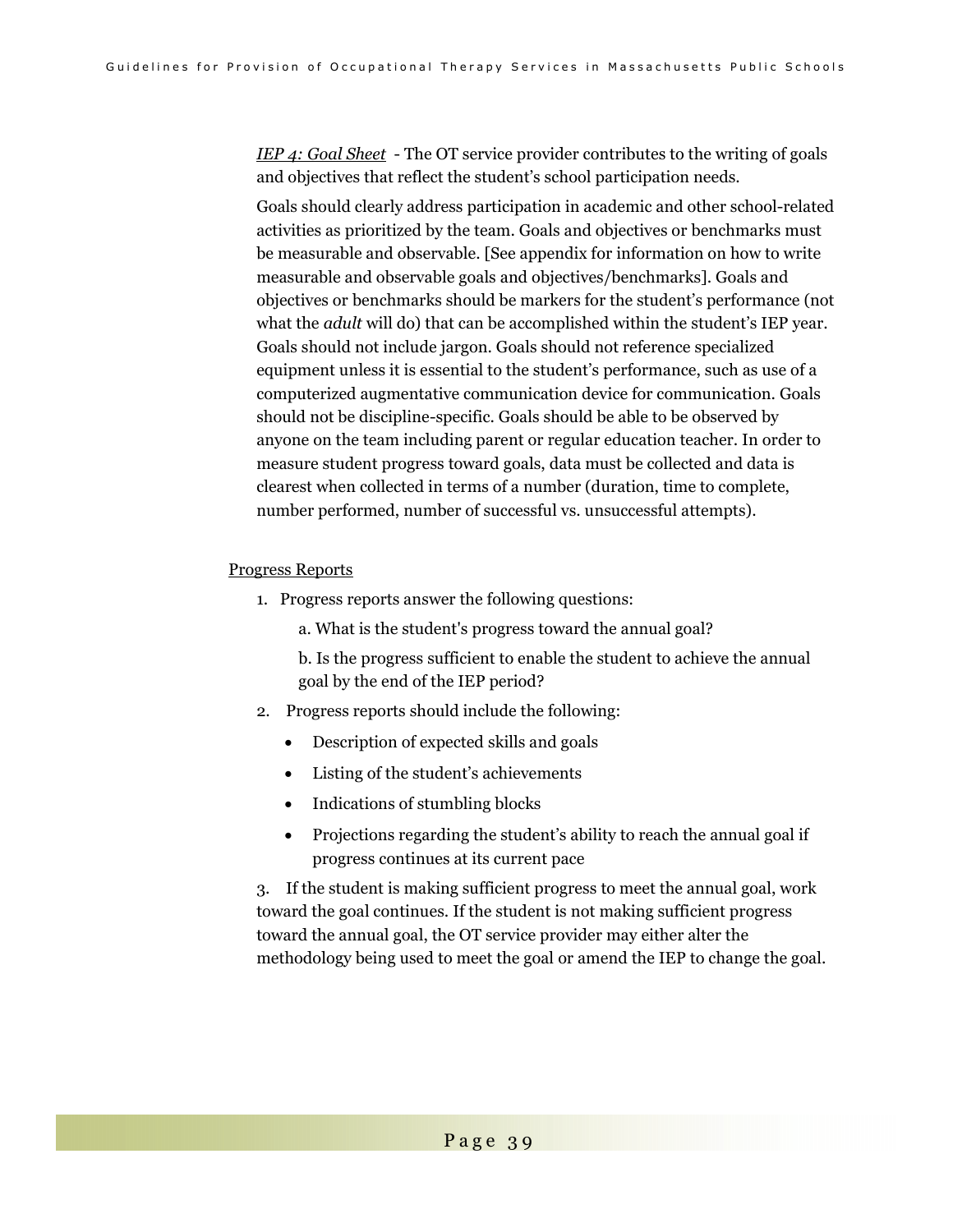*IEP 4: Goal Sheet* - The OT service provider contributes to the writing of goals and objectives that reflect the student's school participation needs.

Goals should clearly address participation in academic and other school-related activities as prioritized by the team. Goals and objectives or benchmarks must be measurable and observable. [See appendix for information on how to write measurable and observable goals and objectives/benchmarks]. Goals and objectives or benchmarks should be markers for the student's performance (not what the *adult* will do) that can be accomplished within the student's IEP year. Goals should not include jargon. Goals should not reference specialized equipment unless it is essential to the student's performance, such as use of a computerized augmentative communication device for communication. Goals should not be discipline-specific. Goals should be able to be observed by anyone on the team including parent or regular education teacher. In order to measure student progress toward goals, data must be collected and data is clearest when collected in terms of a number (duration, time to complete, number performed, number of successful vs. unsuccessful attempts).

#### Progress Reports

- 1. Progress reports answer the following questions:
	- a. What is the student's progress toward the annual goal?

b. Is the progress sufficient to enable the student to achieve the annual goal by the end of the IEP period?

- 2. Progress reports should include the following:
	- Description of expected skills and goals
	- Listing of the student's achievements
	- Indications of stumbling blocks
	- Projections regarding the student's ability to reach the annual goal if progress continues at its current pace

3. If the student is making sufficient progress to meet the annual goal, work toward the goal continues. If the student is not making sufficient progress toward the annual goal, the OT service provider may either alter the methodology being used to meet the goal or amend the IEP to change the goal.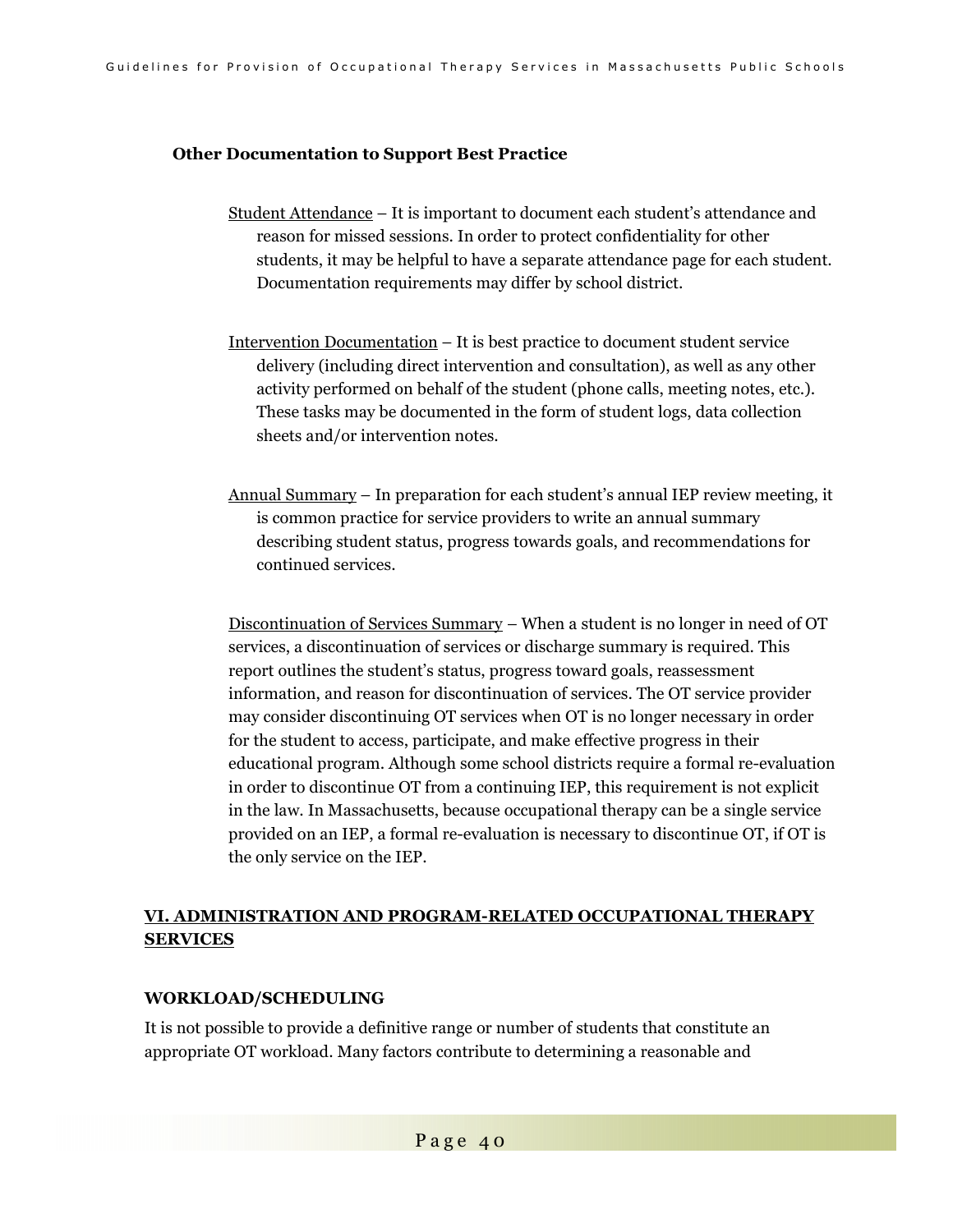#### **Other Documentation to Support Best Practice**

- Student Attendance It is important to document each student's attendance and reason for missed sessions. In order to protect confidentiality for other students, it may be helpful to have a separate attendance page for each student. Documentation requirements may differ by school district.
- Intervention Documentation It is best practice to document student service delivery (including direct intervention and consultation), as well as any other activity performed on behalf of the student (phone calls, meeting notes, etc.). These tasks may be documented in the form of student logs, data collection sheets and/or intervention notes.
- Annual Summary In preparation for each student's annual IEP review meeting, it is common practice for service providers to write an annual summary describing student status, progress towards goals, and recommendations for continued services.

Discontinuation of Services Summary – When a student is no longer in need of OT services, a discontinuation of services or discharge summary is required. This report outlines the student's status, progress toward goals, reassessment information, and reason for discontinuation of services. The OT service provider may consider discontinuing OT services when OT is no longer necessary in order for the student to access, participate, and make effective progress in their educational program. Although some school districts require a formal re-evaluation in order to discontinue OT from a continuing IEP, this requirement is not explicit in the law. In Massachusetts, because occupational therapy can be a single service provided on an IEP, a formal re-evaluation is necessary to discontinue OT, if OT is the only service on the IEP.

### **VI. ADMINISTRATION AND PROGRAM-RELATED OCCUPATIONAL THERAPY SERVICES**

#### **WORKLOAD/SCHEDULING**

It is not possible to provide a definitive range or number of students that constitute an appropriate OT workload. Many factors contribute to determining a reasonable and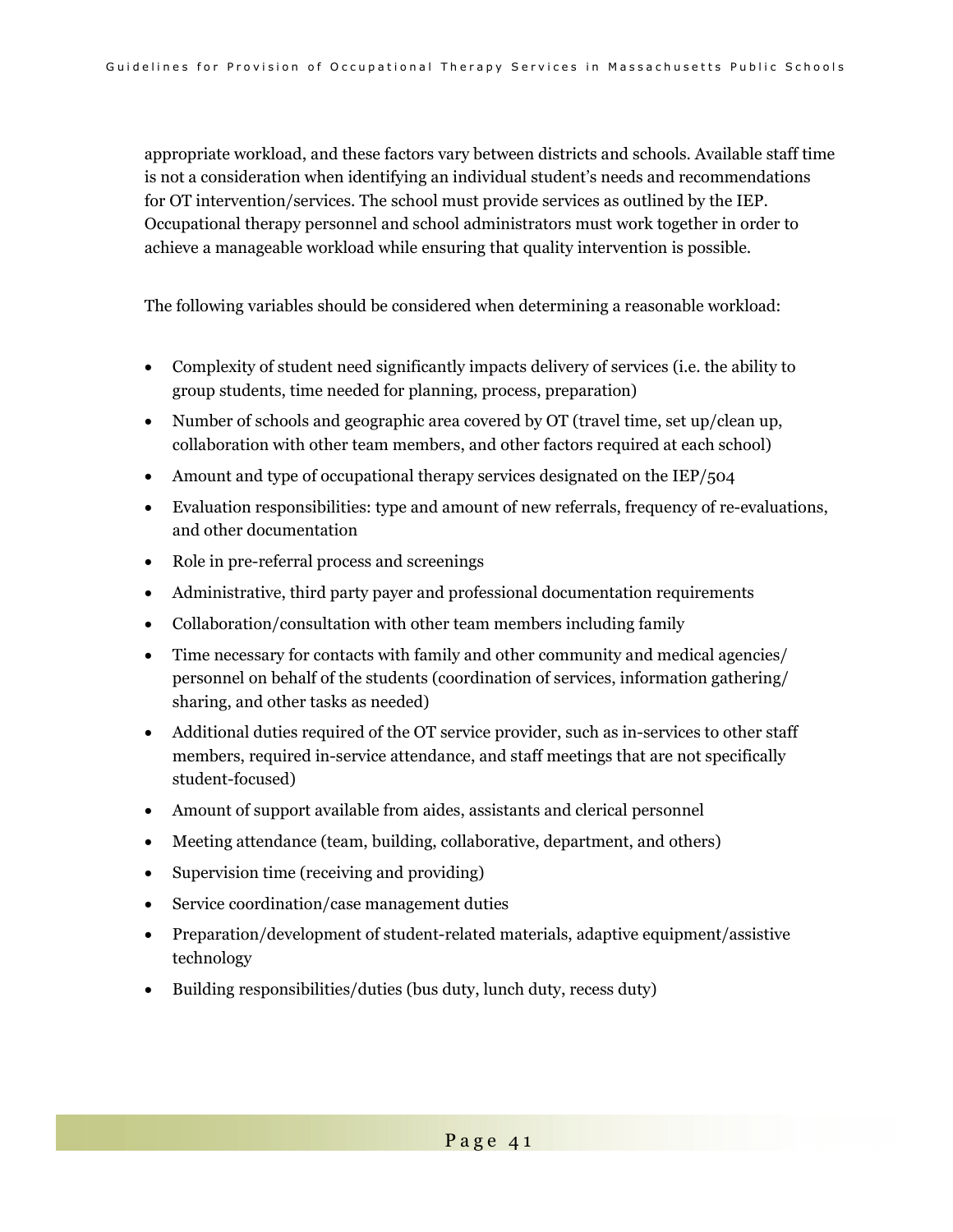appropriate workload, and these factors vary between districts and schools. Available staff time is not a consideration when identifying an individual student's needs and recommendations for OT intervention/services. The school must provide services as outlined by the IEP. Occupational therapy personnel and school administrators must work together in order to achieve a manageable workload while ensuring that quality intervention is possible.

The following variables should be considered when determining a reasonable workload:

- Complexity of student need significantly impacts delivery of services (i.e. the ability to group students, time needed for planning, process, preparation)
- Number of schools and geographic area covered by OT (travel time, set up/clean up, collaboration with other team members, and other factors required at each school)
- Amount and type of occupational therapy services designated on the IEP/504
- Evaluation responsibilities: type and amount of new referrals, frequency of re-evaluations, and other documentation
- Role in pre-referral process and screenings
- Administrative, third party payer and professional documentation requirements
- Collaboration/consultation with other team members including family
- Time necessary for contacts with family and other community and medical agencies/ personnel on behalf of the students (coordination of services, information gathering/ sharing, and other tasks as needed)
- Additional duties required of the OT service provider, such as in-services to other staff members, required in-service attendance, and staff meetings that are not specifically student-focused)
- Amount of support available from aides, assistants and clerical personnel
- Meeting attendance (team, building, collaborative, department, and others)
- Supervision time (receiving and providing)
- Service coordination/case management duties
- Preparation/development of student-related materials, adaptive equipment/assistive technology
- Building responsibilities/duties (bus duty, lunch duty, recess duty)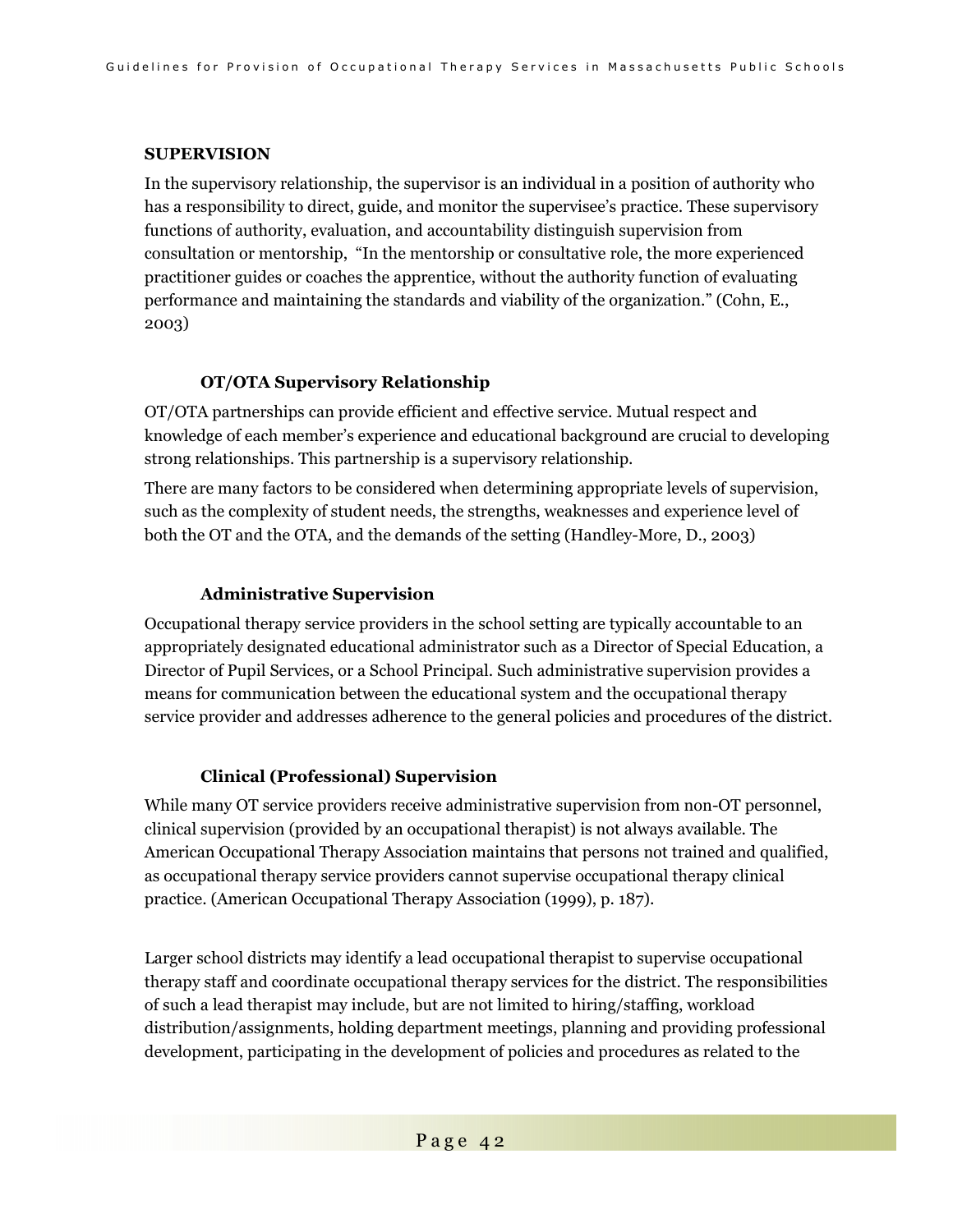#### **SUPERVISION**

In the supervisory relationship, the supervisor is an individual in a position of authority who has a responsibility to direct, guide, and monitor the supervisee's practice. These supervisory functions of authority, evaluation, and accountability distinguish supervision from consultation or mentorship, "In the mentorship or consultative role, the more experienced practitioner guides or coaches the apprentice, without the authority function of evaluating performance and maintaining the standards and viability of the organization." (Cohn, E., 2003)

### **OT/OTA Supervisory Relationship**

OT/OTA partnerships can provide efficient and effective service. Mutual respect and knowledge of each member's experience and educational background are crucial to developing strong relationships. This partnership is a supervisory relationship.

There are many factors to be considered when determining appropriate levels of supervision, such as the complexity of student needs, the strengths, weaknesses and experience level of both the OT and the OTA, and the demands of the setting (Handley-More, D., 2003)

### **Administrative Supervision**

Occupational therapy service providers in the school setting are typically accountable to an appropriately designated educational administrator such as a Director of Special Education, a Director of Pupil Services, or a School Principal. Such administrative supervision provides a means for communication between the educational system and the occupational therapy service provider and addresses adherence to the general policies and procedures of the district.

### **Clinical (Professional) Supervision**

While many OT service providers receive administrative supervision from non-OT personnel, clinical supervision (provided by an occupational therapist) is not always available. The American Occupational Therapy Association maintains that persons not trained and qualified, as occupational therapy service providers cannot supervise occupational therapy clinical practice. (American Occupational Therapy Association (1999), p. 187).

Larger school districts may identify a lead occupational therapist to supervise occupational therapy staff and coordinate occupational therapy services for the district. The responsibilities of such a lead therapist may include, but are not limited to hiring/staffing, workload distribution/assignments, holding department meetings, planning and providing professional development, participating in the development of policies and procedures as related to the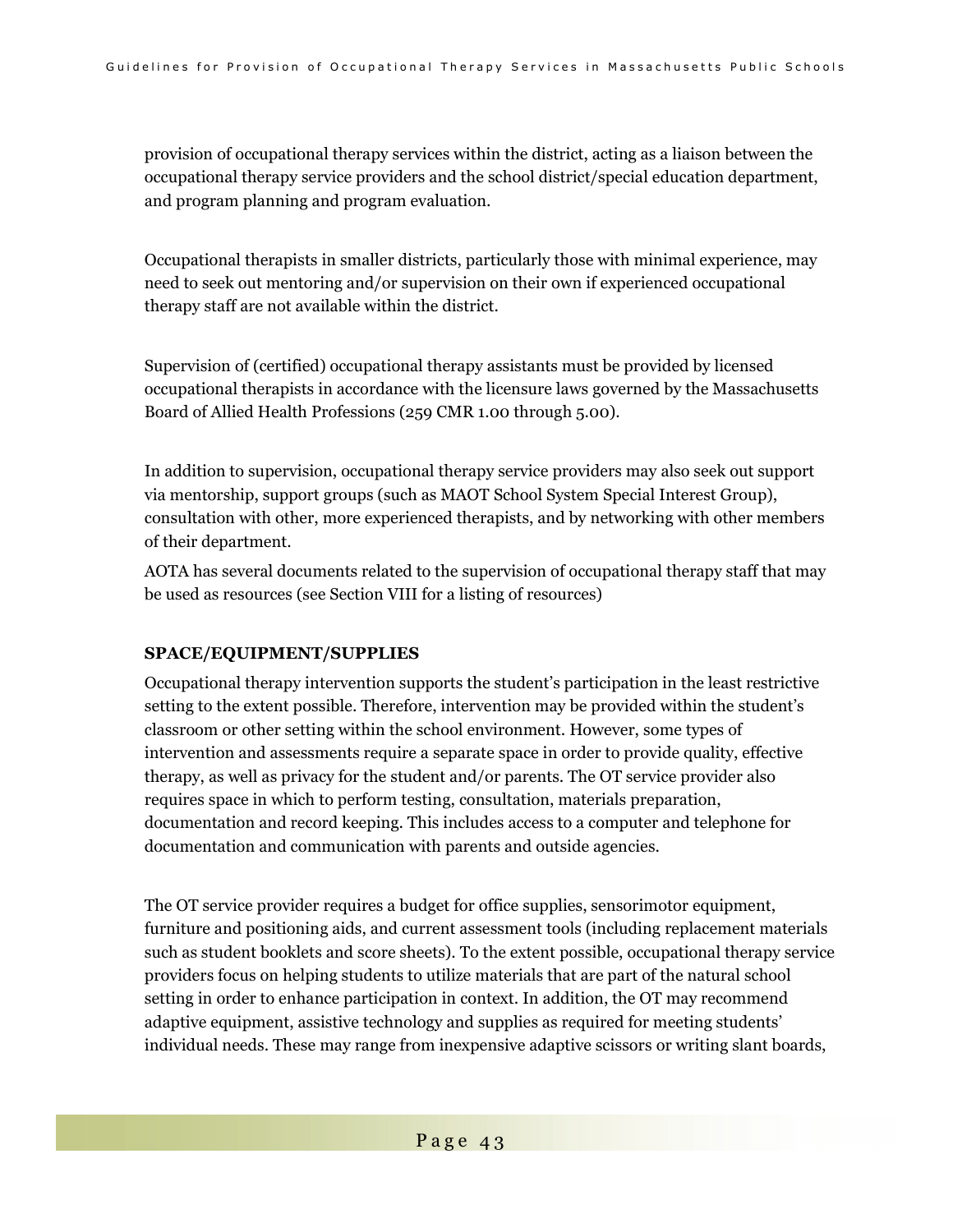provision of occupational therapy services within the district, acting as a liaison between the occupational therapy service providers and the school district/special education department, and program planning and program evaluation.

Occupational therapists in smaller districts, particularly those with minimal experience, may need to seek out mentoring and/or supervision on their own if experienced occupational therapy staff are not available within the district.

Supervision of (certified) occupational therapy assistants must be provided by licensed occupational therapists in accordance with the licensure laws governed by the Massachusetts Board of Allied Health Professions (259 CMR 1.00 through 5.00).

In addition to supervision, occupational therapy service providers may also seek out support via mentorship, support groups (such as MAOT School System Special Interest Group), consultation with other, more experienced therapists, and by networking with other members of their department.

AOTA has several documents related to the supervision of occupational therapy staff that may be used as resources (see Section VIII for a listing of resources)

#### **SPACE/EQUIPMENT/SUPPLIES**

Occupational therapy intervention supports the student's participation in the least restrictive setting to the extent possible. Therefore, intervention may be provided within the student's classroom or other setting within the school environment. However, some types of intervention and assessments require a separate space in order to provide quality, effective therapy, as well as privacy for the student and/or parents. The OT service provider also requires space in which to perform testing, consultation, materials preparation, documentation and record keeping. This includes access to a computer and telephone for documentation and communication with parents and outside agencies.

The OT service provider requires a budget for office supplies, sensorimotor equipment, furniture and positioning aids, and current assessment tools (including replacement materials such as student booklets and score sheets). To the extent possible, occupational therapy service providers focus on helping students to utilize materials that are part of the natural school setting in order to enhance participation in context. In addition, the OT may recommend adaptive equipment, assistive technology and supplies as required for meeting students' individual needs. These may range from inexpensive adaptive scissors or writing slant boards,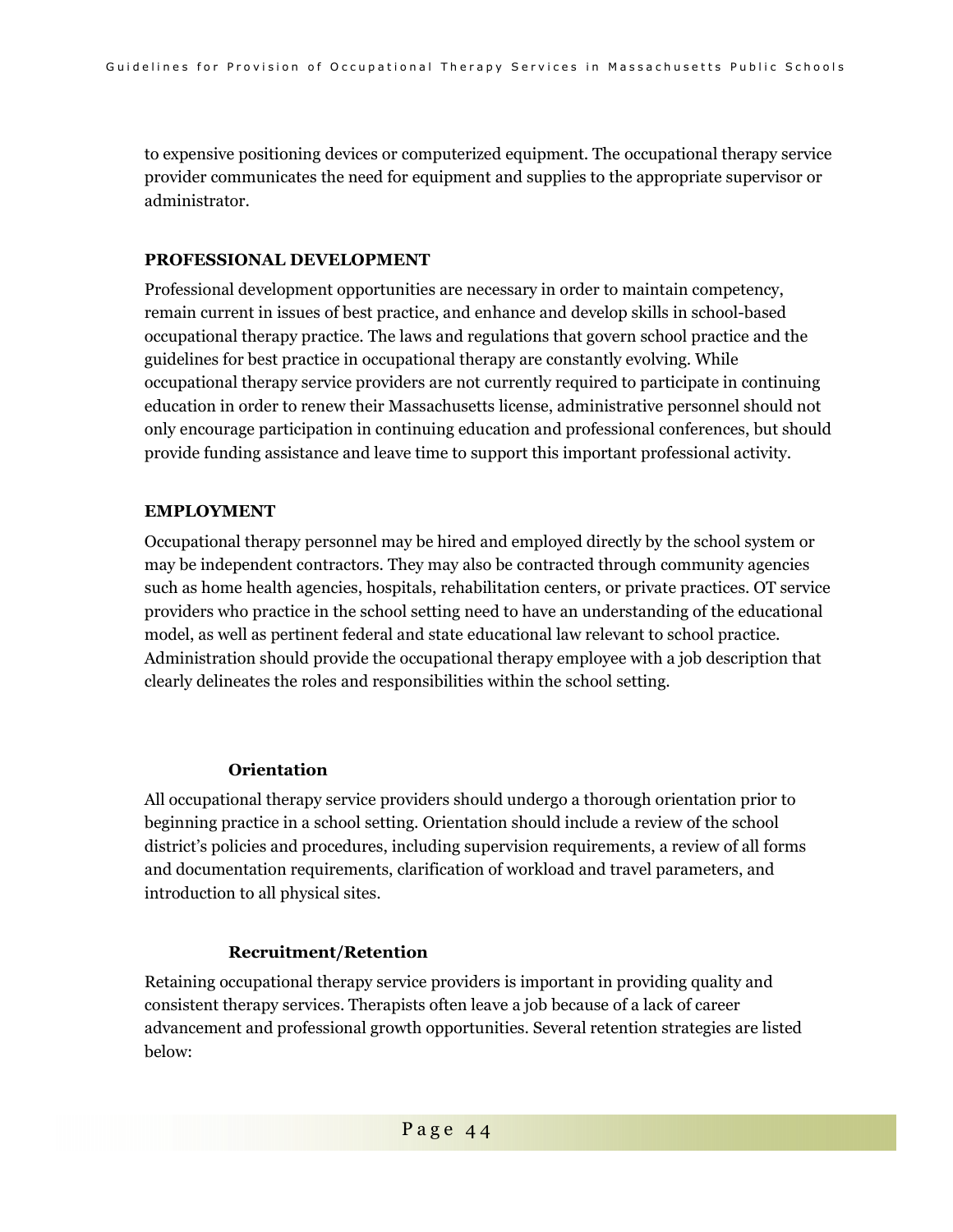to expensive positioning devices or computerized equipment. The occupational therapy service provider communicates the need for equipment and supplies to the appropriate supervisor or administrator.

#### **PROFESSIONAL DEVELOPMENT**

Professional development opportunities are necessary in order to maintain competency, remain current in issues of best practice, and enhance and develop skills in school-based occupational therapy practice. The laws and regulations that govern school practice and the guidelines for best practice in occupational therapy are constantly evolving. While occupational therapy service providers are not currently required to participate in continuing education in order to renew their Massachusetts license, administrative personnel should not only encourage participation in continuing education and professional conferences, but should provide funding assistance and leave time to support this important professional activity.

#### **EMPLOYMENT**

Occupational therapy personnel may be hired and employed directly by the school system or may be independent contractors. They may also be contracted through community agencies such as home health agencies, hospitals, rehabilitation centers, or private practices. OT service providers who practice in the school setting need to have an understanding of the educational model, as well as pertinent federal and state educational law relevant to school practice. Administration should provide the occupational therapy employee with a job description that clearly delineates the roles and responsibilities within the school setting.

#### **Orientation**

All occupational therapy service providers should undergo a thorough orientation prior to beginning practice in a school setting. Orientation should include a review of the school district's policies and procedures, including supervision requirements, a review of all forms and documentation requirements, clarification of workload and travel parameters, and introduction to all physical sites.

#### **Recruitment/Retention**

Retaining occupational therapy service providers is important in providing quality and consistent therapy services. Therapists often leave a job because of a lack of career advancement and professional growth opportunities. Several retention strategies are listed below: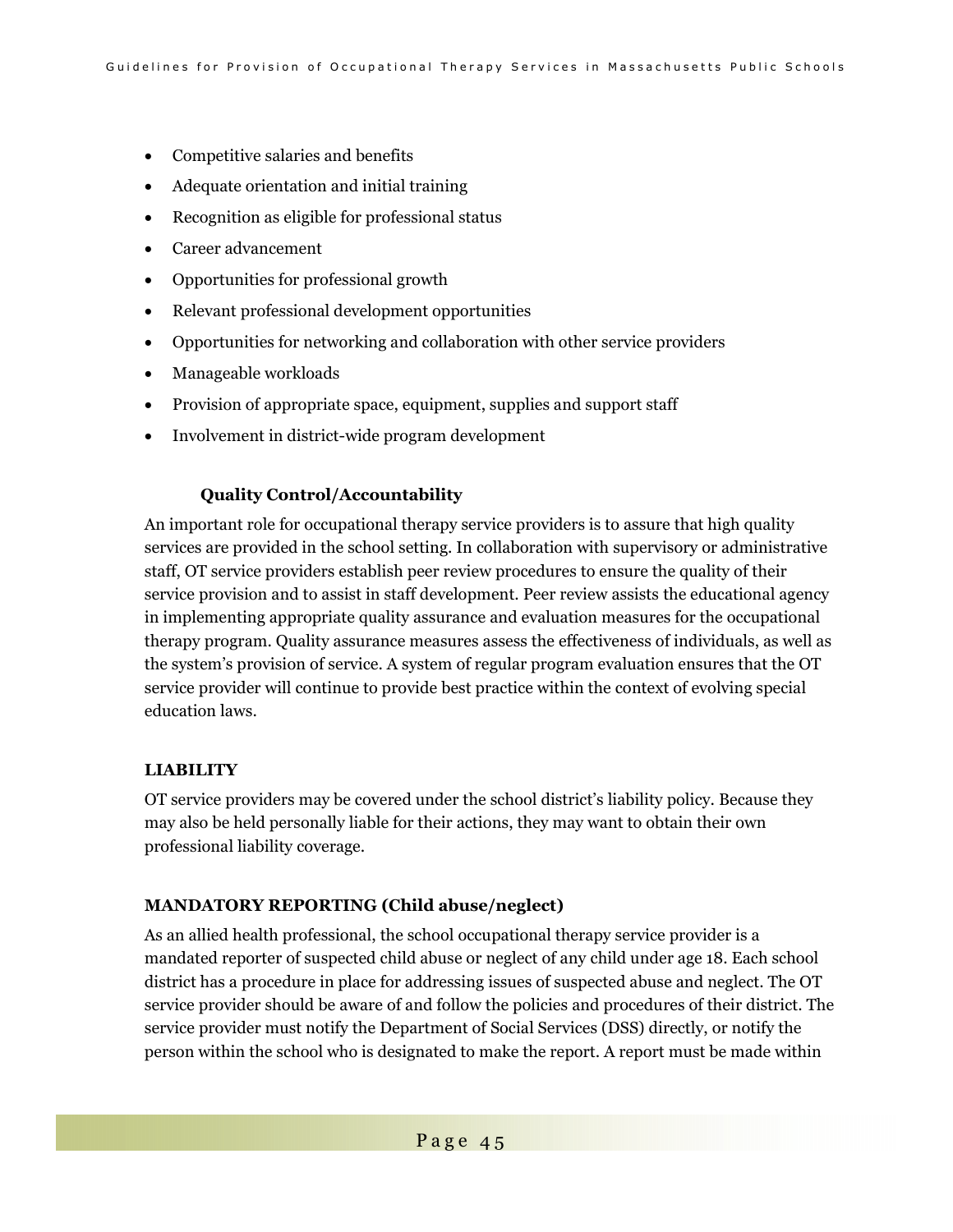- Competitive salaries and benefits
- Adequate orientation and initial training
- Recognition as eligible for professional status
- Career advancement
- Opportunities for professional growth
- Relevant professional development opportunities
- Opportunities for networking and collaboration with other service providers
- Manageable workloads
- Provision of appropriate space, equipment, supplies and support staff
- Involvement in district-wide program development

### **Quality Control/Accountability**

An important role for occupational therapy service providers is to assure that high quality services are provided in the school setting. In collaboration with supervisory or administrative staff, OT service providers establish peer review procedures to ensure the quality of their service provision and to assist in staff development. Peer review assists the educational agency in implementing appropriate quality assurance and evaluation measures for the occupational therapy program. Quality assurance measures assess the effectiveness of individuals, as well as the system's provision of service. A system of regular program evaluation ensures that the OT service provider will continue to provide best practice within the context of evolving special education laws.

### **LIABILITY**

OT service providers may be covered under the school district's liability policy. Because they may also be held personally liable for their actions, they may want to obtain their own professional liability coverage.

### **MANDATORY REPORTING (Child abuse/neglect)**

As an allied health professional, the school occupational therapy service provider is a mandated reporter of suspected child abuse or neglect of any child under age 18. Each school district has a procedure in place for addressing issues of suspected abuse and neglect. The OT service provider should be aware of and follow the policies and procedures of their district. The service provider must notify the Department of Social Services (DSS) directly, or notify the person within the school who is designated to make the report. A report must be made within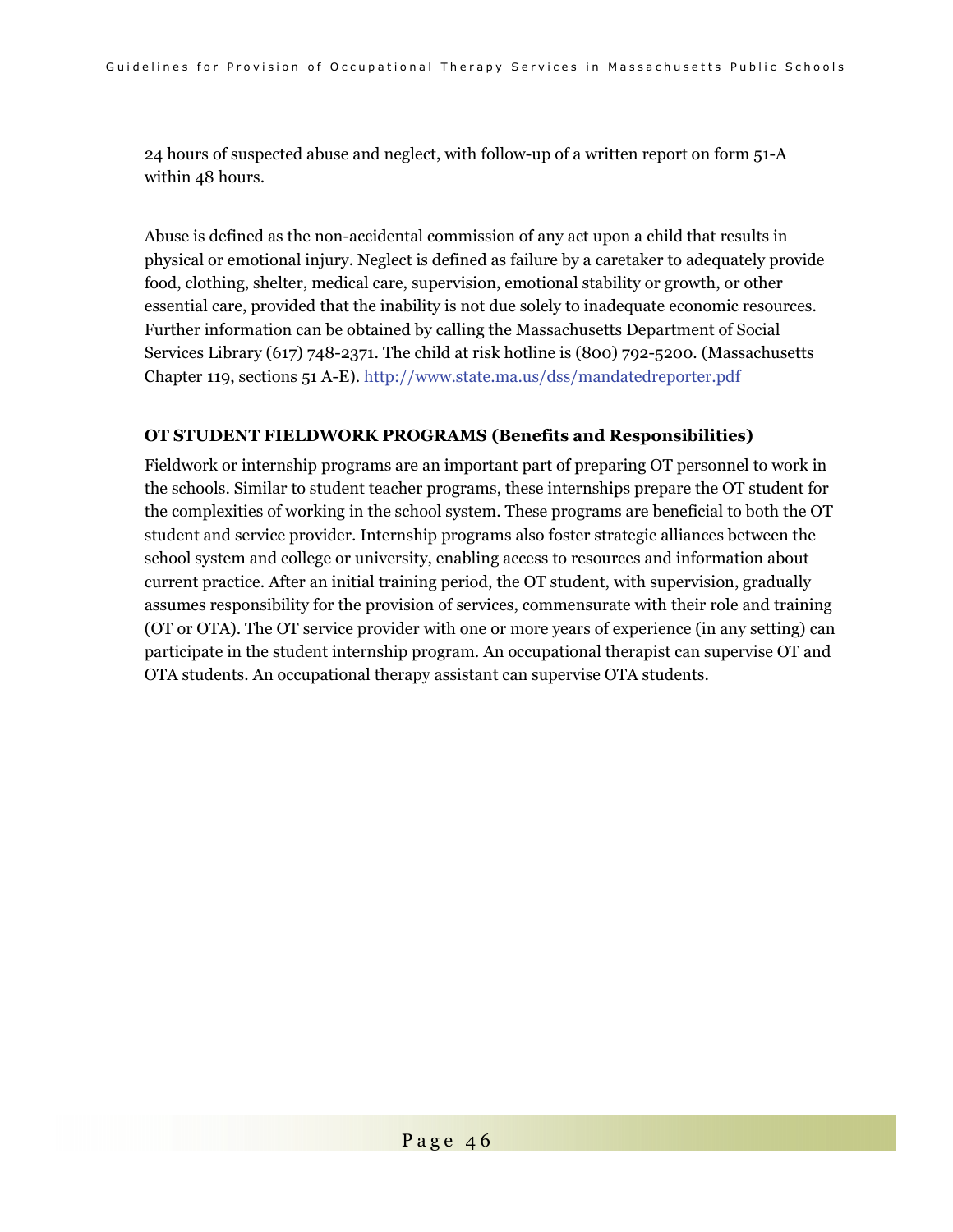24 hours of suspected abuse and neglect, with follow-up of a written report on form 51-A within 48 hours.

Abuse is defined as the non-accidental commission of any act upon a child that results in physical or emotional injury. Neglect is defined as failure by a caretaker to adequately provide food, clothing, shelter, medical care, supervision, emotional stability or growth, or other essential care, provided that the inability is not due solely to inadequate economic resources. Further information can be obtained by calling the Massachusetts Department of Social Services Library (617) 748-2371. The child at risk hotline is (800) 792-5200. (Massachusetts Chapter 119, sections 51 A-E). http://www.state.ma.us/dss/mandatedreporter.pdf

#### **OT STUDENT FIELDWORK PROGRAMS (Benefits and Responsibilities)**

Fieldwork or internship programs are an important part of preparing OT personnel to work in the schools. Similar to student teacher programs, these internships prepare the OT student for the complexities of working in the school system. These programs are beneficial to both the OT student and service provider. Internship programs also foster strategic alliances between the school system and college or university, enabling access to resources and information about current practice. After an initial training period, the OT student, with supervision, gradually assumes responsibility for the provision of services, commensurate with their role and training (OT or OTA). The OT service provider with one or more years of experience (in any setting) can participate in the student internship program. An occupational therapist can supervise OT and OTA students. An occupational therapy assistant can supervise OTA students.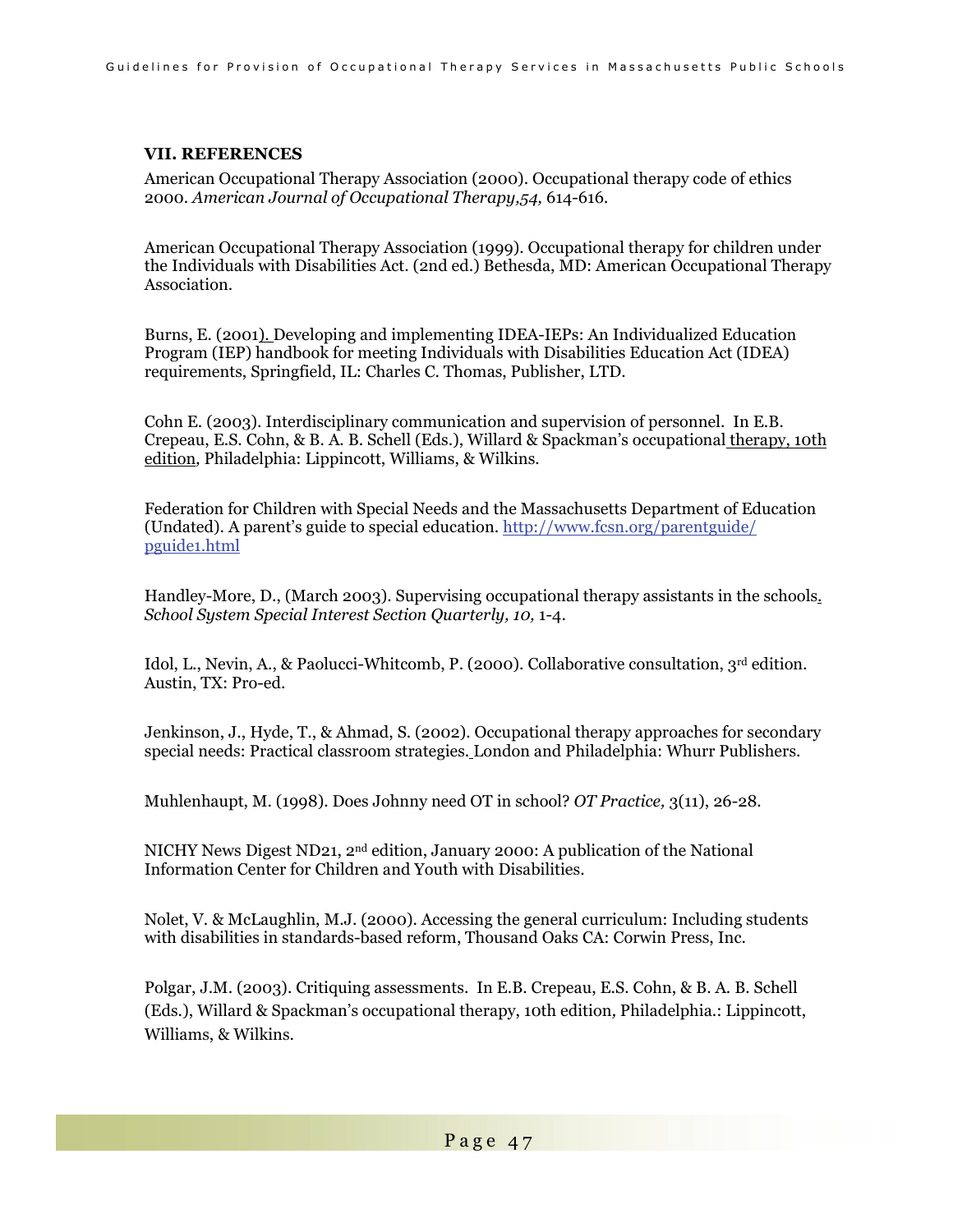### **VII. REFERENCES**

American Occupational Therapy Association (2000). Occupational therapy code of ethics 2000. *American Journal of Occupational Therapy,54,* 614-616*.* 

American Occupational Therapy Association (1999). Occupational therapy for children under the Individuals with Disabilities Act. (2nd ed.) Bethesda, MD: American Occupational Therapy Association.

Burns, E. (2001). Developing and implementing IDEA-IEPs: An Individualized Education Program (IEP) handbook for meeting Individuals with Disabilities Education Act (IDEA) requirements, Springfield, IL: Charles C. Thomas, Publisher, LTD.

Cohn E. (2003). Interdisciplinary communication and supervision of personnel. In E.B. Crepeau, E.S. Cohn, & B. A. B. Schell (Eds.), Willard & Spackman's occupational therapy, 10th edition*,* Philadelphia: Lippincott, Williams, & Wilkins.

Federation for Children with Special Needs and the Massachusetts Department of Education (Undated). A parent's guide to special education. http://www.fcsn.org/parentguide/ pguide1.html

Handley-More, D., (March 2003). Supervising occupational therapy assistants in the schools. *School System Special Interest Section Quarterly, 10,* 1-4.

Idol, L., Nevin, A., & Paolucci-Whitcomb, P. (2000). Collaborative consultation, 3rd edition*.* Austin, TX: Pro-ed.

Jenkinson, J., Hyde, T., & Ahmad, S. (2002). Occupational therapy approaches for secondary special needs: Practical classroom strategies. London and Philadelphia: Whurr Publishers.

Muhlenhaupt, M. (1998). Does Johnny need OT in school? *OT Practice,* 3(11), 26-28.

NICHY News Digest ND21, 2nd edition, January 2000: A publication of the National Information Center for Children and Youth with Disabilities.

Nolet, V. & McLaughlin, M.J. (2000). Accessing the general curriculum: Including students with disabilities in standards-based reform, Thousand Oaks CA: Corwin Press, Inc.

Polgar, J.M. (2003). Critiquing assessments. In E.B. Crepeau, E.S. Cohn, & B. A. B. Schell (Eds.), Willard & Spackman's occupational therapy, 10th edition*,* Philadelphia.: Lippincott, Williams, & Wilkins.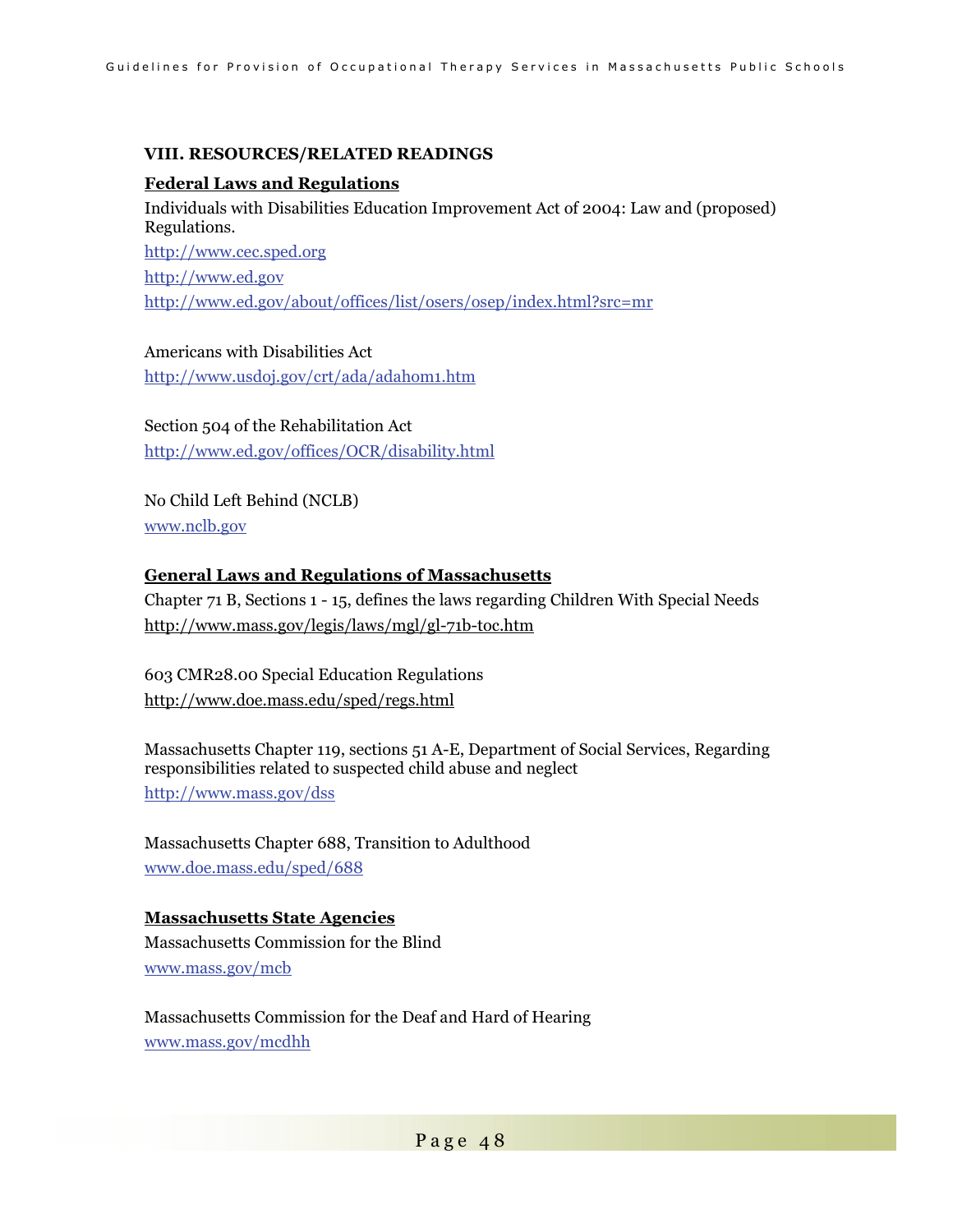### **VIII. RESOURCES/RELATED READINGS**

### **Federal Laws and Regulations**

Individuals with Disabilities Education Improvement Act of 2004: Law and (proposed) Regulations. http://www.cec.sped.org http://www.ed.gov http://www.ed.gov/about/offices/list/osers/osep/index.html?src=mr

Americans with Disabilities Act http://www.usdoj.gov/crt/ada/adahom1.htm

Section 504 of the Rehabilitation Act

http://www.ed.gov/offices/OCR/disability.html

No Child Left Behind (NCLB) www.nclb.gov

### **General Laws and Regulations of Massachusetts**

Chapter 71 B, Sections 1 - 15, defines the laws regarding Children With Special Needs http://www.mass.gov/legis/laws/mgl/gl-71b-toc.htm

603 CMR28.00 Special Education Regulations http://www.doe.mass.edu/sped/regs.html

Massachusetts Chapter 119, sections 51 A-E, Department of Social Services, Regarding responsibilities related to suspected child abuse and neglect http://www.mass.gov/dss

Massachusetts Chapter 688, Transition to Adulthood www.doe.mass.edu/sped/688

### **Massachusetts State Agencies**

Massachusetts Commission for the Blind www.mass.gov/mcb

Massachusetts Commission for the Deaf and Hard of Hearing www.mass.gov/mcdhh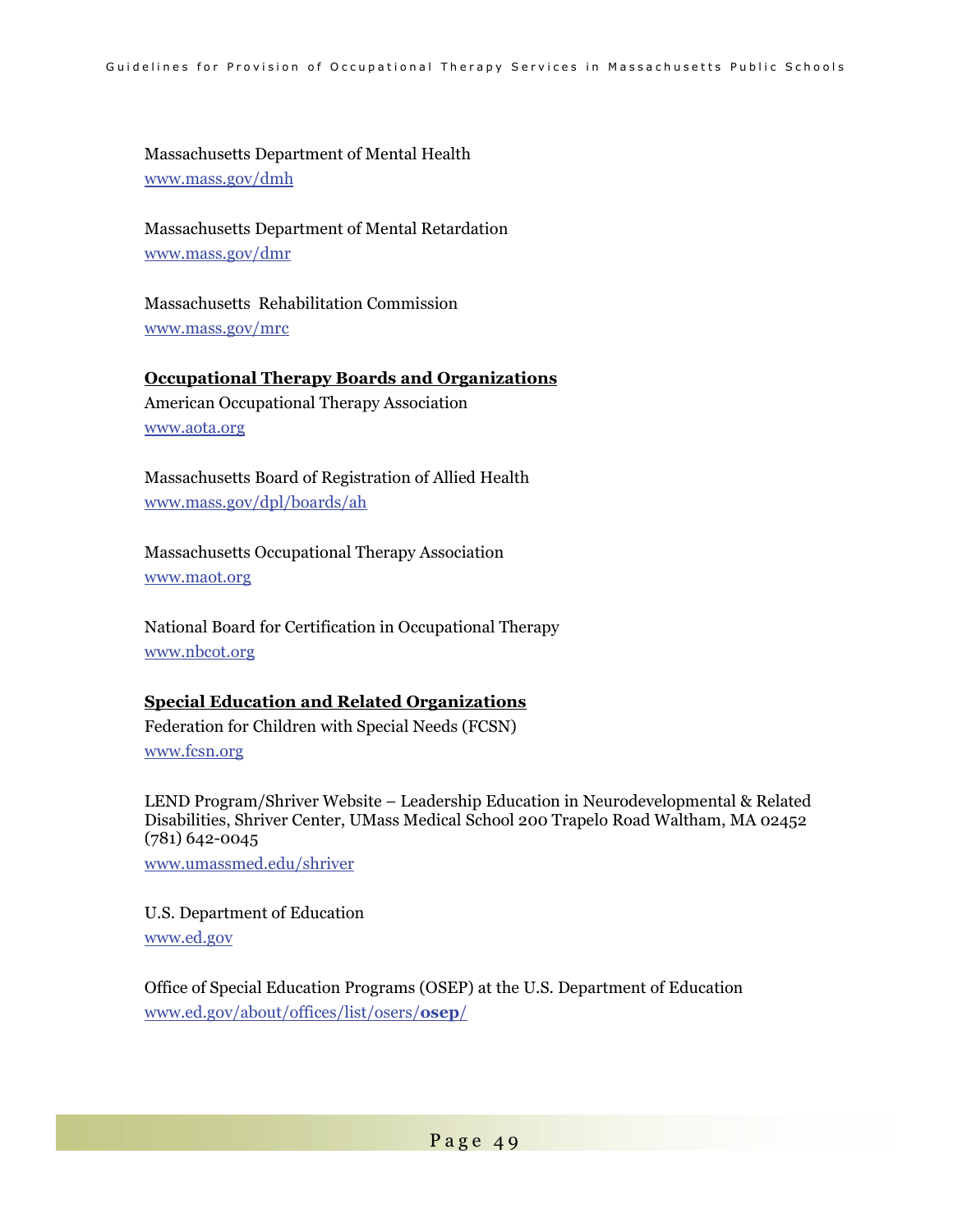Massachusetts Department of Mental Health www.mass.gov/dmh

Massachusetts Department of Mental Retardation www.mass.gov/dmr

Massachusetts Rehabilitation Commission www.mass.gov/mrc

### **Occupational Therapy Boards and Organizations**

American Occupational Therapy Association www.aota.org

Massachusetts Board of Registration of Allied Health www.mass.gov/dpl/boards/ah

Massachusetts Occupational Therapy Association www.maot.org

National Board for Certification in Occupational Therapy www.nbcot.org

### **Special Education and Related Organizations**

Federation for Children with Special Needs (FCSN) www.fcsn.org

LEND Program/Shriver Website – Leadership Education in Neurodevelopmental & Related Disabilities, Shriver Center, UMass Medical School 200 Trapelo Road Waltham, MA 02452 (781) 642-0045

www.umassmed.edu/shriver

U.S. Department of Education www.ed.gov

Office of Special Education Programs (OSEP) at the U.S. Department of Education www.ed.gov/about/offices/list/osers/**osep**/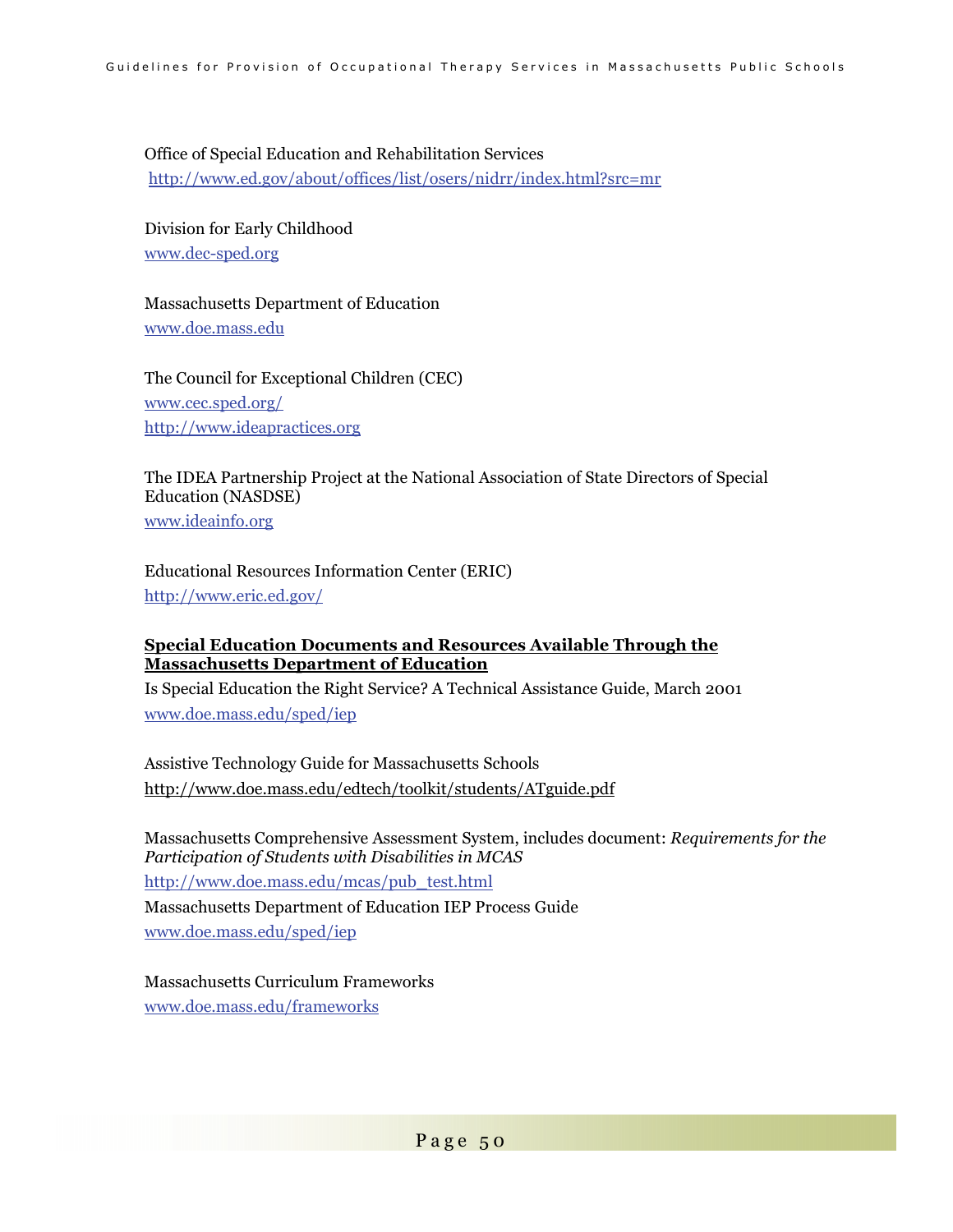Office of Special Education and Rehabilitation Services http://www.ed.gov/about/offices/list/osers/nidrr/index.html?src=mr

Division for Early Childhood www.dec-sped.org

Massachusetts Department of Education www.doe.mass.edu

The Council for Exceptional Children (CEC) www.cec.sped.org/ http://www.ideapractices.org

The IDEA Partnership Project at the National Association of State Directors of Special Education (NASDSE)

www.ideainfo.org

Educational Resources Information Center (ERIC) http://www.eric.ed.gov/

### **Special Education Documents and Resources Available Through the Massachusetts Department of Education**

Is Special Education the Right Service? A Technical Assistance Guide, March 2001 www.doe.mass.edu/sped/iep

Assistive Technology Guide for Massachusetts Schools http://www.doe.mass.edu/edtech/toolkit/students/ATguide.pdf

Massachusetts Comprehensive Assessment System, includes document: *Requirements for the Participation of Students with Disabilities in MCAS*  http://www.doe.mass.edu/mcas/pub\_test.html Massachusetts Department of Education IEP Process Guide

www.doe.mass.edu/sped/iep

Massachusetts Curriculum Frameworks www.doe.mass.edu/frameworks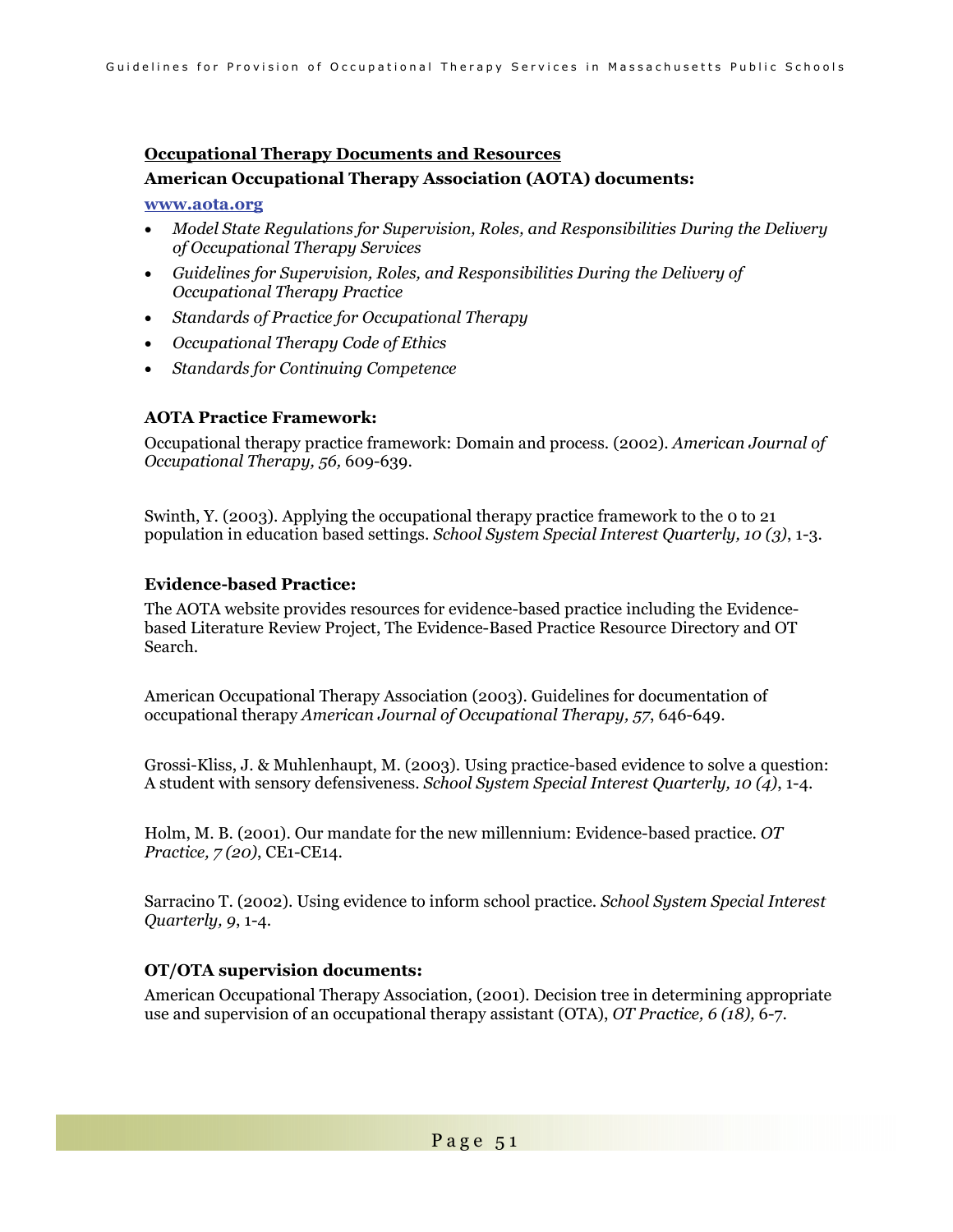#### **Occupational Therapy Documents and Resources**

#### **American Occupational Therapy Association (AOTA) documents:**

#### **www.aota.org**

- *Model State Regulations for Supervision, Roles, and Responsibilities During the Delivery of Occupational Therapy Services*
- *Guidelines for Supervision, Roles, and Responsibilities During the Delivery of Occupational Therapy Practice*
- *Standards of Practice for Occupational Therapy*
- *Occupational Therapy Code of Ethics*
- *Standards for Continuing Competence*

#### **AOTA Practice Framework:**

Occupational therapy practice framework: Domain and process. (2002). *American Journal of Occupational Therapy, 56,* 609-639.

Swinth, Y. (2003). Applying the occupational therapy practice framework to the 0 to 21 population in education based settings. *School System Special Interest Quarterly, 10 (3)*, 1-3.

#### **Evidence-based Practice:**

The AOTA website provides resources for evidence-based practice including the Evidencebased Literature Review Project, The Evidence-Based Practice Resource Directory and OT Search.

American Occupational Therapy Association (2003). Guidelines for documentation of occupational therapy *American Journal of Occupational Therapy, 57*, 646-649.

Grossi-Kliss, J. & Muhlenhaupt, M. (2003). Using practice-based evidence to solve a question: A student with sensory defensiveness. *School System Special Interest Quarterly, 10 (4)*, 1-4.

Holm, M. B. (2001). Our mandate for the new millennium: Evidence-based practice. *OT Practice, 7 (20)*, CE1-CE14.

Sarracino T. (2002). Using evidence to inform school practice. *School System Special Interest Quarterly, 9*, 1-4.

### **OT/OTA supervision documents:**

American Occupational Therapy Association, (2001). Decision tree in determining appropriate use and supervision of an occupational therapy assistant (OTA), *OT Practice, 6 (18),* 6-7.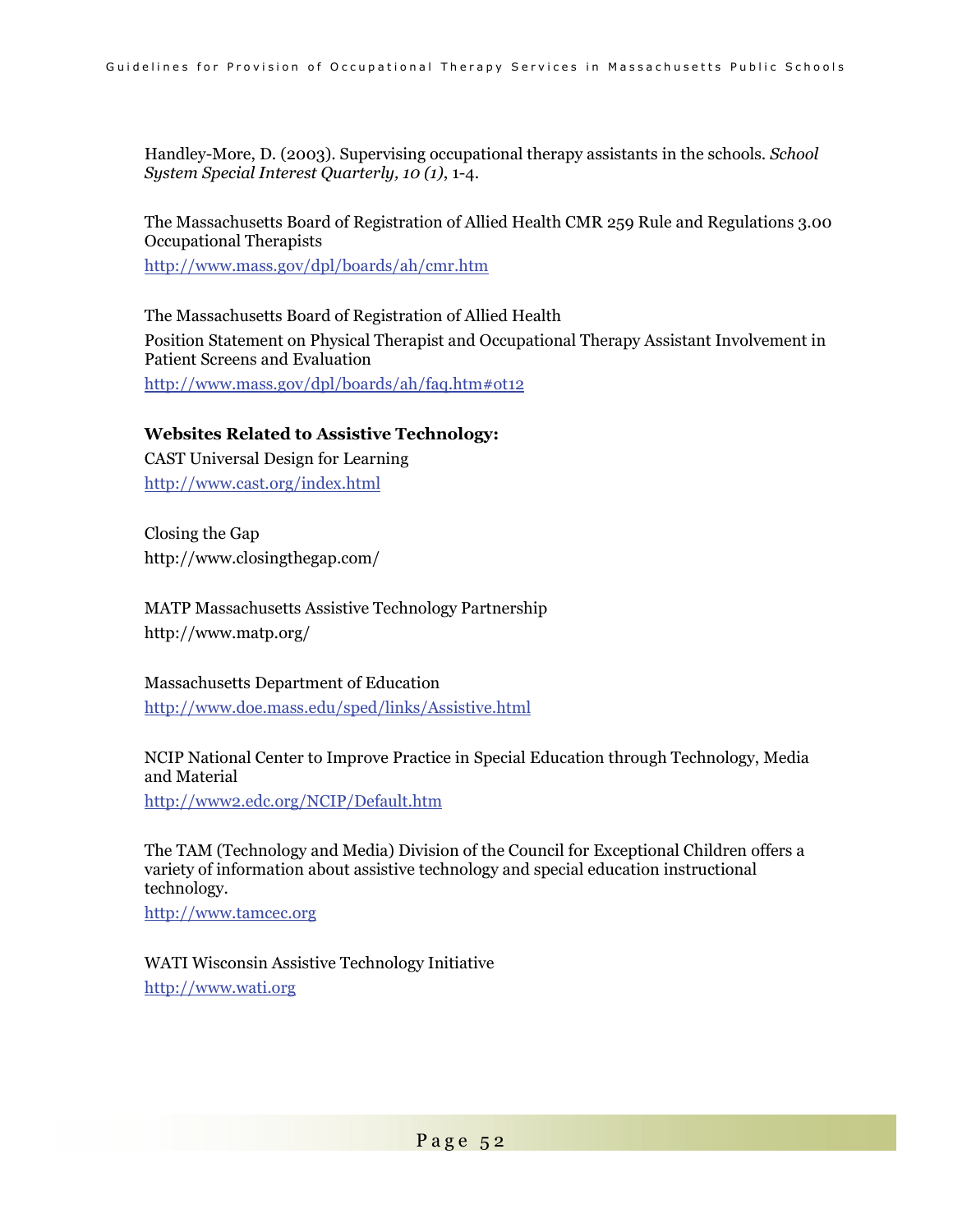Handley-More, D. (2003). Supervising occupational therapy assistants in the schools. *School System Special Interest Quarterly, 10 (1)*, 1-4.

The Massachusetts Board of Registration of Allied Health CMR 259 Rule and Regulations 3.00 Occupational Therapists

http://www.mass.gov/dpl/boards/ah/cmr.htm

The Massachusetts Board of Registration of Allied Health Position Statement on Physical Therapist and Occupational Therapy Assistant Involvement in Patient Screens and Evaluation http://www.mass.gov/dpl/boards/ah/faq.htm#ot12

### **Websites Related to Assistive Technology:**

CAST Universal Design for Learning http://www.cast.org/index.html

Closing the Gap http://www.closingthegap.com/

MATP Massachusetts Assistive Technology Partnership http://www.matp.org/

Massachusetts Department of Education http://www.doe.mass.edu/sped/links/Assistive.html

NCIP National Center to Improve Practice in Special Education through Technology, Media and Material

http://www2.edc.org/NCIP/Default.htm

The TAM (Technology and Media) Division of the Council for Exceptional Children offers a variety of information about assistive technology and special education instructional technology.

http://www.tamcec.org

WATI Wisconsin Assistive Technology Initiative http://www.wati.org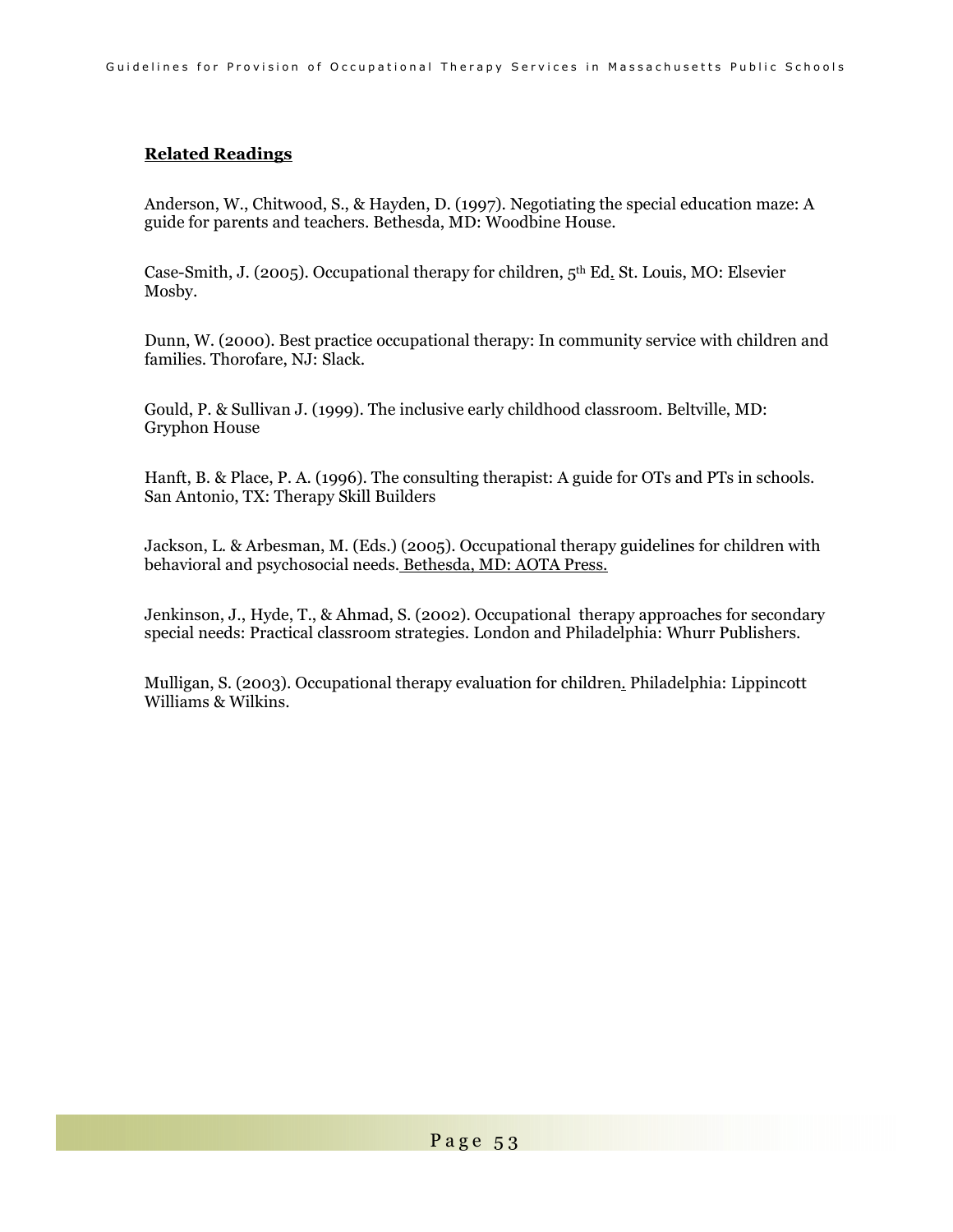### **Related Readings**

Anderson, W., Chitwood, S., & Hayden, D. (1997). Negotiating the special education maze: A guide for parents and teachers. Bethesda, MD: Woodbine House.

Case-Smith, J. (2005). Occupational therapy for children, 5th Ed. St. Louis, MO: Elsevier Mosby.

Dunn, W. (2000). Best practice occupational therapy: In community service with children and families. Thorofare, NJ: Slack.

Gould, P. & Sullivan J. (1999). The inclusive early childhood classroom. Beltville, MD: Gryphon House

Hanft, B. & Place, P. A. (1996). The consulting therapist: A guide for OTs and PTs in schools. San Antonio, TX: Therapy Skill Builders

Jackson, L. & Arbesman, M. (Eds.) (2005). Occupational therapy guidelines for children with behavioral and psychosocial needs. Bethesda, MD: AOTA Press.

Jenkinson, J., Hyde, T., & Ahmad, S. (2002). Occupational therapy approaches for secondary special needs: Practical classroom strategies. London and Philadelphia: Whurr Publishers.

Mulligan, S. (2003). Occupational therapy evaluation for children. Philadelphia: Lippincott Williams & Wilkins.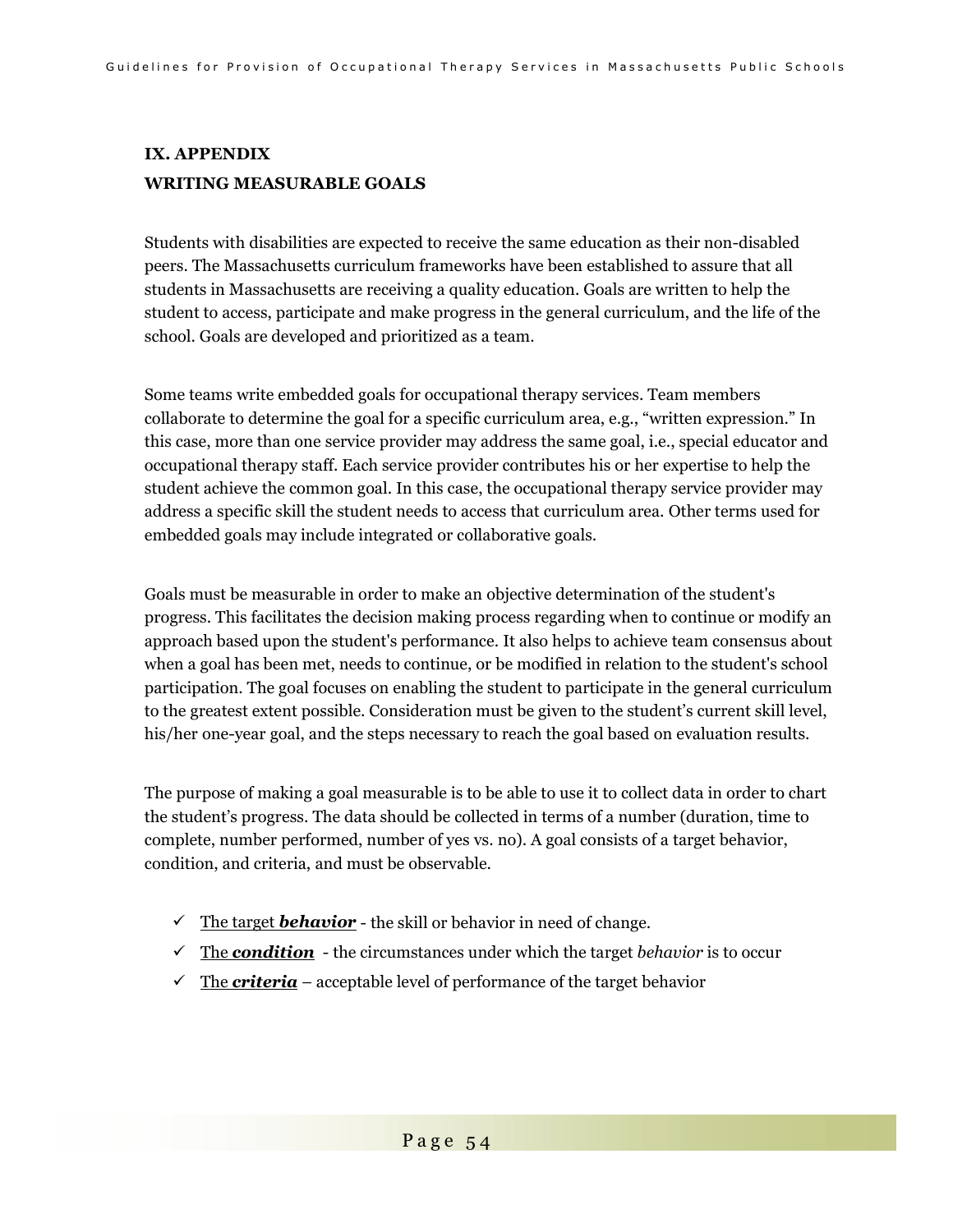# **IX. APPENDIX WRITING MEASURABLE GOALS**

Students with disabilities are expected to receive the same education as their non-disabled peers. The Massachusetts curriculum frameworks have been established to assure that all students in Massachusetts are receiving a quality education. Goals are written to help the student to access, participate and make progress in the general curriculum, and the life of the school. Goals are developed and prioritized as a team.

Some teams write embedded goals for occupational therapy services. Team members collaborate to determine the goal for a specific curriculum area, e.g., "written expression." In this case, more than one service provider may address the same goal, i.e., special educator and occupational therapy staff. Each service provider contributes his or her expertise to help the student achieve the common goal. In this case, the occupational therapy service provider may address a specific skill the student needs to access that curriculum area. Other terms used for embedded goals may include integrated or collaborative goals.

Goals must be measurable in order to make an objective determination of the student's progress. This facilitates the decision making process regarding when to continue or modify an approach based upon the student's performance. It also helps to achieve team consensus about when a goal has been met, needs to continue, or be modified in relation to the student's school participation. The goal focuses on enabling the student to participate in the general curriculum to the greatest extent possible. Consideration must be given to the student's current skill level, his/her one-year goal, and the steps necessary to reach the goal based on evaluation results.

The purpose of making a goal measurable is to be able to use it to collect data in order to chart the student's progress. The data should be collected in terms of a number (duration, time to complete, number performed, number of yes vs. no). A goal consists of a target behavior, condition, and criteria, and must be observable.

- $\checkmark$  The target **behavior** the skill or behavior in need of change.
- $\checkmark$  The *condition* the circumstances under which the target *behavior* is to occur
- $\checkmark$  The **criteria** acceptable level of performance of the target behavior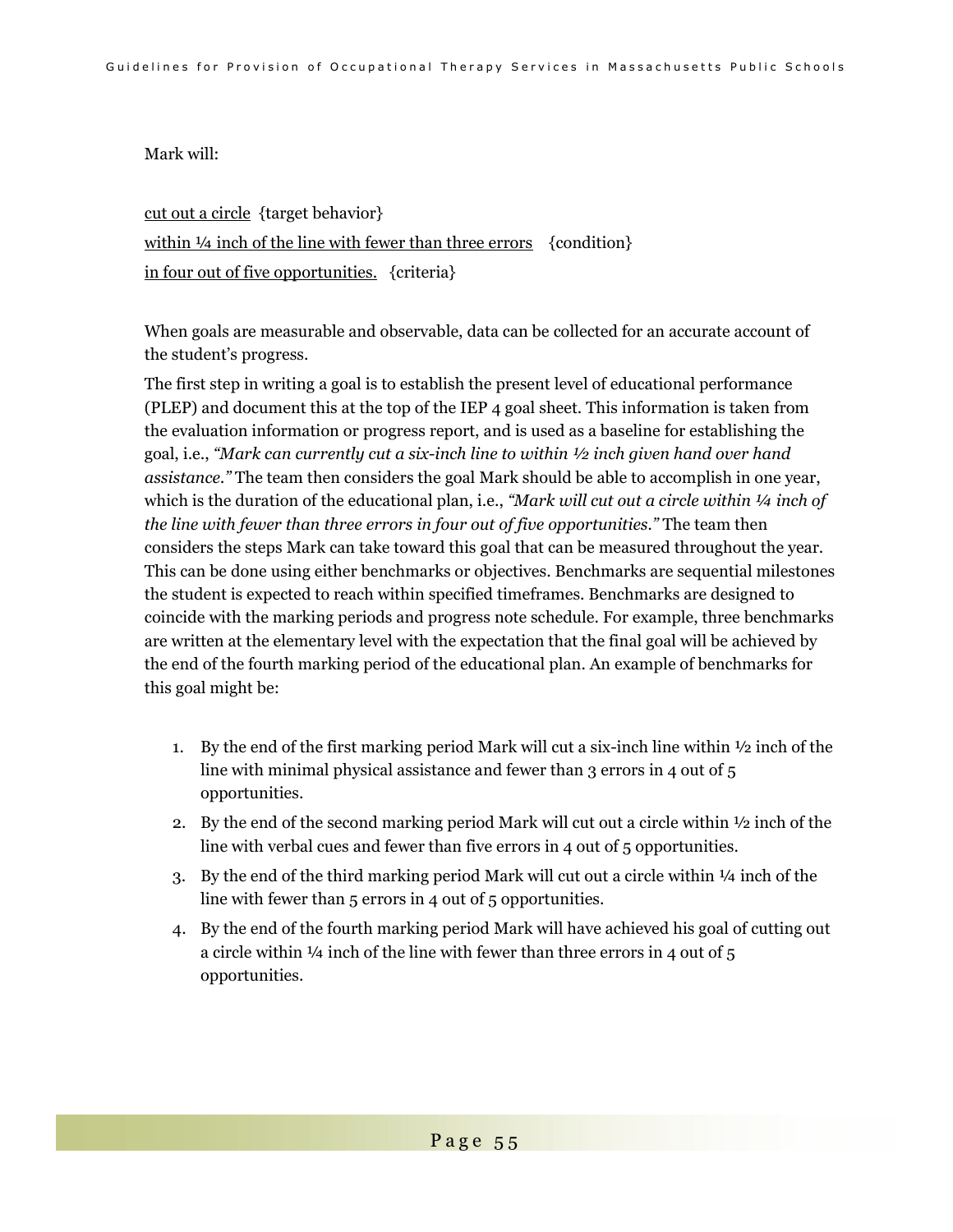Mark will:

cut out a circle {target behavior} within  $\frac{1}{4}$  inch of the line with fewer than three errors {condition} in four out of five opportunities. {criteria}

When goals are measurable and observable, data can be collected for an accurate account of the student's progress.

The first step in writing a goal is to establish the present level of educational performance (PLEP) and document this at the top of the IEP 4 goal sheet. This information is taken from the evaluation information or progress report, and is used as a baseline for establishing the goal, i.e., *"Mark can currently cut a six-inch line to within ½ inch given hand over hand assistance."* The team then considers the goal Mark should be able to accomplish in one year, which is the duration of the educational plan, i.e., *"Mark will cut out a circle within 1/4 inch of the line with fewer than three errors in four out of five opportunities."* The team then considers the steps Mark can take toward this goal that can be measured throughout the year. This can be done using either benchmarks or objectives. Benchmarks are sequential milestones the student is expected to reach within specified timeframes. Benchmarks are designed to coincide with the marking periods and progress note schedule. For example, three benchmarks are written at the elementary level with the expectation that the final goal will be achieved by the end of the fourth marking period of the educational plan. An example of benchmarks for this goal might be:

- 1. By the end of the first marking period Mark will cut a six-inch line within  $\frac{1}{2}$  inch of the line with minimal physical assistance and fewer than 3 errors in 4 out of 5 opportunities.
- 2. By the end of the second marking period Mark will cut out a circle within ½ inch of the line with verbal cues and fewer than five errors in 4 out of 5 opportunities.
- 3. By the end of the third marking period Mark will cut out a circle within  $\frac{1}{4}$  inch of the line with fewer than 5 errors in 4 out of 5 opportunities.
- 4. By the end of the fourth marking period Mark will have achieved his goal of cutting out a circle within  $\frac{1}{4}$  inch of the line with fewer than three errors in 4 out of 5 opportunities.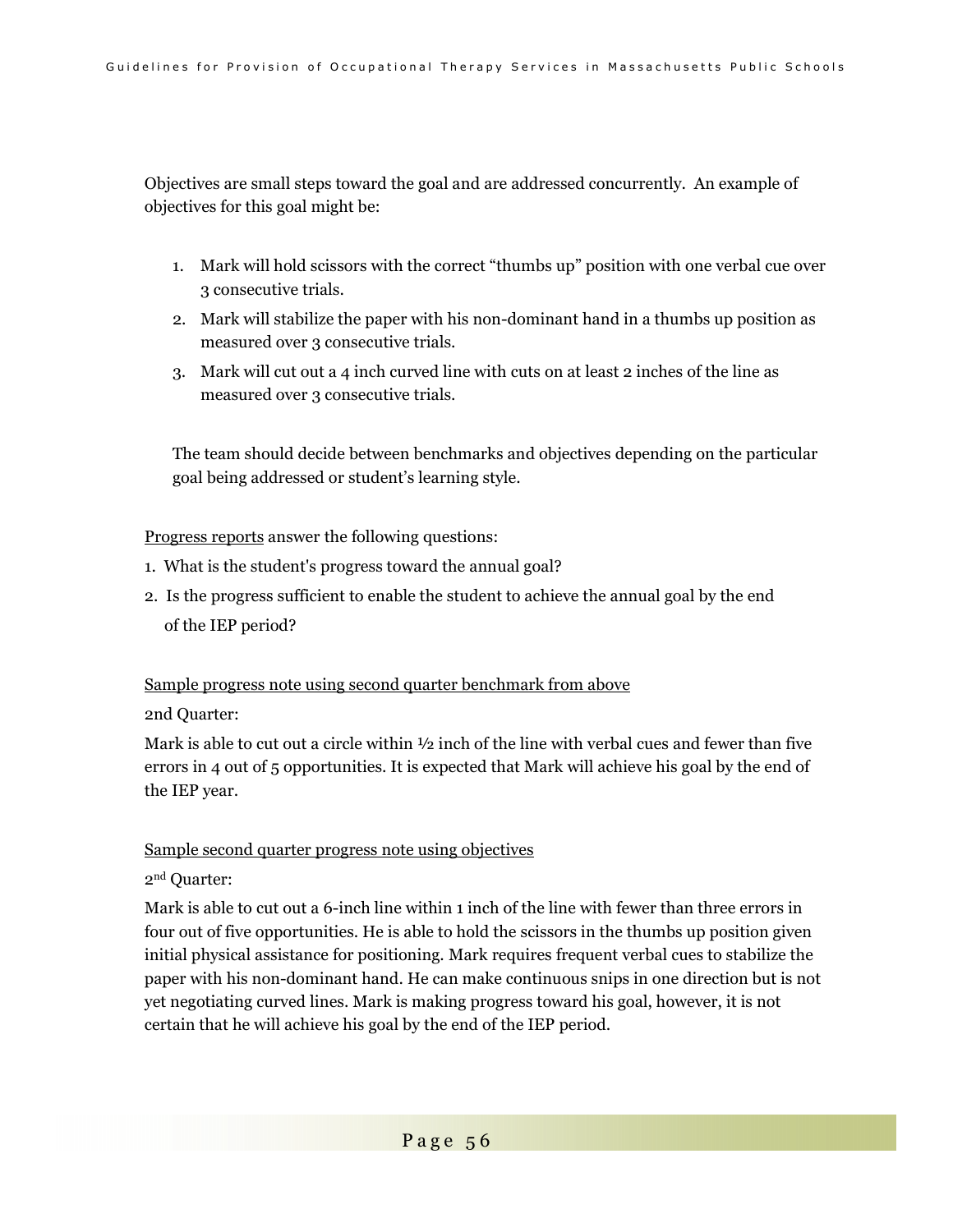Objectives are small steps toward the goal and are addressed concurrently. An example of objectives for this goal might be:

- 1. Mark will hold scissors with the correct "thumbs up" position with one verbal cue over 3 consecutive trials.
- 2. Mark will stabilize the paper with his non-dominant hand in a thumbs up position as measured over 3 consecutive trials.
- 3. Mark will cut out a 4 inch curved line with cuts on at least 2 inches of the line as measured over 3 consecutive trials.

The team should decide between benchmarks and objectives depending on the particular goal being addressed or student's learning style.

Progress reports answer the following questions:

- 1. What is the student's progress toward the annual goal?
- 2. Is the progress sufficient to enable the student to achieve the annual goal by the end of the IEP period?

### Sample progress note using second quarter benchmark from above

2nd Quarter:

Mark is able to cut out a circle within  $\frac{1}{2}$  inch of the line with verbal cues and fewer than five errors in 4 out of 5 opportunities. It is expected that Mark will achieve his goal by the end of the IEP year.

### Sample second quarter progress note using objectives

### 2nd Quarter:

Mark is able to cut out a 6-inch line within 1 inch of the line with fewer than three errors in four out of five opportunities. He is able to hold the scissors in the thumbs up position given initial physical assistance for positioning. Mark requires frequent verbal cues to stabilize the paper with his non-dominant hand. He can make continuous snips in one direction but is not yet negotiating curved lines. Mark is making progress toward his goal, however, it is not certain that he will achieve his goal by the end of the IEP period.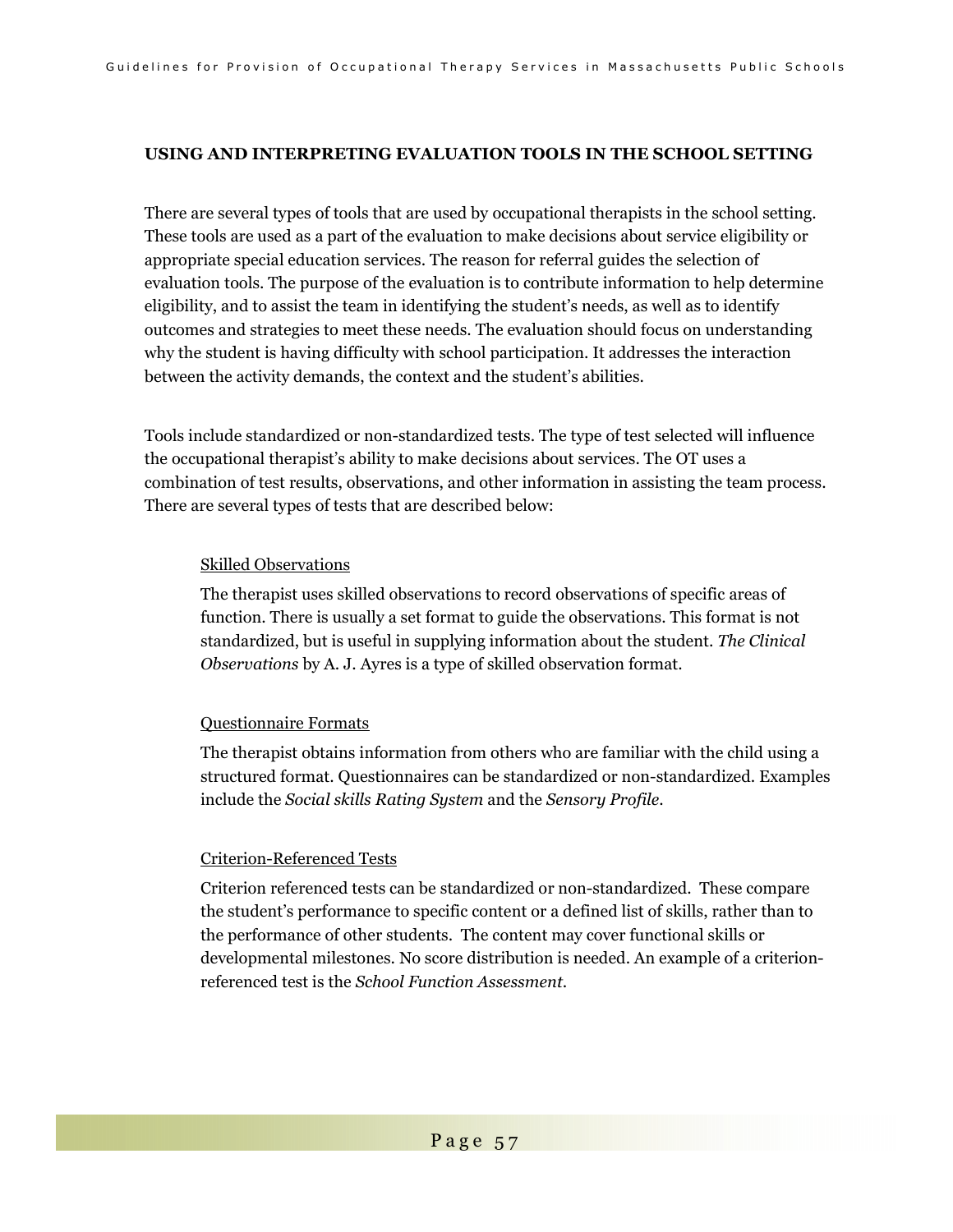#### **USING AND INTERPRETING EVALUATION TOOLS IN THE SCHOOL SETTING**

There are several types of tools that are used by occupational therapists in the school setting. These tools are used as a part of the evaluation to make decisions about service eligibility or appropriate special education services. The reason for referral guides the selection of evaluation tools. The purpose of the evaluation is to contribute information to help determine eligibility, and to assist the team in identifying the student's needs, as well as to identify outcomes and strategies to meet these needs. The evaluation should focus on understanding why the student is having difficulty with school participation. It addresses the interaction between the activity demands, the context and the student's abilities.

Tools include standardized or non-standardized tests. The type of test selected will influence the occupational therapist's ability to make decisions about services. The OT uses a combination of test results, observations, and other information in assisting the team process. There are several types of tests that are described below:

#### Skilled Observations

The therapist uses skilled observations to record observations of specific areas of function. There is usually a set format to guide the observations. This format is not standardized, but is useful in supplying information about the student. *The Clinical Observations* by A. J. Ayres is a type of skilled observation format.

#### Questionnaire Formats

The therapist obtains information from others who are familiar with the child using a structured format. Questionnaires can be standardized or non-standardized. Examples include the *Social skills Rating System* and the *Sensory Profile*.

#### Criterion-Referenced Tests

Criterion referenced tests can be standardized or non-standardized. These compare the student's performance to specific content or a defined list of skills, rather than to the performance of other students. The content may cover functional skills or developmental milestones. No score distribution is needed. An example of a criterionreferenced test is the *School Function Assessment*.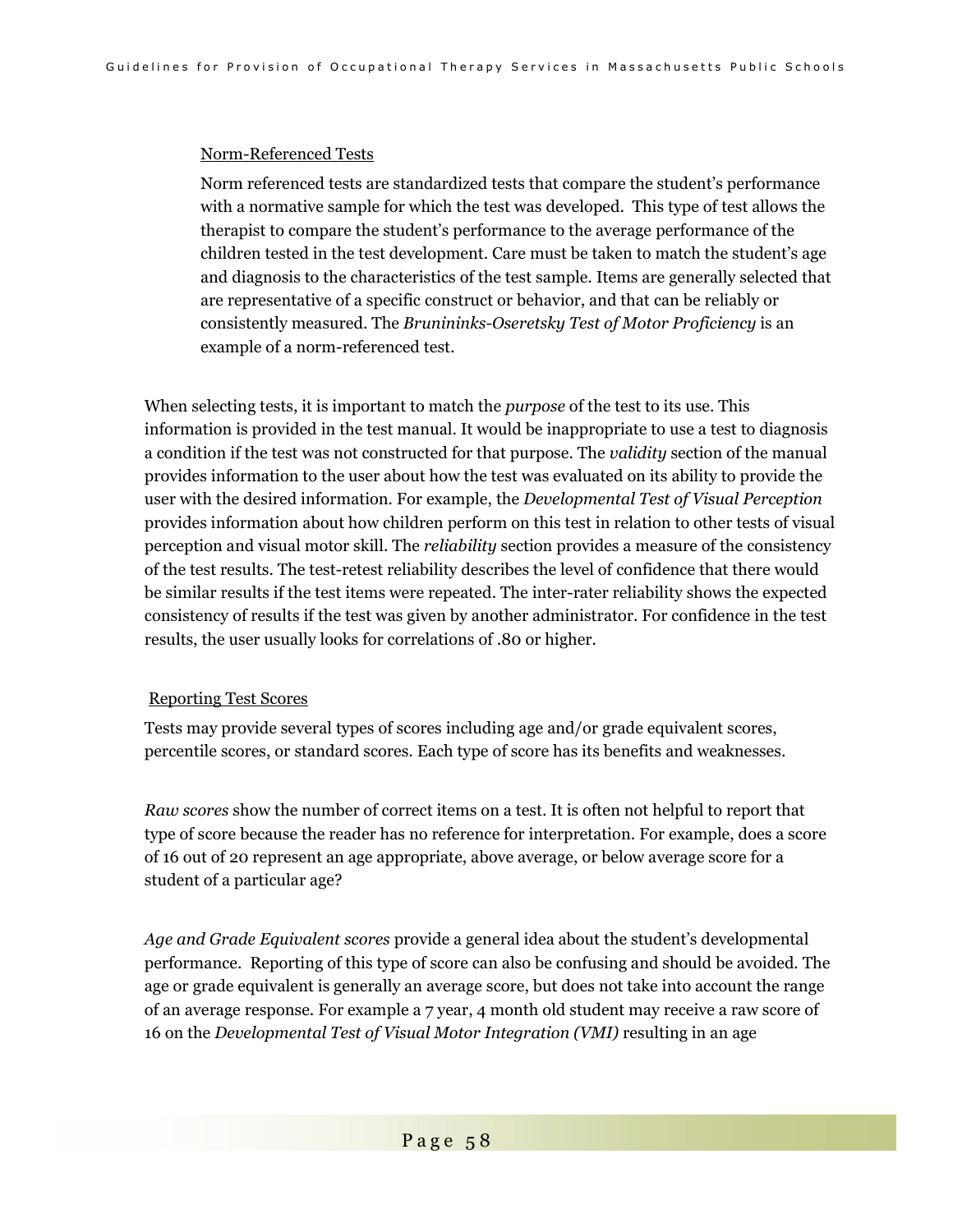#### Norm-Referenced Tests

Norm referenced tests are standardized tests that compare the student's performance with a normative sample for which the test was developed. This type of test allows the therapist to compare the student's performance to the average performance of the children tested in the test development. Care must be taken to match the student's age and diagnosis to the characteristics of the test sample. Items are generally selected that are representative of a specific construct or behavior, and that can be reliably or consistently measured. The *Brunininks-Oseretsky Test of Motor Proficiency* is an example of a norm-referenced test.

When selecting tests, it is important to match the *purpose* of the test to its use. This information is provided in the test manual. It would be inappropriate to use a test to diagnosis a condition if the test was not constructed for that purpose. The *validity* section of the manual provides information to the user about how the test was evaluated on its ability to provide the user with the desired information. For example, the *Developmental Test of Visual Perception* provides information about how children perform on this test in relation to other tests of visual perception and visual motor skill. The *reliability* section provides a measure of the consistency of the test results. The test-retest reliability describes the level of confidence that there would be similar results if the test items were repeated. The inter-rater reliability shows the expected consistency of results if the test was given by another administrator. For confidence in the test results, the user usually looks for correlations of .80 or higher.

#### Reporting Test Scores

Tests may provide several types of scores including age and/or grade equivalent scores, percentile scores, or standard scores. Each type of score has its benefits and weaknesses.

*Raw scores* show the number of correct items on a test. It is often not helpful to report that type of score because the reader has no reference for interpretation. For example, does a score of 16 out of 20 represent an age appropriate, above average, or below average score for a student of a particular age?

*Age and Grade Equivalent scores* provide a general idea about the student's developmental performance. Reporting of this type of score can also be confusing and should be avoided. The age or grade equivalent is generally an average score, but does not take into account the range of an average response. For example a 7 year, 4 month old student may receive a raw score of 16 on the *Developmental Test of Visual Motor Integration (VMI)* resulting in an age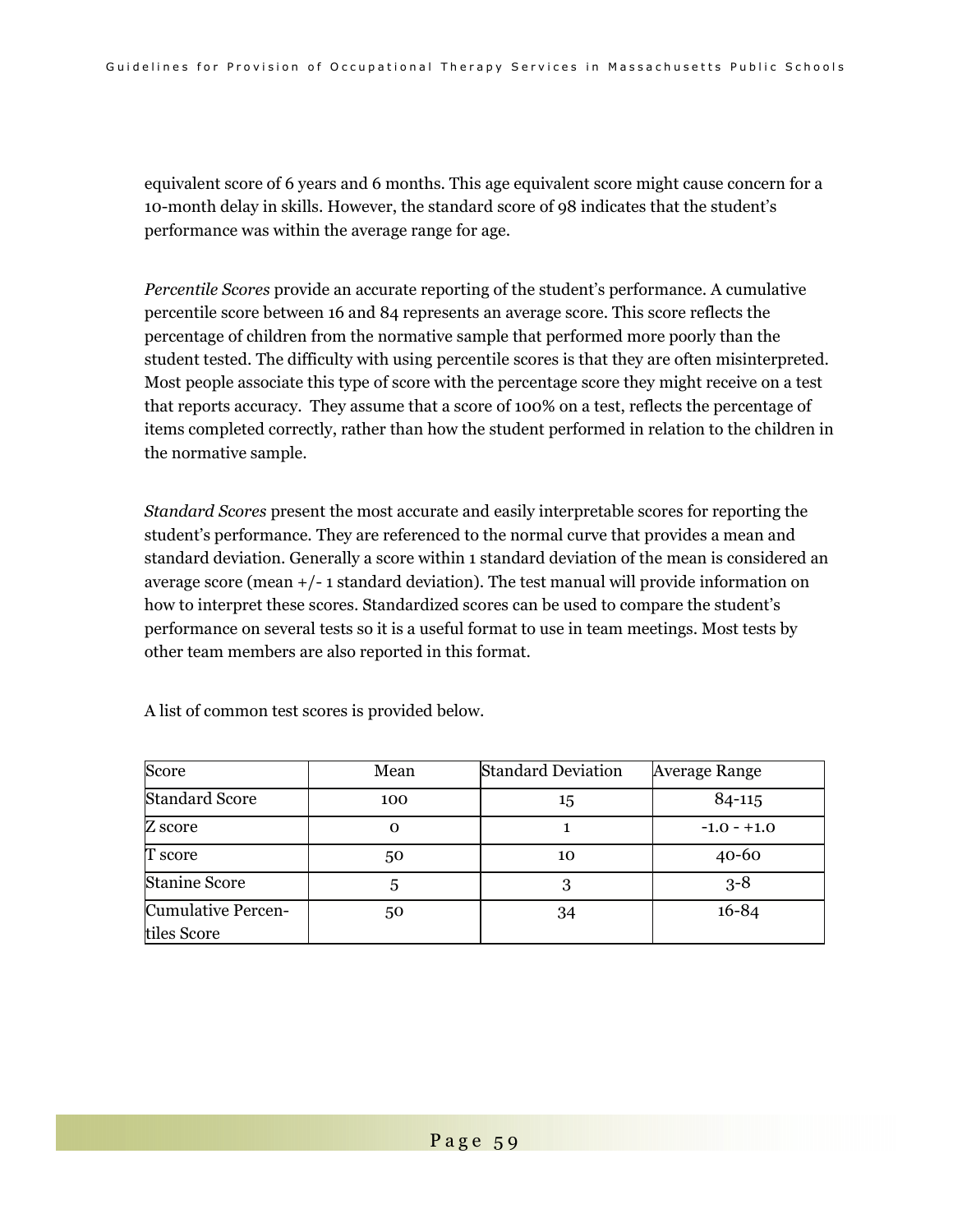equivalent score of 6 years and 6 months. This age equivalent score might cause concern for a 10-month delay in skills. However, the standard score of 98 indicates that the student's performance was within the average range for age.

*Percentile Scores* provide an accurate reporting of the student's performance. A cumulative percentile score between 16 and 84 represents an average score. This score reflects the percentage of children from the normative sample that performed more poorly than the student tested. The difficulty with using percentile scores is that they are often misinterpreted. Most people associate this type of score with the percentage score they might receive on a test that reports accuracy. They assume that a score of 100% on a test, reflects the percentage of items completed correctly, rather than how the student performed in relation to the children in the normative sample.

*Standard Scores* present the most accurate and easily interpretable scores for reporting the student's performance. They are referenced to the normal curve that provides a mean and standard deviation. Generally a score within 1 standard deviation of the mean is considered an average score (mean +/- 1 standard deviation). The test manual will provide information on how to interpret these scores. Standardized scores can be used to compare the student's performance on several tests so it is a useful format to use in team meetings. Most tests by other team members are also reported in this format.

| Score                     | Mean     | <b>Standard Deviation</b> | <b>Average Range</b> |
|---------------------------|----------|---------------------------|----------------------|
| <b>Standard Score</b>     | 100      | 15                        | 84-115               |
| Z score                   | $\Omega$ |                           | $-1.0 - +1.0$        |
| T score                   | 50       | 10                        | $40 - 60$            |
| Stanine Score             |          | 3                         | $3 - 8$              |
| <b>Cumulative Percen-</b> | 50       | 34                        | $16 - 84$            |
| tiles Score               |          |                           |                      |

A list of common test scores is provided below.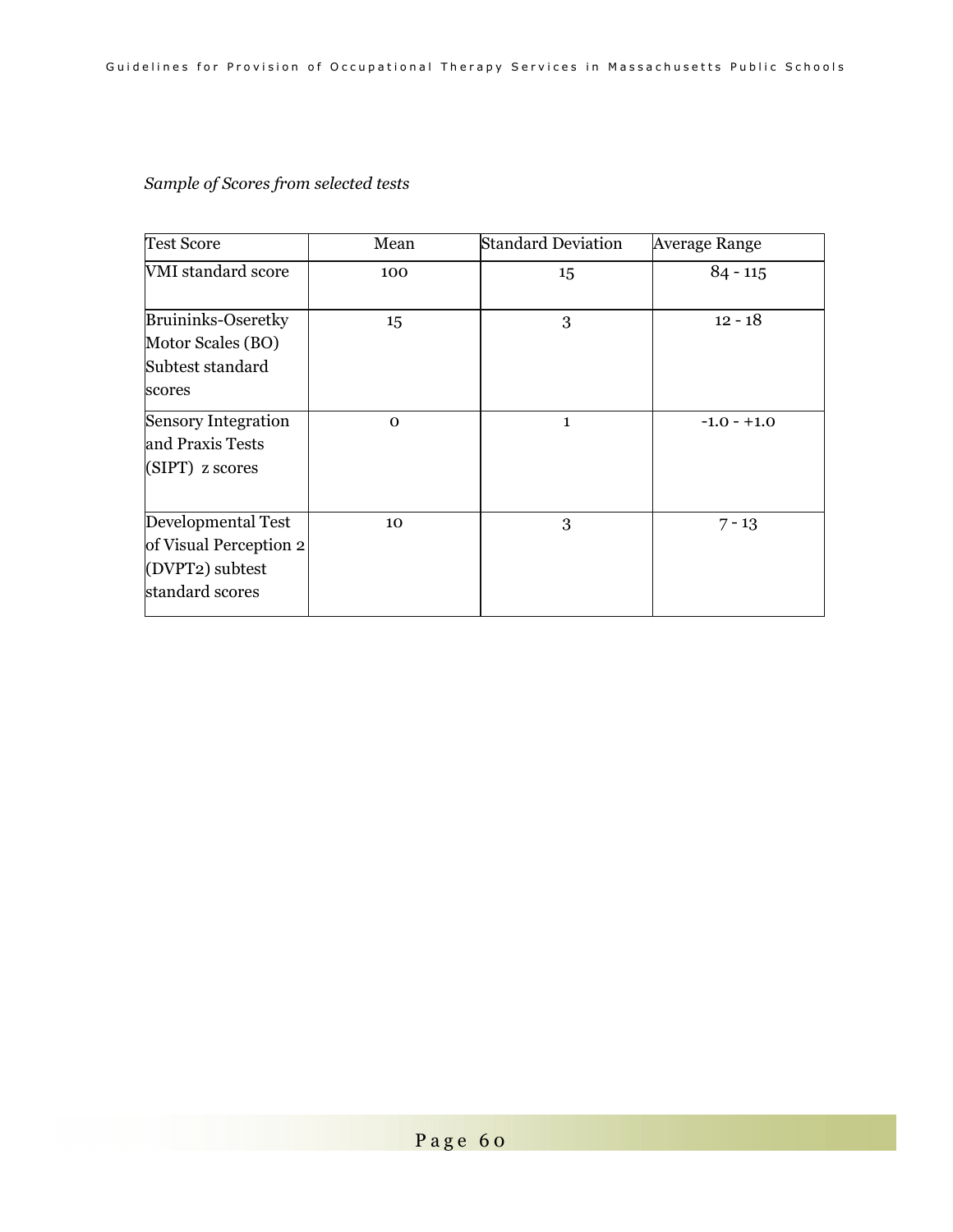# *Sample of Scores from selected tests*

| <b>Test Score</b>                                                                  | Mean     | <b>Standard Deviation</b> | <b>Average Range</b> |
|------------------------------------------------------------------------------------|----------|---------------------------|----------------------|
| <b>VMI</b> standard score                                                          | 100      | 15                        | $84 - 115$           |
| <b>Bruininks-Oseretky</b><br>Motor Scales (BO)<br>Subtest standard<br>scores       | 15       | 3                         | $12 - 18$            |
| <b>Sensory Integration</b><br>and Praxis Tests<br>(SIPT) z scores                  | $\Omega$ | $\mathbf{1}$              | $-1.0 - +1.0$        |
| Developmental Test<br>of Visual Perception 2<br>(DVPT2) subtest<br>standard scores | 10       | 3                         | $7 - 13$             |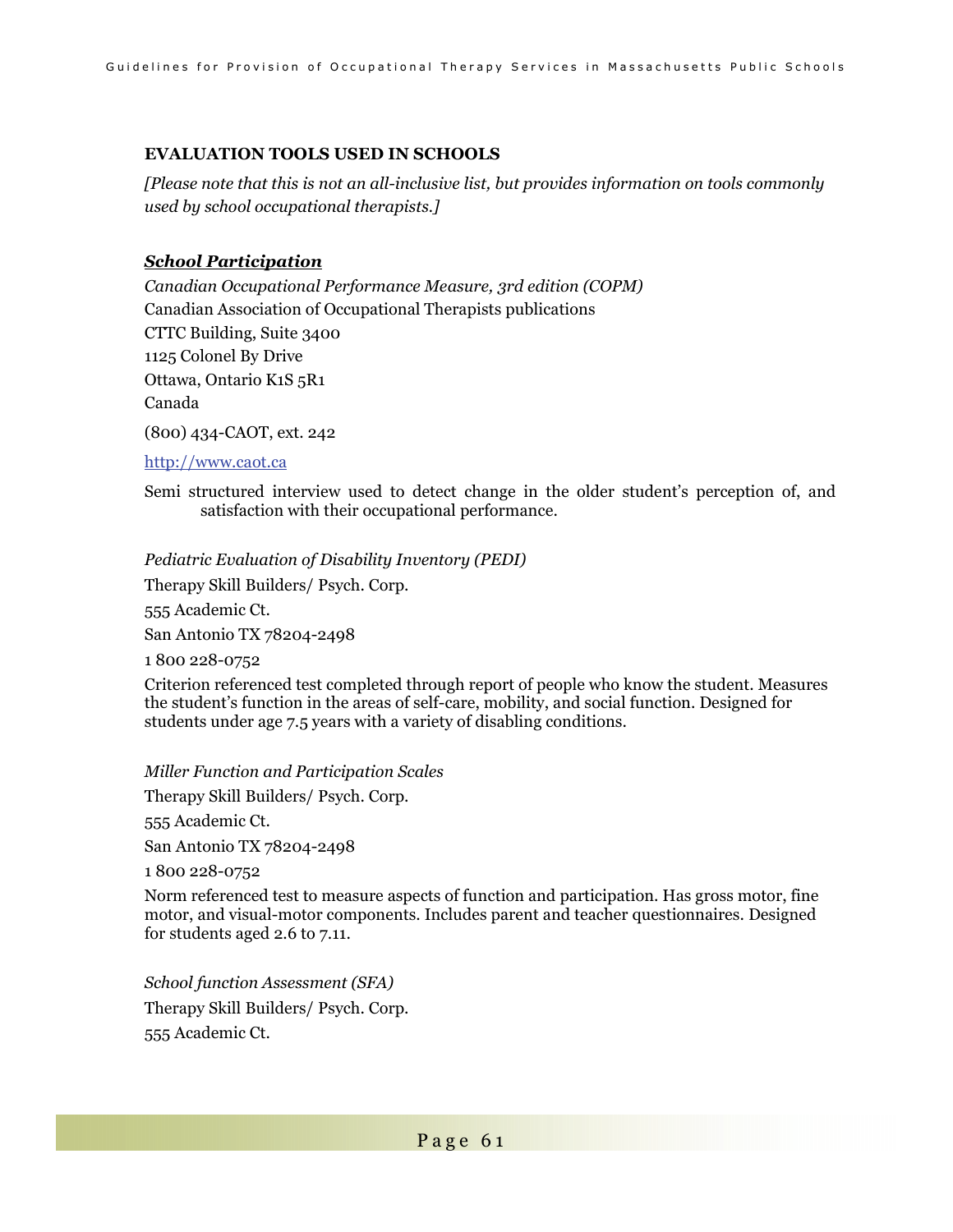### **EVALUATION TOOLS USED IN SCHOOLS**

*[Please note that this is not an all-inclusive list, but provides information on tools commonly used by school occupational therapists.]* 

### *School Participation*

*Canadian Occupational Performance Measure, 3rd edition (COPM)*  Canadian Association of Occupational Therapists publications CTTC Building, Suite 3400 1125 Colonel By Drive Ottawa, Ontario K1S 5R1 Canada

(800) 434-CAOT, ext. 242

### http://www.caot.ca

Semi structured interview used to detect change in the older student's perception of, and satisfaction with their occupational performance.

### *Pediatric Evaluation of Disability Inventory (PEDI)*

Therapy Skill Builders/ Psych. Corp.

555 Academic Ct.

San Antonio TX 78204-2498

1 800 228-0752

Criterion referenced test completed through report of people who know the student. Measures the student's function in the areas of self-care, mobility, and social function. Designed for students under age 7.5 years with a variety of disabling conditions.

*Miller Function and Participation Scales* 

Therapy Skill Builders/ Psych. Corp.

555 Academic Ct.

San Antonio TX 78204-2498

1 800 228-0752

Norm referenced test to measure aspects of function and participation. Has gross motor, fine motor, and visual-motor components. Includes parent and teacher questionnaires. Designed for students aged 2.6 to 7.11.

*School function Assessment (SFA)*  Therapy Skill Builders/ Psych. Corp. 555 Academic Ct.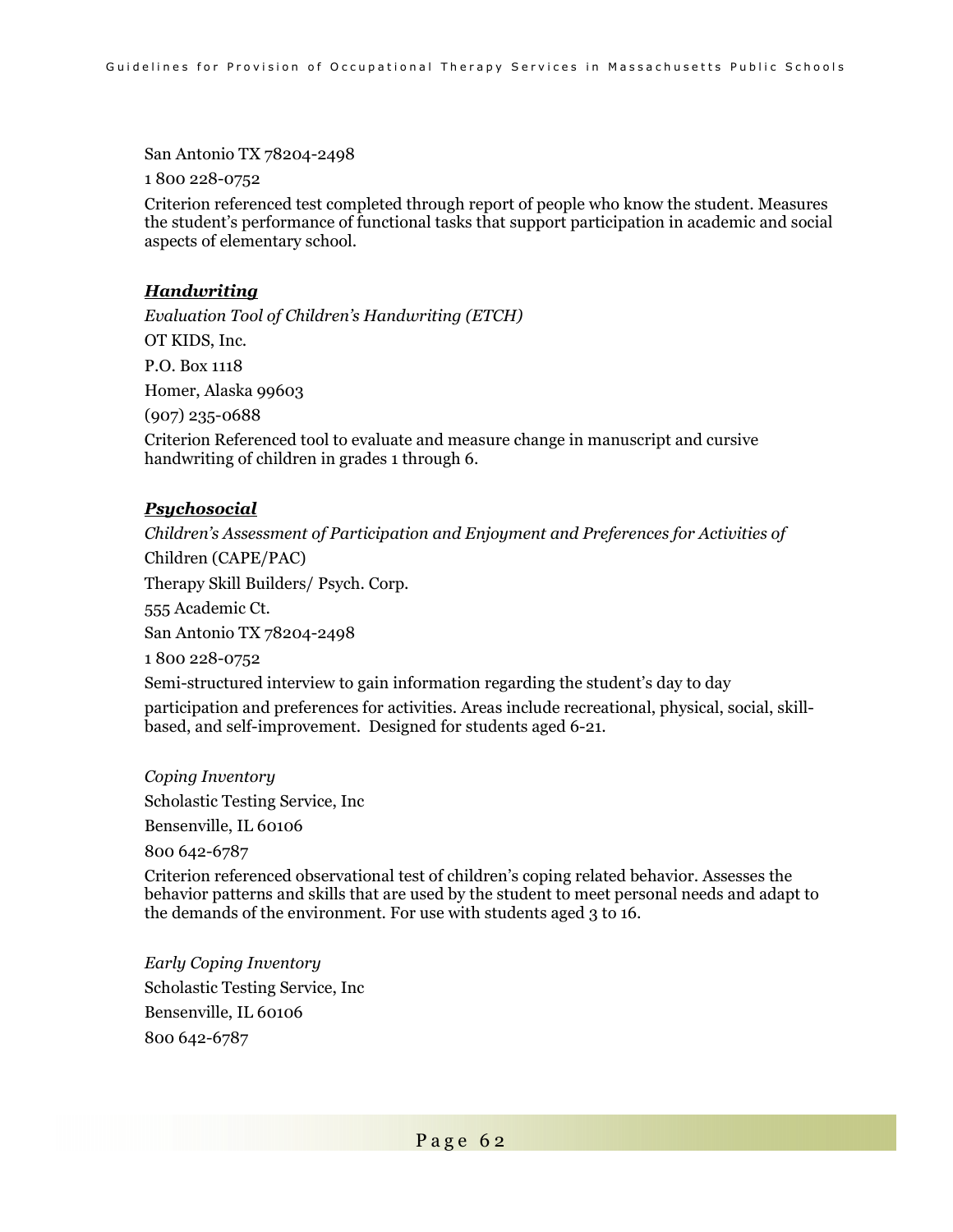San Antonio TX 78204-2498

1 800 228-0752

Criterion referenced test completed through report of people who know the student. Measures the student's performance of functional tasks that support participation in academic and social aspects of elementary school.

#### *Handwriting*

*Evaluation Tool of Children's Handwriting (ETCH)*  OT KIDS, Inc. P.O. Box 1118 Homer, Alaska 99603 (907) 235-0688 Criterion Referenced tool to evaluate and measure change in manuscript and cursive handwriting of children in grades 1 through 6.

### *Psychosocial*

*Children's Assessment of Participation and Enjoyment and Preferences for Activities of*  Children (CAPE/PAC) Therapy Skill Builders/ Psych. Corp. 555 Academic Ct. San Antonio TX 78204-2498 1 800 228-0752 Semi-structured interview to gain information regarding the student's day to day participation and preferences for activities. Areas include recreational, physical, social, skillbased, and self-improvement. Designed for students aged 6-21.

*Coping Inventory*  Scholastic Testing Service, Inc Bensenville, IL 60106 800 642-6787

Criterion referenced observational test of children's coping related behavior. Assesses the behavior patterns and skills that are used by the student to meet personal needs and adapt to the demands of the environment. For use with students aged 3 to 16.

*Early Coping Inventory*  Scholastic Testing Service, Inc Bensenville, IL 60106 800 642-6787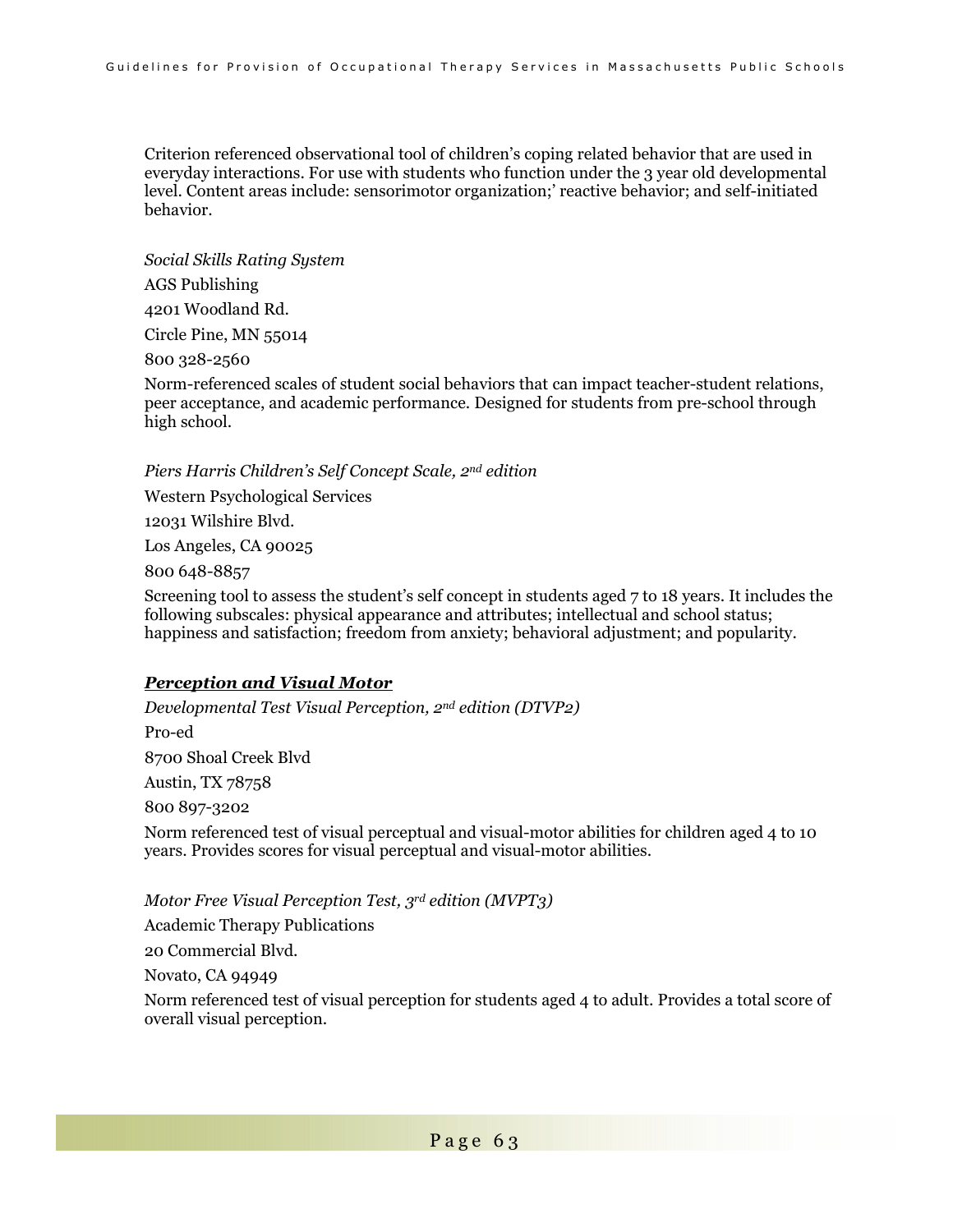Criterion referenced observational tool of children's coping related behavior that are used in everyday interactions. For use with students who function under the 3 year old developmental level. Content areas include: sensorimotor organization;' reactive behavior; and self-initiated behavior.

*Social Skills Rating System* 

AGS Publishing

4201 Woodland Rd.

Circle Pine, MN 55014

800 328-2560

Norm-referenced scales of student social behaviors that can impact teacher-student relations, peer acceptance, and academic performance. Designed for students from pre-school through high school.

*Piers Harris Children's Self Concept Scale, 2nd edition* 

Western Psychological Services

12031 Wilshire Blvd.

Los Angeles, CA 90025

800 648-8857

Screening tool to assess the student's self concept in students aged 7 to 18 years. It includes the following subscales: physical appearance and attributes; intellectual and school status; happiness and satisfaction; freedom from anxiety; behavioral adjustment; and popularity.

#### *Perception and Visual Motor*

*Developmental Test Visual Perception, 2nd edition (DTVP2)*  Pro-ed 8700 Shoal Creek Blvd Austin, TX 78758 800 897-3202 Norm referenced test of visual perceptual and visual-motor abilities for children aged 4 to 10 years. Provides scores for visual perceptual and visual-motor abilities.

*Motor Free Visual Perception Test, 3rd edition (MVPT3)* 

Academic Therapy Publications

20 Commercial Blvd.

Novato, CA 94949

Norm referenced test of visual perception for students aged 4 to adult. Provides a total score of overall visual perception.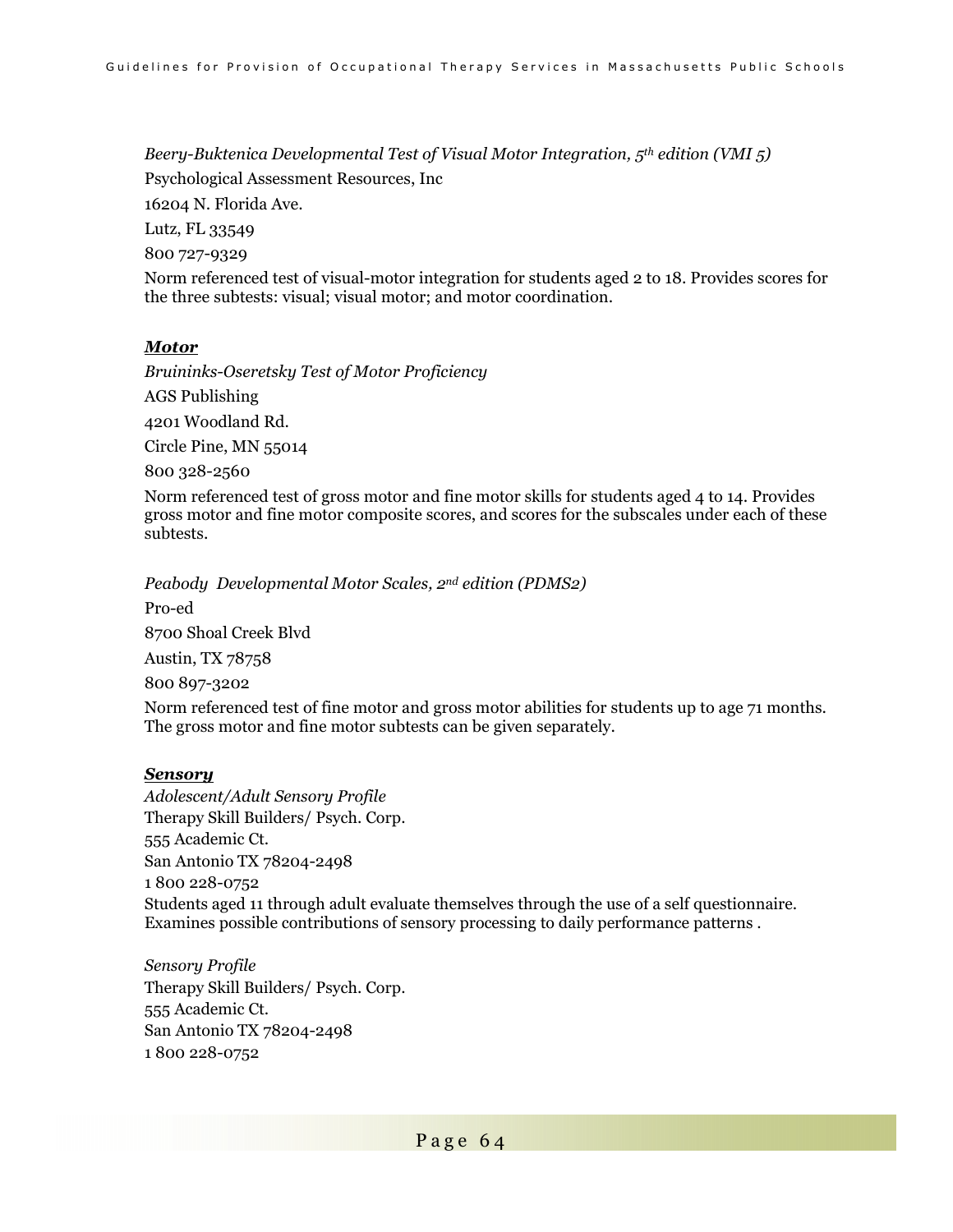*Beery-Buktenica Developmental Test of Visual Motor Integration, 5th edition (VMI 5)* 

Psychological Assessment Resources, Inc

16204 N. Florida Ave.

Lutz, FL 33549

800 727-9329

Norm referenced test of visual-motor integration for students aged 2 to 18. Provides scores for the three subtests: visual; visual motor; and motor coordination.

#### *Motor*

*Bruininks-Oseretsky Test of Motor Proficiency* 

AGS Publishing

4201 Woodland Rd.

Circle Pine, MN 55014

800 328-2560

Norm referenced test of gross motor and fine motor skills for students aged 4 to 14. Provides gross motor and fine motor composite scores, and scores for the subscales under each of these subtests.

*Peabody Developmental Motor Scales, 2nd edition (PDMS2)* 

Pro-ed

8700 Shoal Creek Blvd

Austin, TX 78758

800 897-3202

Norm referenced test of fine motor and gross motor abilities for students up to age 71 months. The gross motor and fine motor subtests can be given separately.

#### *Sensory*

*Adolescent/Adult Sensory Profile*  Therapy Skill Builders/ Psych. Corp. 555 Academic Ct. San Antonio TX 78204-2498 1 800 228-0752 Students aged 11 through adult evaluate themselves through the use of a self questionnaire. Examines possible contributions of sensory processing to daily performance patterns .

*Sensory Profile*  Therapy Skill Builders/ Psych. Corp. 555 Academic Ct. San Antonio TX 78204-2498 1 800 228-0752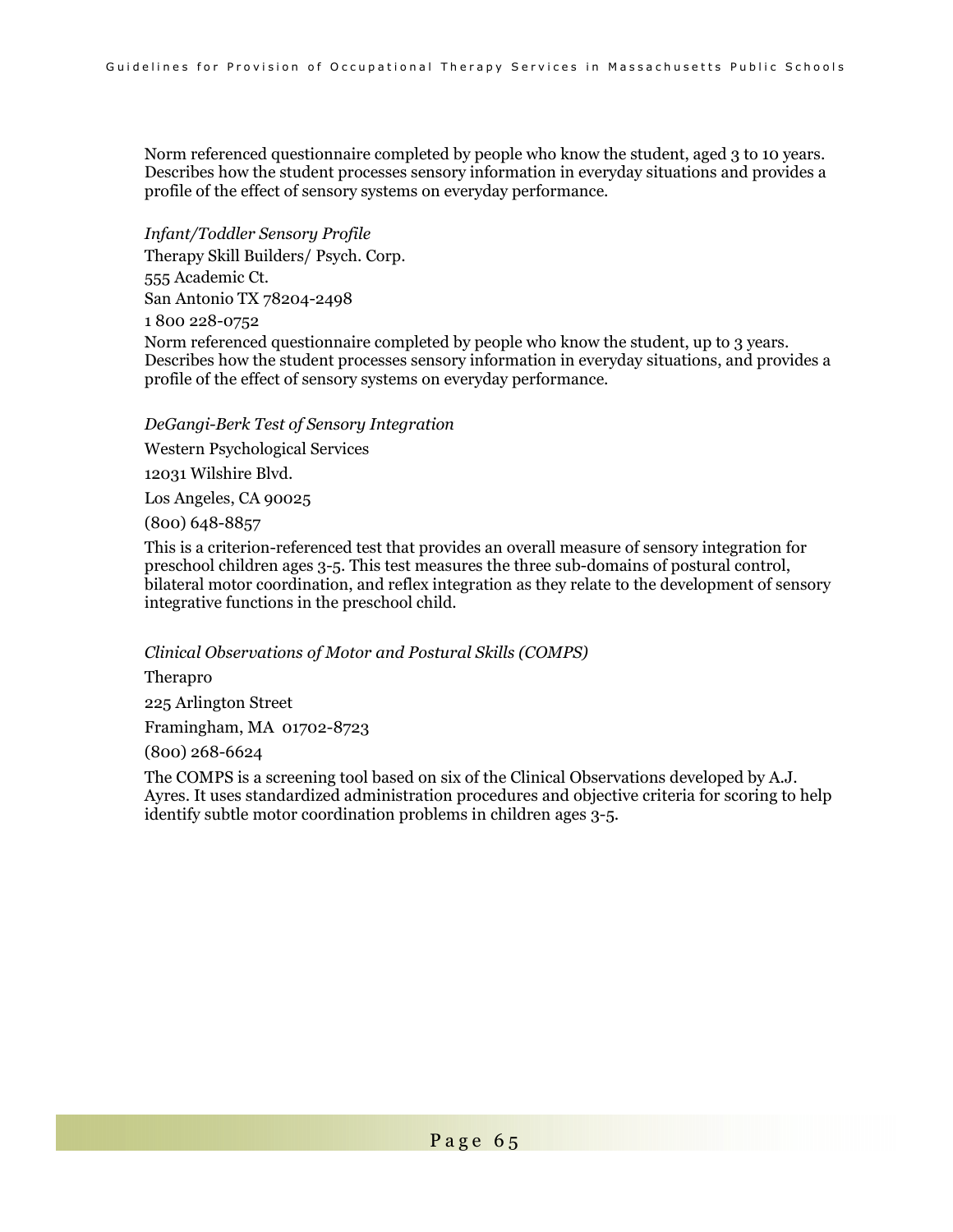Norm referenced questionnaire completed by people who know the student, aged 3 to 10 years. Describes how the student processes sensory information in everyday situations and provides a profile of the effect of sensory systems on everyday performance.

*Infant/Toddler Sensory Profile* 

Therapy Skill Builders/ Psych. Corp.

555 Academic Ct. San Antonio TX 78204-2498

1 800 228-0752

Norm referenced questionnaire completed by people who know the student, up to 3 years. Describes how the student processes sensory information in everyday situations, and provides a profile of the effect of sensory systems on everyday performance.

*DeGangi-Berk Test of Sensory Integration* 

Western Psychological Services

12031 Wilshire Blvd.

Los Angeles, CA 90025

(800) 648-8857

This is a criterion-referenced test that provides an overall measure of sensory integration for preschool children ages 3-5. This test measures the three sub-domains of postural control, bilateral motor coordination, and reflex integration as they relate to the development of sensory integrative functions in the preschool child.

*Clinical Observations of Motor and Postural Skills (COMPS)* 

Therapro 225 Arlington Street Framingham, MA 01702-8723

(800) 268-6624

The COMPS is a screening tool based on six of the Clinical Observations developed by A.J. Ayres. It uses standardized administration procedures and objective criteria for scoring to help identify subtle motor coordination problems in children ages 3-5.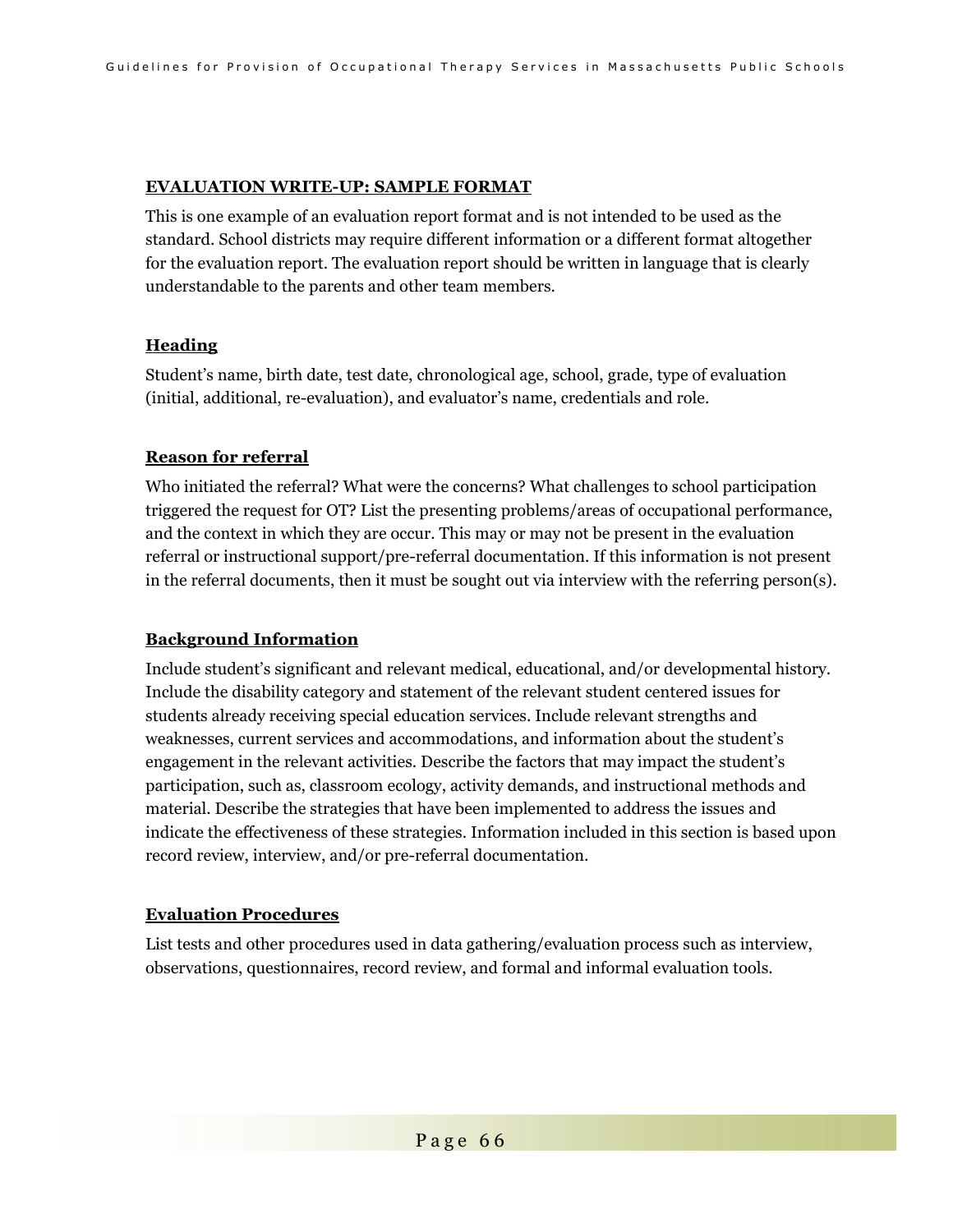#### **EVALUATION WRITE-UP: SAMPLE FORMAT**

This is one example of an evaluation report format and is not intended to be used as the standard. School districts may require different information or a different format altogether for the evaluation report. The evaluation report should be written in language that is clearly understandable to the parents and other team members.

### **Heading**

Student's name, birth date, test date, chronological age, school, grade, type of evaluation (initial, additional, re-evaluation), and evaluator's name, credentials and role.

### **Reason for referral**

Who initiated the referral? What were the concerns? What challenges to school participation triggered the request for OT? List the presenting problems/areas of occupational performance, and the context in which they are occur. This may or may not be present in the evaluation referral or instructional support/pre-referral documentation. If this information is not present in the referral documents, then it must be sought out via interview with the referring person(s).

### **Background Information**

Include student's significant and relevant medical, educational, and/or developmental history. Include the disability category and statement of the relevant student centered issues for students already receiving special education services. Include relevant strengths and weaknesses, current services and accommodations, and information about the student's engagement in the relevant activities. Describe the factors that may impact the student's participation, such as, classroom ecology, activity demands, and instructional methods and material. Describe the strategies that have been implemented to address the issues and indicate the effectiveness of these strategies. Information included in this section is based upon record review, interview, and/or pre-referral documentation.

#### **Evaluation Procedures**

List tests and other procedures used in data gathering/evaluation process such as interview, observations, questionnaires, record review, and formal and informal evaluation tools.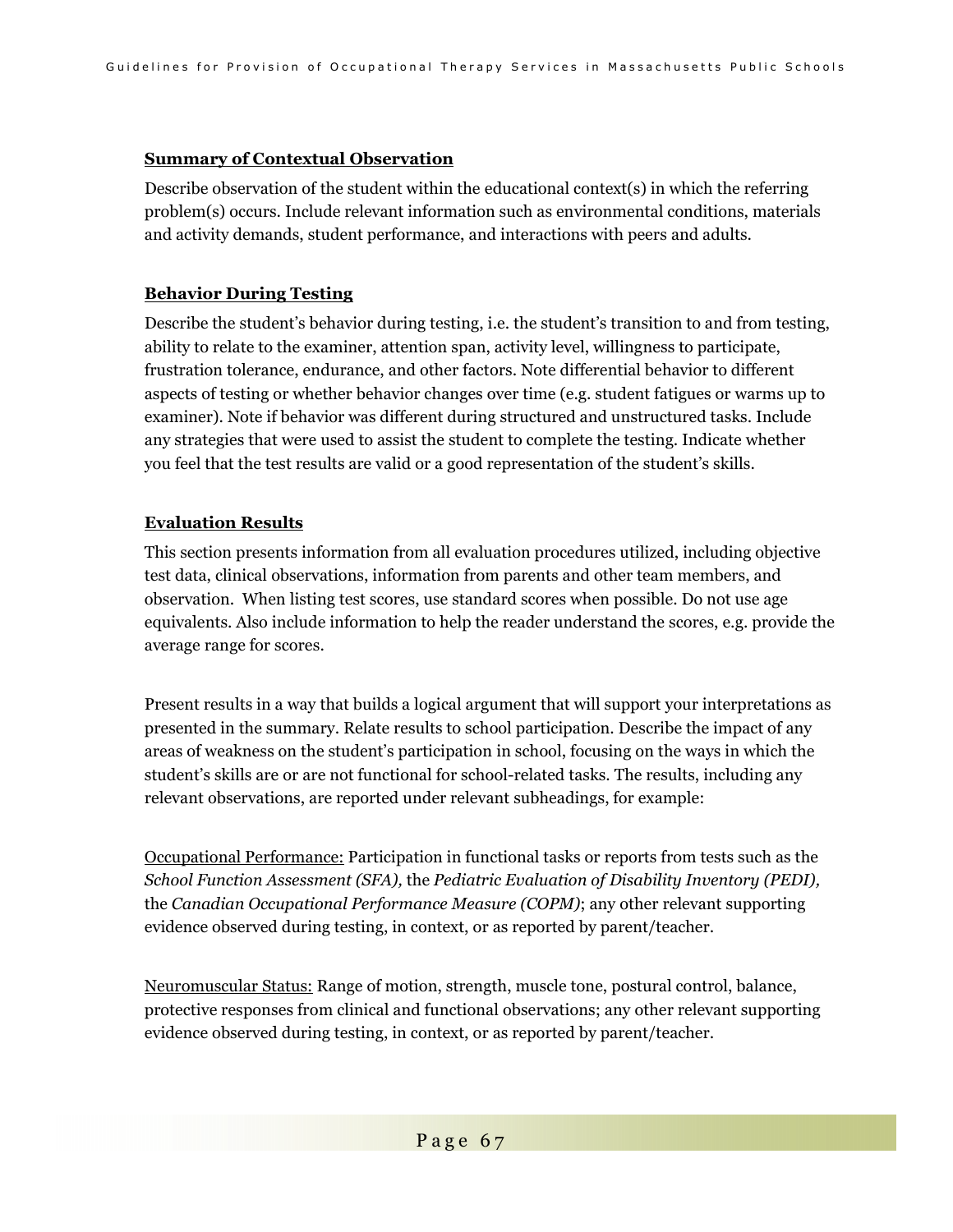### **Summary of Contextual Observation**

Describe observation of the student within the educational context(s) in which the referring problem(s) occurs. Include relevant information such as environmental conditions, materials and activity demands, student performance, and interactions with peers and adults.

### **Behavior During Testing**

Describe the student's behavior during testing, i.e. the student's transition to and from testing, ability to relate to the examiner, attention span, activity level, willingness to participate, frustration tolerance, endurance, and other factors. Note differential behavior to different aspects of testing or whether behavior changes over time (e.g. student fatigues or warms up to examiner). Note if behavior was different during structured and unstructured tasks. Include any strategies that were used to assist the student to complete the testing. Indicate whether you feel that the test results are valid or a good representation of the student's skills.

### **Evaluation Results**

This section presents information from all evaluation procedures utilized, including objective test data, clinical observations, information from parents and other team members, and observation. When listing test scores, use standard scores when possible. Do not use age equivalents. Also include information to help the reader understand the scores, e.g. provide the average range for scores.

Present results in a way that builds a logical argument that will support your interpretations as presented in the summary. Relate results to school participation. Describe the impact of any areas of weakness on the student's participation in school, focusing on the ways in which the student's skills are or are not functional for school-related tasks. The results, including any relevant observations, are reported under relevant subheadings, for example:

Occupational Performance: Participation in functional tasks or reports from tests such as the *School Function Assessment (SFA),* the *Pediatric Evaluation of Disability Inventory (PEDI),*  the *Canadian Occupational Performance Measure (COPM)*; any other relevant supporting evidence observed during testing, in context, or as reported by parent/teacher.

Neuromuscular Status: Range of motion, strength, muscle tone, postural control, balance, protective responses from clinical and functional observations; any other relevant supporting evidence observed during testing, in context, or as reported by parent/teacher.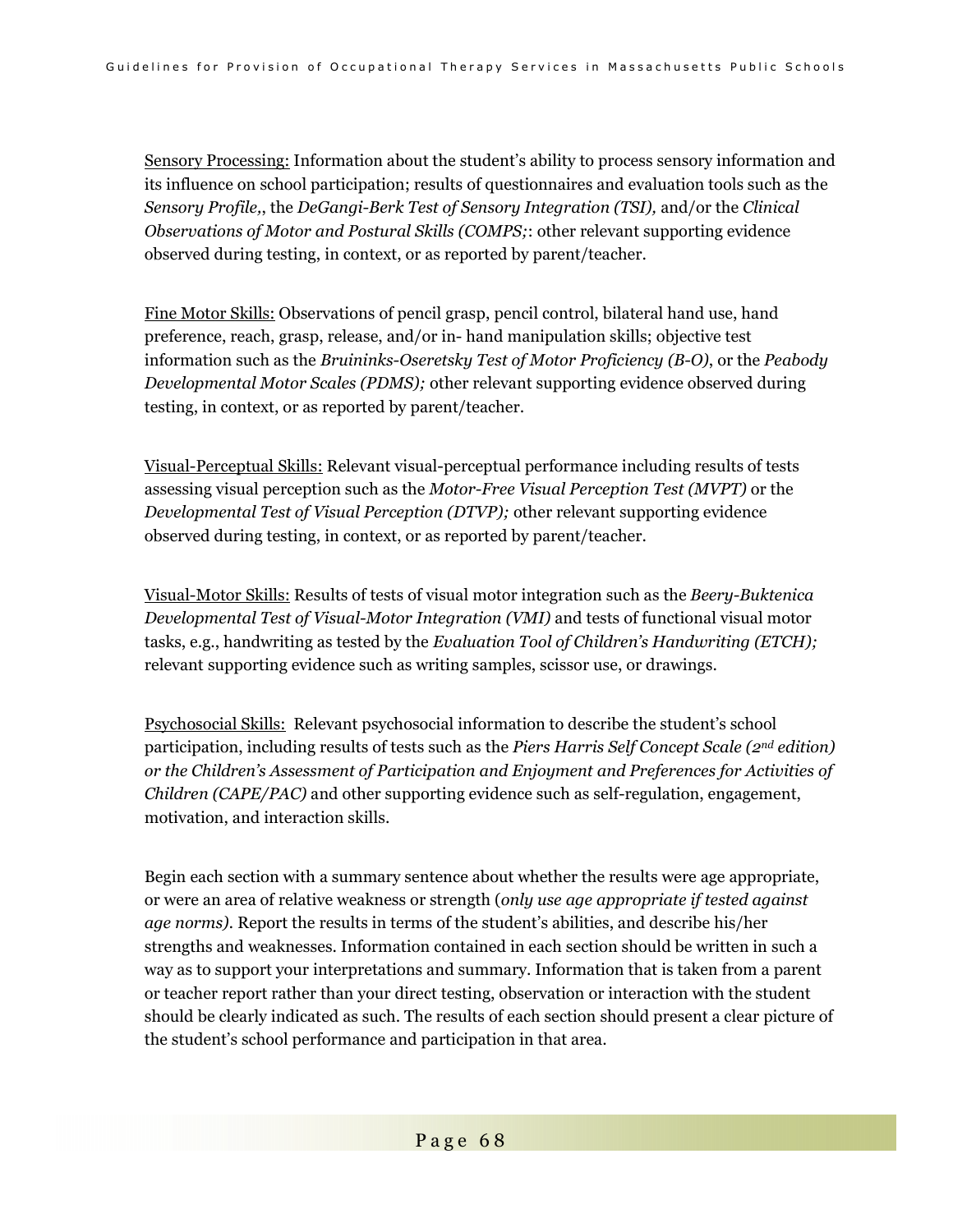Sensory Processing: Information about the student's ability to process sensory information and its influence on school participation; results of questionnaires and evaluation tools such as the *Sensory Profile,*, the *DeGangi-Berk Test of Sensory Integration (TSI),* and/or the *Clinical Observations of Motor and Postural Skills (COMPS;*: other relevant supporting evidence observed during testing, in context, or as reported by parent/teacher.

Fine Motor Skills: Observations of pencil grasp, pencil control, bilateral hand use, hand preference, reach, grasp, release, and/or in- hand manipulation skills; objective test information such as the *Bruininks-Oseretsky Test of Motor Proficiency (B-O)*, or the *Peabody Developmental Motor Scales (PDMS);* other relevant supporting evidence observed during testing, in context, or as reported by parent/teacher.

Visual-Perceptual Skills: Relevant visual-perceptual performance including results of tests assessing visual perception such as the *Motor-Free Visual Perception Test (MVPT)* or the *Developmental Test of Visual Perception (DTVP);* other relevant supporting evidence observed during testing, in context, or as reported by parent/teacher.

Visual-Motor Skills: Results of tests of visual motor integration such as the *Beery-Buktenica Developmental Test of Visual-Motor Integration (VMI)* and tests of functional visual motor tasks, e.g., handwriting as tested by the *Evaluation Tool of Children's Handwriting (ETCH);* relevant supporting evidence such as writing samples, scissor use, or drawings.

Psychosocial Skills: Relevant psychosocial information to describe the student's school participation, including results of tests such as the *Piers Harris Self Concept Scale (2nd edition) or the Children's Assessment of Participation and Enjoyment and Preferences for Activities of Children (CAPE/PAC)* and other supporting evidence such as self-regulation, engagement, motivation, and interaction skills.

Begin each section with a summary sentence about whether the results were age appropriate, or were an area of relative weakness or strength (*only use age appropriate if tested against age norms).* Report the results in terms of the student's abilities, and describe his/her strengths and weaknesses. Information contained in each section should be written in such a way as to support your interpretations and summary. Information that is taken from a parent or teacher report rather than your direct testing, observation or interaction with the student should be clearly indicated as such. The results of each section should present a clear picture of the student's school performance and participation in that area.